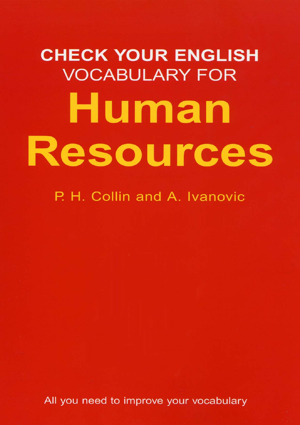# **CHECK YOUR ENGLISH VOCABULARY FOR** Human Resources

P. H. Collin and A. Ivanovic

All you need to improve your vocabulary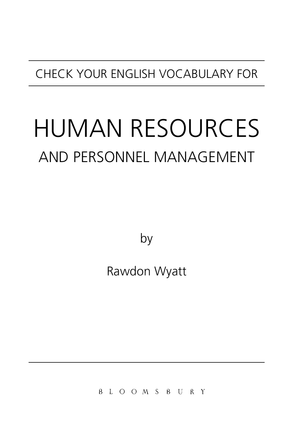### CHECK YOUR ENGLISH VOCABULARY FOR

## HUMAN RESOURCES AND PERSONNEL MANAGEMENT

by

### Rawdon Wyatt

B L O O M S B U R Y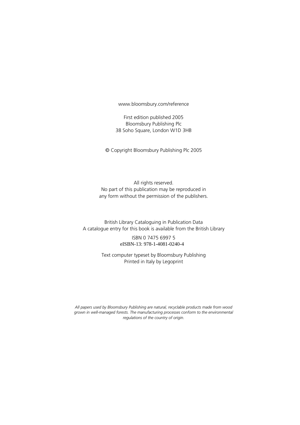[www.bloomsbury.com/reference](http://www.bloomsbury.com/reference)

First edition published 2005 Bloomsbury Publishing Plc 38 Soho Square, London W1D 3HB

© Copyright Bloomsbury Publishing Plc 2005

All rights reserved. No part of this publication may be reproduced in any form without the permission of the publishers.

British Library Cataloguing in Publication Data A catalogue entry for this book is available from the British Library

> ISBN 0 7475 6997 5 eISBN-13: 978-1-4081-0240-4

Text computer typeset by Bloomsbury Publishing Printed in Italy by Legoprint

*All papers used by Bloomsbury Publishing are natural, recyclable products made from wood grown in well-managed forests. The manufacturing processes conform to the environmental regulations of the country of origin.*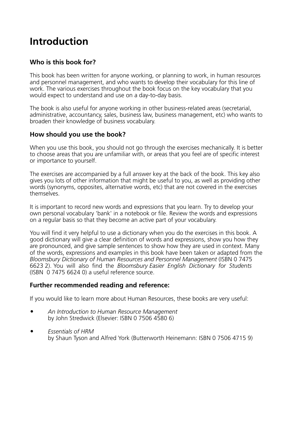### **Introduction**

#### **Who is this book for?**

This book has been written for anyone working, or planning to work, in human resources and personnel management, and who wants to develop their vocabulary for this line of work. The various exercises throughout the book focus on the key vocabulary that you would expect to understand and use on a day-to-day basis.

The book is also useful for anyone working in other business-related areas (secretarial, administrative, accountancy, sales, business law, business management, etc) who wants to broaden their knowledge of business vocabulary.

#### **How should you use the book?**

When you use this book, you should not go through the exercises mechanically. It is better to choose areas that you are unfamiliar with, or areas that you feel are of specific interest or importance to yourself.

The exercises are accompanied by a full answer key at the back of the book. This key also gives you lots of other information that might be useful to you, as well as providing other words (synonyms, opposites, alternative words, etc) that are not covered in the exercises themselves.

It is important to record new words and expressions that you learn. Try to develop your own personal vocabulary 'bank' in a notebook or file. Review the words and expressions on a regular basis so that they become an active part of your vocabulary.

You will find it very helpful to use a dictionary when you do the exercises in this book. A good dictionary will give a clear definition of words and expressions, show you how they are pronounced, and give sample sentences to show how they are used in context. Many of the words, expressions and examples in this book have been taken or adapted from the *Bloomsbury Dictionary of Human Resources and Personnel Management* (ISBN 0 7475 6623 2). You will also find the *Bloomsbury Easier English Dictionary for Students* (ISBN 0 7475 6624 0) a useful reference source.

#### **Further recommended reading and reference:**

If you would like to learn more about Human Resources, these books are very useful:

- *An Introduction to Human Resource Management* by John Stredwick (Elsevier: ISBN 0 7506 4580 6)
- *Essentials of HRM* by Shaun Tyson and Alfred York (Butterworth Heinemann: ISBN 0 7506 4715 9)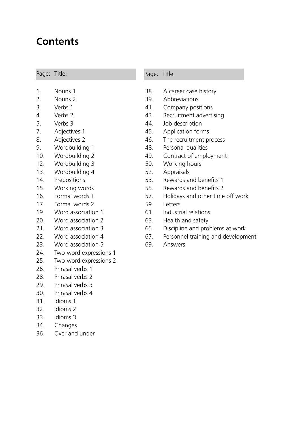#### **Contents**

Page: Title: Page: Title:

- 
- 
- 
- 
- 
- 
- 
- 
- 
- 
- 
- 
- 
- 
- [17. Formal words 2](#page-21-0) [59. Letters](#page-63-0)
- 
- [20. Word association 2](#page-24-0) [63. Health and safety](#page-67-0)
- 
- 
- [23. Word association 5](#page-27-0) [69. Answers](#page-73-0)
- [24. Two-word expressions 1](#page-28-0)
- [25. Two-word expressions 2](#page-29-0)
- [26. Phrasal verbs 1](#page-30-0)
- [28. Phrasal verbs 2](#page-32-0)
- [29. Phrasal verbs 3](#page-33-0)
- [30. Phrasal verbs 4](#page-34-0)
- [31. Idioms 1](#page-35-0)
- [32. Idioms 2](#page-36-0)
- [33. Idioms 3](#page-37-0)
- [34. Changes](#page-38-0)
- [36. Over and under](#page-40-0)

- [1. Nouns 1](#page-5-0) [38. A career case history](#page-42-0)
- [2. Nouns 2](#page-6-0) [39. Abbreviations](#page-43-0)
- [3. Verbs 1](#page-7-0) [41. Company positions](#page-45-0)
- [4. Verbs 2](#page-8-0) 6 1 2 2 2 2 2 3 [43. Recruitment advertising](#page-47-0)
- [5. Verbs 3](#page-9-0) [44. Job description](#page-48-0)
- [7. Adjectives 1](#page-11-0) [45. Application forms](#page-49-0)
- [8. Adjectives 2](#page-12-0) 6. Adjectives 2 6. Adjectives 2 6. Adjectives 2 6. Adjectives 2 6. Adjectives 2 6. Adjectives 2
- [9. Wordbuilding 1](#page-13-0) [48. Personal qualities](#page-52-0)
- [10. Wordbuilding 2](#page-14-0) [49. Contract of employment](#page-53-0)
- [12. Wordbuilding 3](#page-16-0) [50. Working hours](#page-54-0)
- [13. Wordbuilding 4](#page-17-0) [52. Appraisals](#page-56-0)
- [14. Prepositions](#page-18-0) [53. Rewards and benefits 1](#page-57-0)
- [15. Working words](#page-19-0) [55. Rewards and benefits 2](#page-59-0)
- [16. Formal words 1](#page-20-0) [57. Holidays and other time off work](#page-61-0)
	-
- [19. Word association 1](#page-23-0) [61. Industrial relations](#page-65-0)
	-
- [21. Word association 3](#page-25-0) [65. Discipline and problems at work](#page-69-0)
- [22. Word association 4](#page-26-0) [67. Personnel training and development](#page-71-0)
	-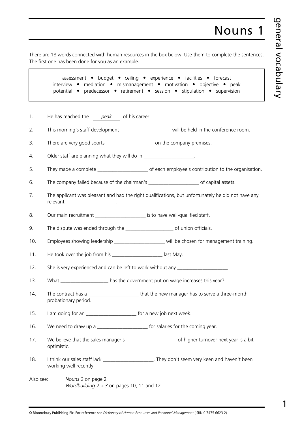general vocabulary

general vocabulary

1

<span id="page-5-0"></span>There are 18 words connected with human resources in the box below. Use them to complete the sentences. The first one has been done for you as an example.

assessment • budget • ceiling • experience • facilities • forecast interview • mediation • mismanagement • motivation • objective •  $peak$ potential • predecessor • retirement • session • stipulation • supervision

| $\mathbf{1}$ . | He has reached the $peak$ of his career.                                                                                                 |
|----------------|------------------------------------------------------------------------------------------------------------------------------------------|
| 2.             | This morning's staff development _______________________ will be held in the conference room.                                            |
| 3.             | There are very good sports _______________________ on the company premises.                                                              |
| 4.             | Older staff are planning what they will do in _____________________.                                                                     |
| 5.             |                                                                                                                                          |
| 6.             | The company failed because of the chairman's _________________________ of capital assets.                                                |
| 7.             | The applicant was pleasant and had the right qualifications, but unfortunately he did not have any<br>relevant ________________________. |
| 8.             | Our main recruitment _______________________ is to have well-qualified staff.                                                            |
| 9.             | The dispute was ended through the ________________________ of union officials.                                                           |
| 10.            | Employees showing leadership ___________________________ will be chosen for management training.                                         |
| 11.            | He took over the job from his ________________________ last May.                                                                         |
| 12.            | She is very experienced and can be left to work without any ____________________                                                         |
| 13.            | What ___________________ has the government put on wage increases this year?                                                             |
| 14.            | The contract has a __________________________that the new manager has to serve a three-month<br>probationary period.                     |
| 15.            | I am going for an ________________________ for a new job next week.                                                                      |
| 16.            | We need to draw up a _________________________ for salaries for the coming year.                                                         |
| 17.            | optimistic.                                                                                                                              |
| 18.            | I think our sales staff lack __________________________. They don't seem very keen and haven't been<br>working well recently.            |
| Also see:      | Nouns 2 on page 2<br>Wordbuilding $2 + 3$ on pages 10, 11 and 12                                                                         |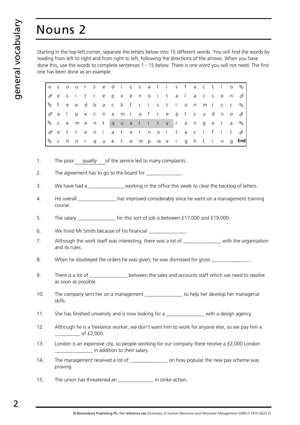### <span id="page-6-0"></span>Nouns 2

Starting in the top-left corner, separate the letters below into 15 different words. You will find the words by reading from left to right and from right to left, following the directions of the arrows. When you have done this, use the words to complete sentences 1 - 15 below. There is one word you will not need. The first one has been done as an example.

|  |  |  |  |  |  |  |  |  |  |  | $\mathcal{F}$ esitrep xenoital acsen $\mathcal{F}$     |
|--|--|--|--|--|--|--|--|--|--|--|--------------------------------------------------------|
|  |  |  |  |  |  |  |  |  |  |  | $\forall f \in A \cup B$ ackfriction misc $\exists g$  |
|  |  |  |  |  |  |  |  |  |  |  | $\mathcal{F}$ alpec namrofrept cud no $\mathcal{Y}$    |
|  |  |  |  |  |  |  |  |  |  |  | $\uplus$ cement quality rangera $\uplus$               |
|  |  |  |  |  |  |  |  |  |  |  | $\mathcal{F}$ et reniaternoitacifit $\mathcal{Y}$      |
|  |  |  |  |  |  |  |  |  |  |  | 、 と と ト n i q u e t e m p w e i g h t i n g <b>End</b> |

- 1. The poor *quality* of the service led to many complaints.
- 2. The agreement has to go to the board for \_\_\_\_\_\_\_\_\_\_\_\_\_\_.
- 3. We have had a working in the office this week to clear the backlog of letters.
- 4. His overall \_\_\_\_\_\_\_\_\_\_\_\_\_\_\_\_ has improved considerably since he went on a management training course.
- 5. The salary \_\_\_\_\_\_\_\_\_\_\_\_\_\_\_ for this sort of job is between £17,000 and £19,000.
- 6. We hired Mr Smith because of his financial **We hired Mr** Smith because of his financial
- 7. Although the work itself was interesting, there was a lot of with the organisation and its rules.
- 8. When he disobeyed the orders he was given, he was dismissed for gross \_\_\_\_\_\_\_\_\_\_\_\_\_\_\_\_\_\_.
- 9. There is a lot of \_\_\_\_\_\_\_\_\_\_\_\_\_\_\_\_\_ between the sales and accounts staff which we need to resolve as soon as possible.
- 10. The company sent her on a management \_\_\_\_\_\_\_\_\_\_\_\_\_\_\_\_\_ to help her develop her managerial skills.
- 11. She has finished university and is now looking for a \_\_\_\_\_\_\_\_\_\_\_\_\_\_\_\_ with a design agency.
- 12. Although he is a freelance worker, we don't want him to work for anyone else, so we pay him a  $-$  of £2,000.
- 13. London is an expensive city, so people working for our company there receive a £2,000 London \_\_\_\_\_\_\_\_\_\_\_\_\_\_\_ in addition to their salary.
- 14. The management received a lot of \_\_\_\_\_\_\_\_\_\_\_\_\_\_\_\_\_\_ on how popular the new pay scheme was proving.
- 15. The union has threatened an **the investment in strike action.**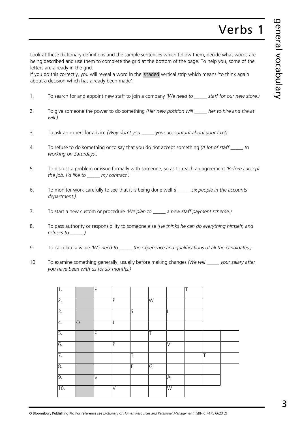general vocabulary

general vocabulary

<span id="page-7-0"></span>Look at these dictionary definitions and the sample sentences which follow them, decide what words are being described and use them to complete the grid at the bottom of the page. To help you, some of the letters are already in the grid.

If you do this correctly, you will reveal a word in the shaded vertical strip which means 'to think again about a decision which has already been made'.

- 1. To search for and appoint new staff to join a company *(We need to \_\_\_\_\_ staff for our new store.)*
- 2. To give someone the power to do something *(Her new position will \_\_\_\_\_ her to hire and fire at will.)*
- 3. To ask an expert for advice *(Why don't you \_\_\_\_\_ your accountant about your tax?)*
- 4. To refuse to do something or to say that you do not accept something *(A lot of staff \_\_\_\_\_ to working on Saturdays.)*
- 5. To discuss a problem or issue formally with someone, so as to reach an agreement *(Before I accept the job, I'd like to \_\_\_\_\_ my contract.)*
- 6. To monitor work carefully to see that it is being done well *(I \_\_\_\_\_ six people in the accounts department.)*
- 7. To start a new custom or procedure *(We plan to \_\_\_\_\_ a new staff payment scheme.)*
- 8. To pass authority or responsibility to someone else *(He thinks he can do everything himself, and refuses to \_\_\_\_\_.)*
- 9. To calculate a value *(We need to \_\_\_\_\_ the experience and qualifications of all the candidates.)*
- 10. To examine something generally, usually before making changes *(We will \_\_\_\_\_ your salary after you have been with us for six months.)*

| $\overline{1}$ . |    | E      |                         |   |   |                   |                   |  |
|------------------|----|--------|-------------------------|---|---|-------------------|-------------------|--|
|                  |    |        |                         |   |   |                   |                   |  |
| $\overline{2}$ . |    |        | $\overline{\mathsf{P}}$ |   | W |                   |                   |  |
| $\overline{3.}$  |    |        |                         | Š |   |                   |                   |  |
| $\overline{4}$ . | lO |        |                         |   |   |                   |                   |  |
| $\overline{5}$ . |    | E      |                         |   | T |                   |                   |  |
| $\overline{6}$ . |    |        | $\overline{\mathsf{P}}$ |   |   | $\overline{\vee}$ |                   |  |
| 7.               |    |        |                         | T |   |                   | $\overline{\top}$ |  |
| $\overline{8}$ . |    |        |                         | E | G |                   |                   |  |
| $\overline{9}$ . |    | $\vee$ |                         |   |   | $ \overline{A} $  |                   |  |
| 10.              |    |        | IV                      |   |   | W                 |                   |  |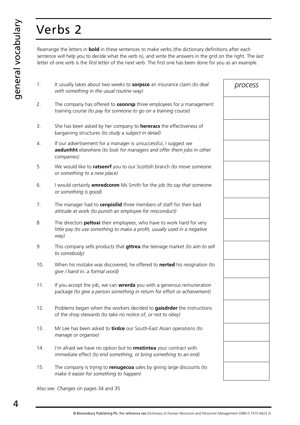## <span id="page-8-0"></span>Verbs 2

Rearrange the letters in **bold** in these sentences to make verbs (the dictionary definitions after each sentence will help you to decide what the verb is), and write the answers in the grid on the right. The *last* letter of one verb is the *first* letter of the next verb. The first one has been done for you as an example.

| 1.  | It usually takes about two weeks to <b>sorpsce</b> an insurance claim (to deal<br>with something in the usual routine way)                                        | process |
|-----|-------------------------------------------------------------------------------------------------------------------------------------------------------------------|---------|
| 2.  | The company has offered to <b>osonrsp</b> three employees for a management<br>training course (to pay for someone to go on a training course)                     |         |
| 3.  | She has been asked by her company to <b>hereracs</b> the effectiveness of<br>bargaining structures (to study a subject in detail)                                 |         |
| 4.  | If our advertisement for a manager is unsuccessful, I suggest we<br>aedunhht elsewhere (to look for managers and offer them jobs in other<br>companies)           |         |
| 5.  | We would like to ratsenrf you to our Scottish branch (to move someone<br>or something to a new place)                                                             |         |
| 6.  | I would certainly emredconm Ms Smith for the job (to say that someone<br>or something is good)                                                                    |         |
| 7.  | The manager had to cenpisilid three members of staff for their bad<br>attitude at work (to punish an employee for misconduct)                                     |         |
| 8.  | The directors <b>peltoxi</b> their employees, who have to work hard for very<br>little pay (to use something to make a profit, usually used in a negative<br>way) |         |
| 9.  | This company sells products that gttrea the teenage market (to aim to sell<br>to somebody)                                                                        |         |
| 10. | When his mistake was discovered, he offered to <b>nerted</b> his resignation (to<br>give / hand in: a formal word)                                                |         |
| 11. | If you accept the job, we can <b>wrerda</b> you with a generous remuneration<br>package (to give a person something in return for effort or achievement)          |         |
| 12. | Problems began when the workers decided to gaisdrder the instructions<br>of the shop stewards (to take no notice of, or not to obey)                              |         |
| 13. | Mr Lee has been asked to tirdce our South-East Asian operations (to<br>manage or organise)                                                                        |         |
| 14. | I'm afraid we have no option but to <b>rmetintea</b> your contract with<br>immediate effect (to end something, or bring something to an end)                      |         |
| 15. | The company is trying to renugecoa sales by giving large discounts (to<br>make it easier for something to happen)                                                 |         |

Also see: *Changes* on pages 34 and 35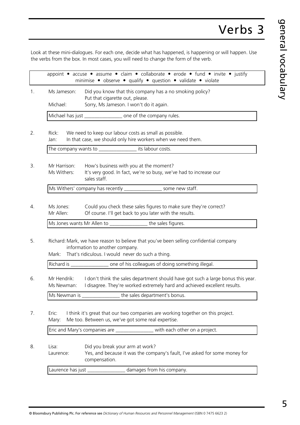<span id="page-9-0"></span>Look at these mini-dialogues. For each one, decide what has happened, is happening or will happen. Use the verbs from the box. In most cases, you will need to change the form of the verb.

|    |                             | appoint • accuse • assume • claim • collaborate • erode • fund • invite • justify<br>minimise • observe • qualify • question • validate • violate                                    |
|----|-----------------------------|--------------------------------------------------------------------------------------------------------------------------------------------------------------------------------------|
| 1. | Ms Jameson:<br>Michael:     | Did you know that this company has a no smoking policy?<br>Put that cigarette out, please.<br>Sorry, Ms Jameson. I won't do it again.                                                |
|    |                             | Michael has just __________________ one of the company rules.                                                                                                                        |
| 2. | Rick:<br>Jan:               | We need to keep our labour costs as small as possible.<br>In that case, we should only hire workers when we need them.                                                               |
|    |                             | The company wants to ________________ its labour costs.                                                                                                                              |
| 3. | Mr Harrison:<br>Ms Withers: | How's business with you at the moment?<br>It's very good. In fact, we're so busy, we've had to increase our<br>sales staff.                                                          |
|    |                             | Ms Withers' company has recently ___________________ some new staff.                                                                                                                 |
| 4. | Ms Jones:<br>Mr Allen:      | Could you check these sales figures to make sure they're correct?<br>Of course. I'll get back to you later with the results.                                                         |
|    |                             | Ms Jones wants Mr Allen to ___________________ the sales figures.                                                                                                                    |
| 5. |                             | Richard: Mark, we have reason to believe that you've been selling confidential company<br>information to another company.<br>Mark: That's ridiculous. I would never do such a thing. |
|    |                             | Richard is ___________________ one of his colleagues of doing something illegal.                                                                                                     |
| 6. | Mr Hendrik:<br>Ms Newman:   | I don't think the sales department should have got such a large bonus this year.<br>I disagree. They're worked extremely hard and achieved excellent results.                        |
|    | Ms Newman is _              | the sales department's bonus.                                                                                                                                                        |
| 7. | Eric:<br>Mary:              | I think it's great that our two companies are working together on this project.<br>Me too. Between us, we've got some real expertise.                                                |
|    |                             | Eric and Mary's companies are _______________ with each other on a project.                                                                                                          |
| 8. | Lisa:<br>Laurence:          | Did you break your arm at work?<br>Yes, and because it was the company's fault, I've asked for some money for<br>compensation.                                                       |

Laurence has just \_\_\_\_\_\_\_\_\_\_\_\_\_\_\_\_\_\_ damages from his company.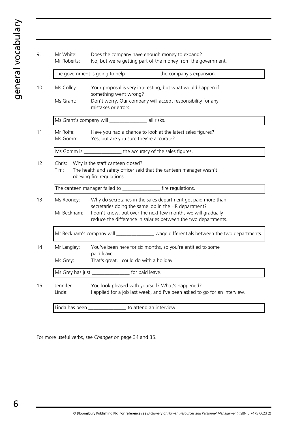| 9.  | Mr White:<br>Mr Roberts:  | Does the company have enough money to expand?<br>No, but we're getting part of the money from the government.                                                                                                                                           |
|-----|---------------------------|---------------------------------------------------------------------------------------------------------------------------------------------------------------------------------------------------------------------------------------------------------|
|     |                           | The government is going to help _______________the company's expansion.                                                                                                                                                                                 |
| 10. | Ms Colley:<br>Ms Grant:   | Your proposal is very interesting, but what would happen if<br>something went wrong?<br>Don't worry. Our company will accept responsibility for any<br>mistakes or errors.                                                                              |
|     |                           | Ms Grant's company will __________________ all risks.                                                                                                                                                                                                   |
| 11. | Mr Rolfe:<br>Ms Gomm:     | Have you had a chance to look at the latest sales figures?<br>Yes, but are you sure they're accurate?                                                                                                                                                   |
|     |                           | Ms Gomm is ____________________ the accuracy of the sales figures.                                                                                                                                                                                      |
| 12. | Tim:                      | Chris: Why is the staff canteen closed?<br>The health and safety officer said that the canteen manager wasn't<br>obeying fire regulations.                                                                                                              |
|     |                           | The canteen manager failed to __________________ fire regulations.                                                                                                                                                                                      |
| 13  | Ms Rooney:<br>Mr Beckham: | Why do secretaries in the sales department get paid more than<br>secretaries doing the same job in the HR department?<br>I don't know, but over the next few months we will gradually<br>reduce the difference in salaries between the two departments. |
|     |                           | Mr Beckham's company will _________________ wage differentials between the two departments.                                                                                                                                                             |
| 14. | Mr Langley:               | You've been here for six months, so you're entitled to some<br>paid leave.                                                                                                                                                                              |
|     | Ms Grey:                  | That's great. I could do with a holiday.                                                                                                                                                                                                                |
|     |                           | Ms Grey has just ___________________ for paid leave.                                                                                                                                                                                                    |
| 15. | Jennifer:<br>Linda:       | You look pleased with yourself? What's happened?<br>I applied for a job last week, and I've been asked to go for an interview.                                                                                                                          |
|     | Linda has been _          | to attend an interview.                                                                                                                                                                                                                                 |

For more useful verbs, see *Changes* on page 34 and 35.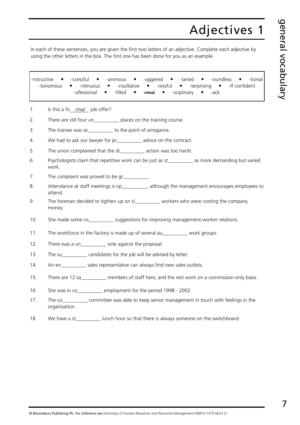### Adjectives 1

<span id="page-11-0"></span>In each of these sentences, you are given the first two letters of an adjective. Complete each adjective by using the other letters in the box. The first one has been done for you as an example.

| -nstructive | $-$ animous $\bullet$<br>-laried<br>-oundless<br>-tional<br>-ccessful<br>-aggered $\bullet$<br>$\bullet$<br>$\bullet$<br>-nsultative •<br>-ressful<br>-If confident<br>-ntinuous<br>-terprising $\bullet$<br>-tonomous<br>$\bullet$<br>-ofessional<br>-filled<br>-sciplinary<br><del>-rmal</del><br>-ack<br>$\bullet$<br>$\bullet$<br>$\bullet$ |
|-------------|-------------------------------------------------------------------------------------------------------------------------------------------------------------------------------------------------------------------------------------------------------------------------------------------------------------------------------------------------|
| 1.          | Is this a fo rmal job offer?                                                                                                                                                                                                                                                                                                                    |
| 2.          | There are still four un____________ places on the training course.                                                                                                                                                                                                                                                                              |
| 3.          | The trainee was se__________ to the point of arrogance.                                                                                                                                                                                                                                                                                         |
| 4.          | We had to ask our lawyer for pr___________ advice on the contract.                                                                                                                                                                                                                                                                              |
| 5.          | The union complained that the di___________ action was too harsh.                                                                                                                                                                                                                                                                               |
| 6.          | Psychologists claim that repetitive work can be just as st_________ as more demanding but varied<br>work.                                                                                                                                                                                                                                       |
| 7.          | The complaint was proved to be gr__________.                                                                                                                                                                                                                                                                                                    |
| 8.          | Attendance at staff meetings is op__________, although the management encourages employees to<br>attend.                                                                                                                                                                                                                                        |
| 9.          | The foreman decided to tighten up on sl___________ workers who were costing the company<br>money.                                                                                                                                                                                                                                               |
| 10.         | She made some co____________ suggestions for improving management-worker relations.                                                                                                                                                                                                                                                             |
| 11.         | The workforce in the factory is made up of several au__________ work groups.                                                                                                                                                                                                                                                                    |
| 12.         | There was a un___________ vote against the proposal.                                                                                                                                                                                                                                                                                            |
| 13.         | The su___________ candidates for the job will be advised by letter.                                                                                                                                                                                                                                                                             |
| 14.         | An en___________ sales representative can always find new sales outlets.                                                                                                                                                                                                                                                                        |
| 15.         | There are 12 sa members of staff here, and the rest work on a commission-only basis.                                                                                                                                                                                                                                                            |
| 16.         | She was in co____________ employment for the period 1998 - 2002.                                                                                                                                                                                                                                                                                |
| 17.         | The co____________ committee was able to keep senior management in touch with feelings in the<br>organisation.                                                                                                                                                                                                                                  |
| 18.         | unch hour so that there is always someone on the switchboard.<br>We have a st________                                                                                                                                                                                                                                                           |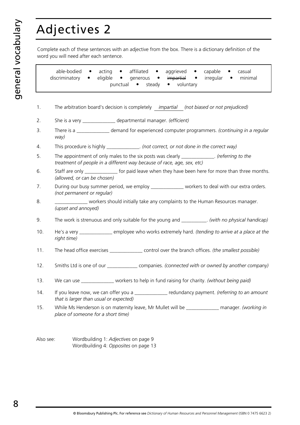$\Gamma$ 

### <span id="page-12-0"></span>Adjectives 2

Complete each of these sentences with an adjective from the box. There is a dictionary definition of the word you will need after each sentence.

|           | able-bodied<br>capable<br>$\bullet$ acting<br>$\bullet$ affiliated $\bullet$<br>aggrieved $\bullet$<br>casual<br>$\bullet$<br>eligible<br>impartial<br>$irregular \bullet$<br>discriminatory<br>minimal<br>• generous<br>$\bullet$<br>$\bullet$<br>$\bullet$<br>• voluntary<br>punctual • steady |
|-----------|--------------------------------------------------------------------------------------------------------------------------------------------------------------------------------------------------------------------------------------------------------------------------------------------------|
| 1.        | The arbitration board's decision is completely impartial (not biased or not prejudiced)                                                                                                                                                                                                          |
| 2.        | She is a very ________________ departmental manager. (efficient)                                                                                                                                                                                                                                 |
| 3.        | There is a _______________ demand for experienced computer programmers. (continuing in a regular<br>way)                                                                                                                                                                                         |
| 4.        | This procedure is highly _____________. (not correct, or not done in the correct way)                                                                                                                                                                                                            |
| 5.        | The appointment of only males to the six posts was clearly _____________. (referring to the<br>treatment of people in a different way because of race, age, sex, etc)                                                                                                                            |
| 6.        | Staff are only _______________ for paid leave when they have been here for more than three months.<br>(allowed, or can be chosen)                                                                                                                                                                |
| 7.        | During our busy summer period, we employ _____________ workers to deal with our extra orders.<br>(not permanent or regular)                                                                                                                                                                      |
| 8.        | ___________ workers should initially take any complaints to the Human Resources manager.<br>(upset and annoyed)                                                                                                                                                                                  |
| 9.        | The work is strenuous and only suitable for the young and __________. (with no physical handicap)                                                                                                                                                                                                |
| 10.       | He's a very _______________ employee who works extremely hard. (tending to arrive at a place at the<br>right time)                                                                                                                                                                               |
| 11.       | The head office exercises _______________ control over the branch offices. (the smallest possible)                                                                                                                                                                                               |
| 12.       | Smiths Ltd is one of our _______________ companies. (connected with or owned by another company)                                                                                                                                                                                                 |
| 13.       | We can use _______________ workers to help in fund raising for charity. (without being paid)                                                                                                                                                                                                     |
| 14.       | If you leave now, we can offer you a __________________ redundancy payment. (referring to an amount<br>that is larger than usual or expected)                                                                                                                                                    |
| 15.       | While Ms Henderson is on maternity leave, Mr Mullet will be ______________ manager. (working in<br>place of someone for a short time)                                                                                                                                                            |
| Also see: | Wordbuilding 1: Adjectives on page 9                                                                                                                                                                                                                                                             |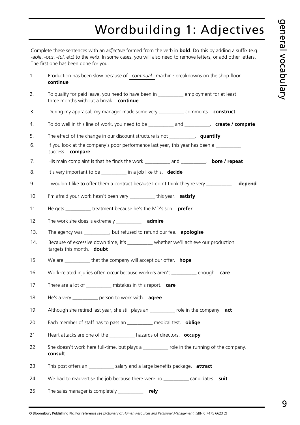### Wordbuilding 1: Adjectives

<span id="page-13-0"></span>Complete these sentences with an *adjective* formed from the verb in **bold**. Do this by adding a suffix (e.g. -*able*, -*ous*, -*ful*, etc) to the verb. In some cases, you will also need to remove letters, or add other letters. The first one has been done for you.

- 1. Production has been slow because of *continual* machine breakdowns on the shop floor. **continue** 2. To qualify for paid leave, you need to have been in \_\_\_\_\_\_\_\_\_\_\_ employment for at least three months without a break. **continue** 3. During my appraisal, my manager made some very \_\_\_\_\_\_\_\_\_\_ comments. **construct** 4. To do well in this line of work, you need to be \_\_\_\_\_\_\_\_\_\_ and \_\_\_\_\_\_\_\_\_\_. **create / compete** 5. The effect of the change in our discount structure is not \_\_\_\_\_\_\_\_\_\_. **quantify**
- 6. If you look at the company's poor performance last year, this year has been a success. **compare**
- 7. His main complaint is that he finds the work \_\_\_\_\_\_\_\_\_\_ and \_\_\_\_\_\_\_\_\_\_. **bore / repeat**
- 8. It's very important to be \_\_\_\_\_\_\_\_\_\_ in a job like this. **decide**
- 9. I wouldn't like to offer them a contract because I don't think they're very \_\_\_\_\_\_\_\_\_\_. **depend**
- 10. I'm afraid your work hasn't been very \_\_\_\_\_\_\_\_\_\_ this year. **satisfy**
- 11. He gets \_\_\_\_\_\_\_\_\_\_ treatment because he's the MD's son. **prefer**
- 12. The work she does is extremely \_\_\_\_\_\_\_\_\_\_. **admire**
- 13. The agency was \_\_\_\_\_\_\_\_\_\_, but refused to refund our fee. **apologise**
- 14. Because of excessive down time, it's \_\_\_\_\_\_\_\_\_\_ whether we'll achieve our production targets this month. **doubt**
- 15. We are \_\_\_\_\_\_\_\_\_\_ that the company will accept our offer. **hope**
- 16. Work-related injuries often occur because workers aren't \_\_\_\_\_\_\_\_\_\_ enough. **care**
- 17. There are a lot of \_\_\_\_\_\_\_\_\_\_ mistakes in this report. **care**
- 18. He's a very \_\_\_\_\_\_\_\_\_\_ person to work with. **agree**
- 19. Although she retired last year, she still plays an \_\_\_\_\_\_\_\_\_\_ role in the company. **act**
- 20. Each member of staff has to pass an \_\_\_\_\_\_\_\_\_\_ medical test. **oblige**
- 21. Heart attacks are one of the \_\_\_\_\_\_\_\_\_\_ hazards of directors. **occupy**
- 22. She doesn't work here full-time, but plays a \_\_\_\_\_\_\_\_\_ role in the running of the company. **consult**
- 23. This post offers an \_\_\_\_\_\_\_\_\_\_ salary and a large benefits package. **attract**
- 24. We had to readvertise the job because there were no \_\_\_\_\_\_\_\_\_\_ candidates. **suit**
- 25. The sales manager is completely \_\_\_\_\_\_\_\_\_\_. **rely**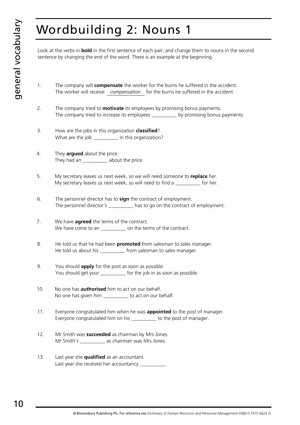### <span id="page-14-0"></span>Wordbuilding 2: Nouns 1

Look at the *verbs* in **bold** in the first sentence of each pair, and change them to nouns in the second sentence by changing the end of the word. There is an example at the beginning.

- 1. The company will **compensate** the worker for the burns he suffered in the accident. The worker will receive *compensation* for the burns he suffered in the accident.
- 2. The company tried to **motivate** its employees by promising bonus payments. The company tried to increase its employees \_\_\_\_\_\_\_\_\_\_ by promising bonus payments.
- 3. How are the jobs in this organization **classified**? What are the job \_\_\_\_\_\_\_\_\_\_\_ in this organization?
- 4. They **argued** about the price. They had an \_\_\_\_\_\_\_\_\_\_\_ about the price.
- 5. My secretary leaves us next week, so we will need someone to **replace** her. My secretary leaves us next week, so will need to find a \_\_\_\_\_\_\_\_\_\_\_ for her.
- 6. The personnel director has to **sign** the contract of employment. The personnel director's \_\_\_\_\_\_\_\_\_\_ has to go on the contract of employment.
- 7. We have **agreed** the terms of the contract. We have come to an \_\_\_\_\_\_\_\_\_\_\_\_ on the terms of the contract.
- 8. He told us that he had been **promoted** from salesman to sales manager. He told us about his \_\_\_\_\_\_\_\_\_\_\_ from salesman to sales manager.
- 9. You should **apply** for the post as soon as possible. You should get your \_\_\_\_\_\_\_\_\_\_\_ for the job in as soon as possible.
- 10. No one has **authorised** him to act on our behalf. No one has given him to act on our behalf.
- 11. Everyone congratulated him when he was **appointed** to the post of manager. Everyone congratulated him on his \_\_\_\_\_\_\_\_\_\_ to the post of manager.
- 12. Mr Smith was **succeeded** as chairman by Mrs Jones. Mr Smith's as chairman was Mrs Jones.
- 13. Last year she **qualified** as an accountant. Last year she received her accountancy \_\_\_\_\_\_\_\_\_\_.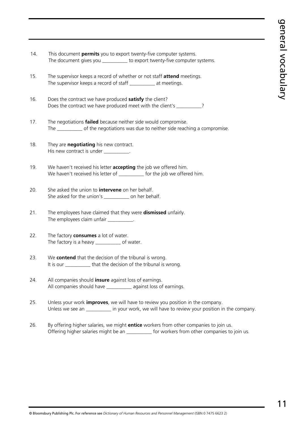- 14. This document **permits** you to export twenty-five computer systems. The document gives you \_\_\_\_\_\_\_\_\_\_ to export twenty-five computer systems.
- 15. The supervisor keeps a record of whether or not staff **attend** meetings. The supervisor keeps a record of staff \_\_\_\_\_\_\_\_\_\_ at meetings.
- 16. Does the contract we have produced **satisfy** the client? Does the contract we have produced meet with the client's \_\_\_\_\_\_\_\_\_\_?
- 17. The negotiations **failed** because neither side would compromise. The \_\_\_\_\_\_\_\_\_\_ of the negotiations was due to neither side reaching a compromise.
- 18. They are **negotiating** his new contract. His new contract is under \_\_\_\_\_\_\_\_\_\_.
- 19. We haven't received his letter **accepting** the job we offered him. We haven't received his letter of \_\_\_\_\_\_\_\_\_\_\_ for the job we offered him.
- 20. She asked the union to **intervene** on her behalf. She asked for the union's on her behalf.
- 21. The employees have claimed that they were **dismissed** unfairly. The employees claim unfair
- 22. The factory **consumes** a lot of water. The factory is a heavy \_\_\_\_\_\_\_\_\_\_\_\_ of water.
- 23. We **contend** that the decision of the tribunal is wrong. It is our \_\_\_\_\_\_\_\_\_\_\_ that the decision of the tribunal is wrong.
- 24. All companies should **insure** against loss of earnings. All companies should have \_\_\_\_\_\_\_\_\_\_\_ against loss of earnings.
- 25. Unless your work **improves**, we will have to review you position in the company. Unless we see an \_\_\_\_\_\_\_\_\_\_ in your work, we will have to review your position in the company.
- 26. By offering higher salaries, we might **entice** workers from other companies to join us. Offering higher salaries might be an \_\_\_\_\_\_\_\_\_\_\_ for workers from other companies to join us.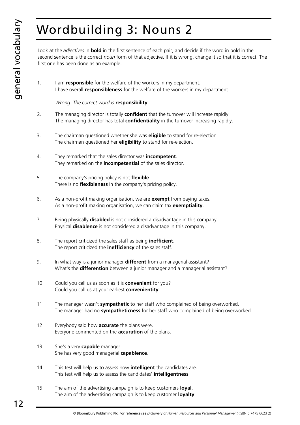### <span id="page-16-0"></span>Wordbuilding 3: Nouns 2

Look at the *adjectives* in **bold** in the first sentence of each pair, and decide if the word in bold in the second sentence is the correct *noun* form of that adjective. If it is wrong, change it so that it is correct. The first one has been done as an example.

1. I am **responsible** for the welfare of the workers in my department. I have overall **responsibleness** for the welfare of the workers in my department.

*Wrong. The correct word is* **responsibility**

- 2. The managing director is totally **confident** that the turnover will increase rapidly. The managing director has total **confidentiality** in the turnover increasing rapidly.
- 3. The chairman questioned whether she was **eligible** to stand for re-election. The chairman questioned her **eligibility** to stand for re-election.
- 4. They remarked that the sales director was **incompetent**. They remarked on the **incompetential** of the sales director.
- 5. The company's pricing policy is not **flexible**. There is no **flexibleness** in the company's pricing policy.
- 6. As a non-profit making organisation, we are **exempt** from paying taxes. As a non-profit making organisation, we can claim tax **exemptiality**.
- 7. Being physically **disabled** is not considered a disadvantage in this company. Physical **disablence** is not considered a disadvantage in this company.
- 8. The report criticized the sales staff as being **inefficient**. The report criticized the **inefficiency** of the sales staff.
- 9. In what way is a junior manager **different** from a managerial assistant? What's the **differention** between a junior manager and a managerial assistant?
- 10. Could you call us as soon as it is **convenient** for you? Could you call us at your earliest **convenientity**.
- 11. The manager wasn't **sympathetic** to her staff who complained of being overworked. The manager had no **sympatheticness** for her staff who complained of being overworked.
- 12. Everybody said how **accurate** the plans were. Everyone commented on the **accuration** of the plans.
- 13. She's a very **capable** manager. She has very good managerial **capablence**.
- 14. This test will help us to assess how **intelligent** the candidates are. This test will help us to assess the candidates' **intelligentness**.
- 15. The aim of the advertising campaign is to keep customers **loyal**. The aim of the advertising campaign is to keep customer **loyalty**.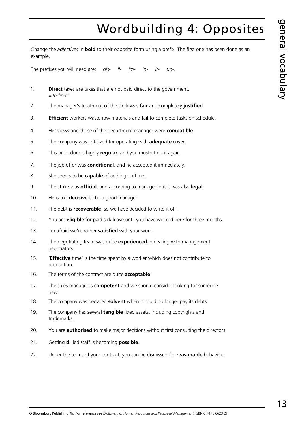### Wordbuilding 4: Opposites

<span id="page-17-0"></span>Change the *adjectives* in **bold** to their opposite form using a prefix. The first one has been done as an example.

The prefixes you will need are: *dis- il- im- in- ir- un-*.

- 1. **Direct** taxes are taxes that are not paid direct to the government. = *Indirect*
- 2. The manager's treatment of the clerk was **fair** and completely **justified**.
- 3. **Efficient** workers waste raw materials and fail to complete tasks on schedule.
- 4. Her views and those of the department manager were **compatible**.
- 5. The company was criticized for operating with **adequate** cover.
- 6. This procedure is highly **regular**, and you mustn't do it again.
- 7. The job offer was **conditional**, and he accepted it immediately.
- 8. She seems to be **capable** of arriving on time.
- 9. The strike was **official**, and according to management it was also **legal**.
- 10. He is too **decisive** to be a good manager.
- 11. The debt is **recoverable**, so we have decided to write it off.
- 12. You are **eligible** for paid sick leave until you have worked here for three months.
- 13. I'm afraid we're rather **satisfied** with your work.
- 14. The negotiating team was quite **experienced** in dealing with management negotiators.
- 15. '**Effective** time' is the time spent by a worker which does not contribute to production.
- 16. The terms of the contract are quite **acceptable**.
- 17. The sales manager is **competent** and we should consider looking for someone new.
- 18. The company was declared **solvent** when it could no longer pay its debts.
- 19. The company has several **tangible** fixed assets, including copyrights and trademarks.
- 20. You are **authorised** to make major decisions without first consulting the directors.
- 21. Getting skilled staff is becoming **possible**.
- 22. Under the terms of your contract, you can be dismissed for **reasonable** behaviour.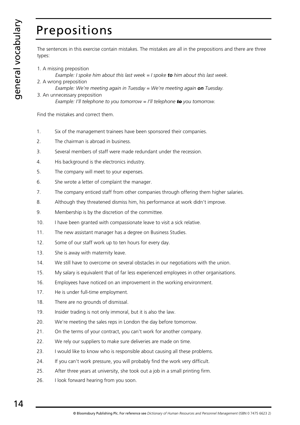### <span id="page-18-0"></span>Prepositions

The sentences in this exercise contain mistakes. The mistakes are all in the prepositions and there are three types:

- 1. A missing preposition
	- *Example: I spoke him about this last week = I spoke to him about this last week.*
- 2. A wrong preposition *Example: We're meeting again in Tuesday = We're meeting again on Tuesday.* 3. An unnecessary preposition

*Example: I'll telephone to you tomorrow = I'll telephone <i>to* you tomorrow.

Find the mistakes and correct them.

- 1. Six of the management trainees have been sponsored their companies.
- 2. The chairman is abroad in business.
- 3. Several members of staff were made redundant under the recession.
- 4. His background is the electronics industry.
- 5. The company will meet to your expenses.
- 6. She wrote a letter of complaint the manager.
- 7. The company enticed staff from other companies through offering them higher salaries.
- 8. Although they threatened dismiss him, his performance at work didn't improve.
- 9. Membership is by the discretion of the committee.
- 10. I have been granted with compassionate leave to visit a sick relative.
- 11. The new assistant manager has a degree on Business Studies.
- 12. Some of our staff work up to ten hours for every day.
- 13. She is away with maternity leave.
- 14. We still have to overcome on several obstacles in our negotiations with the union.
- 15. My salary is equivalent that of far less experienced employees in other organisations.
- 16. Employees have noticed on an improvement in the working environment.
- 17. He is under full-time employment.
- 18. There are no grounds of dismissal.
- 19. Insider trading is not only immoral, but it is also the law.
- 20. We're meeting the sales reps in London the day before tomorrow.
- 21. On the terms of your contract, you can't work for another company.
- 22. We rely our suppliers to make sure deliveries are made on time.
- 23. I would like to know who is responsible about causing all these problems.
- 24. If you can't work pressure, you will probably find the work very difficult.
- 25. After three years at university, she took out a job in a small printing firm.
- 26. I look forward hearing from you soon.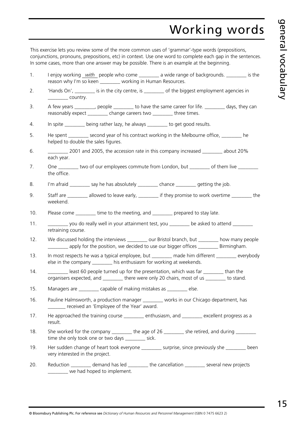### Working words

<span id="page-19-0"></span>This exercise lets you review some of the more common uses of 'grammar'-type words (prepositions, conjunctions, pronouns, prepositions, etc) in context. Use one word to complete each gap in the sentences. In some cases, more than one answer may be possible. There is an example at the beginning.

- 1. I enjoy working *with* people who come \_\_\_\_\_\_\_\_ a wide range of backgrounds. \_\_\_\_\_\_\_\_ is the reason why I'm so keen \_\_\_\_\_\_\_ working in Human Resources.
- 2. 'Hands On', \_\_\_\_\_\_\_\_ is in the city centre, is \_\_\_\_\_\_\_\_ of the biggest employment agencies in country.
- 3. A few years \_\_\_\_\_\_\_\_, people \_\_\_\_\_\_\_\_ to have the same career for life. \_\_\_\_\_\_\_\_ days, they can reasonably expect \_\_\_\_\_\_\_\_ change careers two \_\_\_\_\_\_\_ three times.
- 4. In spite \_\_\_\_\_\_\_\_ being rather lazy, he always \_\_\_\_\_\_\_ to get good results.
- 5. He spent \_\_\_\_\_\_\_\_ second year of his contract working in the Melbourne office, \_\_\_\_\_\_\_ he helped to double the sales figures.
- 6. \_\_\_\_\_\_\_\_ 2001 and 2005, the accession rate in this company increased \_\_\_\_\_\_\_\_ about 20% each year.
- 7. One two of our employees commute from London, but of them live the office.
- 8. I'm afraid \_\_\_\_\_\_\_\_ say he has absolutely \_\_\_\_\_\_\_\_ chance \_\_\_\_\_\_\_\_ getting the job.
- 9. Staff are \_\_\_\_\_\_\_\_ allowed to leave early, \_\_\_\_\_\_\_\_ if they promise to work overtime \_\_\_\_\_\_\_\_ the weekend.
- 10. Please come \_\_\_\_\_\_\_\_ time to the meeting, and \_\_\_\_\_\_\_\_ prepared to stay late.
- 11. \_\_\_\_\_\_\_\_\_\_\_\_ you do really well in your attainment test, you \_\_\_\_\_\_\_\_\_ be asked to attend \_\_\_\_\_\_\_\_\_ retraining course.
- 12. We discussed holding the interviews \_\_\_\_\_\_\_\_\_ our Bristol branch, but \_\_\_\_\_\_\_\_ how many people apply for the position, we decided to use our bigger offices Birmingham.
- 13. In most respects he was a typical employee, but \_\_\_\_\_\_\_\_ made him different \_\_\_\_\_\_\_\_ everybody else in the company \_\_\_\_\_\_\_\_ his enthusiasm for working at weekends.
- 14. \_\_\_\_\_\_\_\_\_\_\_\_ least 60 people turned up for the presentation, which was far \_\_\_\_\_\_\_\_\_ than the organisers expected, and \_\_\_\_\_\_\_\_ there were only 20 chairs, most of us \_\_\_\_\_\_\_\_ to stand.
- 15. Managers are \_\_\_\_\_\_\_\_ capable of making mistakes as \_\_\_\_\_\_\_\_ else.
- 16. Pauline Halmsworth, a production manager \_\_\_\_\_\_\_\_ works in our Chicago department, has \_\_\_\_\_\_\_ received an 'Employee of the Year' award.
- 17. He approached the training course \_\_\_\_\_\_\_ enthusiasm, and \_\_\_\_\_\_\_ excellent progress as a result.
- 18. She worked for the company \_\_\_\_\_\_\_\_ the age of 26 \_\_\_\_\_\_\_ she retired, and during \_\_\_\_\_\_\_ time she only took one or two days \_\_\_\_\_\_\_\_ sick.
- 19. Her sudden change of heart took everyone \_\_\_\_\_\_\_\_ surprise, since previously she \_\_\_\_\_\_\_\_ been very interested in the project.
- 20. Reduction \_\_\_\_\_\_\_ demand has led \_\_\_\_\_\_\_\_ the cancellation \_\_\_\_\_\_\_\_ several new projects \_\_\_\_\_\_\_\_ we had hoped to implement.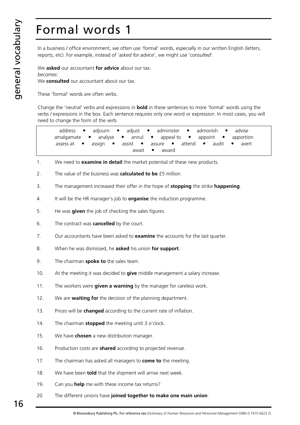### <span id="page-20-0"></span>Formal words 1

In a business / office environment, we often use 'formal' words, especially in our written English (letters, reports, etc). For example, instead of '*asked for advice*', we might use '*consulted*'.

We **asked** our accountant **for advice** about our tax.

*becomes*:

We **consulted** our accountant about our tax.

These 'formal' words are often verbs.

Change the 'neutral' verbs and expressions in **bold** in these sentences to more 'formal' words using the verbs / expressions in the box. Each sentence requires only *one* word or expression. In most cases, you will need to change the form of the verb.

|  | address • adjourn • adjust • administer • admonish • advise                                             |       |
|--|---------------------------------------------------------------------------------------------------------|-------|
|  | amalgamate • analyse • annul • appeal to • appoint • apportion                                          |       |
|  | assess at $\bullet$ assign $\bullet$ assist $\bullet$ assure $\bullet$ attend $\bullet$ audit $\bullet$ | avert |
|  | await • award                                                                                           |       |

- 1. We need to **examine in detail** the market potential of these new products.
- 2. The value of the business was **calculated to be** £5 million.
- 3. The management increased their offer in the hope of **stopping** the strike **happening**.
- 4. It will be the HR manager's job to **organise** the induction programme.
- 5. He was **given** the job of checking the sales figures.
- 6. The contract was **cancelled** by the court.
- 7. Our accountants have been asked to **examine** the accounts for the last quarter.
- 8. When he was dismissed, he **asked** his union **for support**.
- 9. The chairman **spoke to** the sales team.
- 10. At the meeting it was decided to **give** middle management a salary increase.
- 11. The workers were **given a warning** by the manager for careless work.
- 12. We are **waiting for** the decision of the planning department.
- 13. Prices will be **changed** according to the current rate of inflation.
- 14. The chairman **stopped** the meeting until 3 o'clock.
- 15. We have **chosen** a new distribution manager.
- 16. Production costs are **shared** according to projected revenue.
- 17. The chairman has asked all managers to **come to** the meeting.
- 18. We have been **told** that the shipment will arrive next week.
- 19. Can you **help** me with these income tax returns?
- 20 The different unions have **joined together to make one main union**.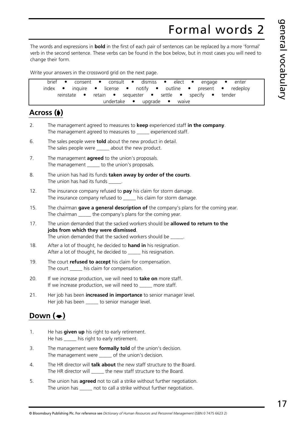### Formal words 2

<span id="page-21-0"></span>The words and expressions in **bold** in the first of each pair of sentences can be replaced by a more 'formal' verb in the second sentence. These verbs can be found in the box below, but in most cases you will need to change their form.

Write your answers in the crossword grid on the next page.

|  | brief • consent • consult • dismiss • elect • engage • enter      |                                             |  |  |  |  |  |
|--|-------------------------------------------------------------------|---------------------------------------------|--|--|--|--|--|
|  | index • inquire • license • notify • outline • present • redeploy |                                             |  |  |  |  |  |
|  | reinstate • retain • sequester • settle • specify • tender        |                                             |  |  |  |  |  |
|  |                                                                   | undertake $\bullet$ upgrade $\bullet$ waive |  |  |  |  |  |

#### **Across ()**

- 2. The management agreed to measures to **keep** experienced staff **in the company**. The management agreed to measures to \_\_\_\_\_ experienced staff.
- 6. The sales people were **told** about the new product in detail. The sales people were \_\_\_\_\_ about the new product.
- 7. The management **agreed** to the union's proposals. The management \_\_\_\_\_\_ to the union's proposals.
- 8. The union has had its funds **taken away by order of the courts**. The union has had its funds  $\frac{1}{2}$ .
- 12. The insurance company refused to **pay** his claim for storm damage. The insurance company refused to \_\_\_\_\_ his claim for storm damage.
- 15. The chairman **gave a general description of** the company's plans for the coming year. The chairman \_\_\_\_\_ the company's plans for the coming year.
- 17. The union demanded that the sacked workers should be **allowed to return to the jobs from which they were dismissed**. The union demanded that the sacked workers should be \_\_\_\_\_.
- 18. After a lot of thought, he decided to **hand in** his resignation. After a lot of thought, he decided to his resignation.
- 19. The court **refused to accept** his claim for compensation. The court his claim for compensation.
- 20. If we increase production, we will need to **take on** more staff. If we increase production, we will need to more staff.
- 21. Her job has been **increased in importance** to senior manager level. Her job has been to senior manager level.

#### **Down (** $\blacklozenge$ **)**

- 1. He has **given up** his right to early retirement. He has \_\_\_\_\_\_ his right to early retirement.
- 3. The management were **formally told** of the union's decision. The management were \_\_\_\_\_ of the union's decision.
- 4. The HR director will **talk about** the new staff structure to the Board. The HR director will \_\_\_\_\_ the new staff structure to the Board.
- 5. The union has **agreed** not to call a strike without further negotiation. The union has \_\_\_\_\_ not to call a strike without further negotiation.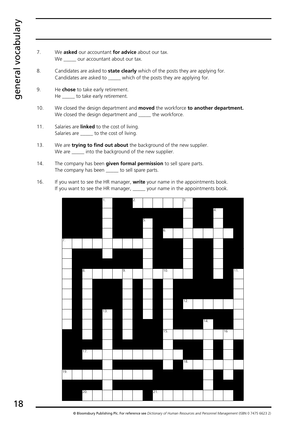

- 8. Candidates are asked to **state clearly** which of the posts they are applying for. Candidates are asked to \_\_\_\_\_ which of the posts they are applying for.
- 9. He **chose** to take early retirement. He \_\_\_\_\_\_ to take early retirement.
- 10. We closed the design department and **moved** the workforce **to another department.** We closed the design department and \_\_\_\_\_ the workforce.
- 11. Salaries are **linked** to the cost of living. Salaries are \_\_\_\_\_\_ to the cost of living.
- 13. We are **trying to find out about** the background of the new supplier. We are \_\_\_\_\_ into the background of the new supplier.
- 14. The company has been **given formal permission** to sell spare parts. The company has been \_\_\_\_\_ to sell spare parts.
- 16. If you want to see the HR manager, **write** your name in the appointments book. If you want to see the HR manager, \_\_\_\_\_ your name in the appointments book.

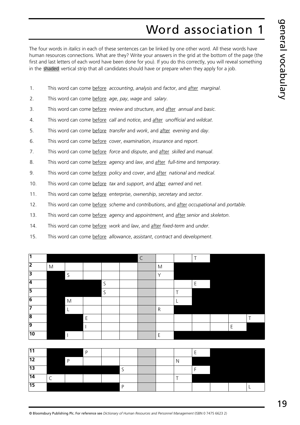### Word association 1

<span id="page-23-0"></span>The four words in *italics* in each of these sentences can be linked by one other word. All these words have human resources connections. What are they? Write your answers in the grid at the bottom of the page (the first and last letters of each word have been done for you). If you do this correctly, you will reveal something in the shaded vertical strip that all candidates should have or prepare when they apply for a job.

- 1. This word can come before *accounting*, *analysis* and *factor*, and after *marginal*.
- 2. This word can come before *age*, *pay*, *wage* and *salary*.
- 3. This word can come before *review* and *structure*, and after *annual* and *basic.*
- 4. This word can come before *call* and *notice*, and after *unofficial* and *wildcat*.
- 5. This word can come before *transfer* and *work*, and after *evening* and *day*.
- 6. This word can come before *cover*, *examination*, *insurance* and *report*.
- 7. This word can come before *force* and *dispute*, and after *skilled* and *manual*.
- 8. This word can come before *agency* and *law*, and after *full-time* and *temporary*.
- 9. This word can come before *policy* and *cover*, and after *national* and *medical*.
- 10. This word can come before *tax* and *support*, and after *earned* and *net*.
- 11. This word can come before *enterprise*, *ownership*, *secretary* and *sector*.
- 12. This word can come before *scheme* and *contributions*, and after *occupational* and *portable*.
- 13. This word can come before *agency* and *appointment*, and after *senior* and *skeleton*.
- 14. This word can come before *work* and *law*, and after *fixed-term* and *under*.
- 15. This word can come before *allowance*, *assistant*, *contract* and *development*.

| л                       |   |           |             |            | $\mathsf{C}$ |              |   | $\overline{\phantom{0}}$ |   |  |
|-------------------------|---|-----------|-------------|------------|--------------|--------------|---|--------------------------|---|--|
| $\overline{\mathbf{2}}$ | M |           |             |            |              | M            |   |                          |   |  |
| 3                       |   | S         |             |            |              | $\checkmark$ |   |                          |   |  |
| 4                       |   |           |             | $\epsilon$ |              |              |   | Е                        |   |  |
| 5                       |   |           |             | $\epsilon$ |              |              | ⇁ |                          |   |  |
| $\overline{6}$          |   | ${\sf M}$ |             |            |              |              |   |                          |   |  |
| ⇁                       |   |           |             |            |              | $\mathsf{R}$ |   |                          |   |  |
| 8                       |   |           | $\mathsf E$ |            |              |              |   |                          |   |  |
| 9                       |   |           |             |            |              |              |   |                          | E |  |
| $\overline{10}$         |   |           |             |            |              | F            |   |                          |   |  |

| . . |  |  |  |  |  |  |
|-----|--|--|--|--|--|--|
|     |  |  |  |  |  |  |
| 12  |  |  |  |  |  |  |
|     |  |  |  |  |  |  |
|     |  |  |  |  |  |  |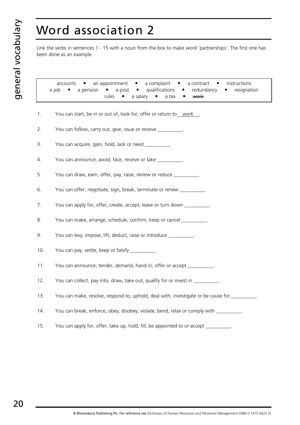### <span id="page-24-0"></span>Word association 2

Link the verbs in sentences 1 - 15 with a noun from the box to make word 'partnerships'. The first one has been done as an example.

|     | instructions<br>an appointment<br>a complaint<br>a contract<br>accounts<br>$\bullet$<br>$\bullet$<br>$\bullet$<br>qualifications<br>redundancy<br>resignation<br>a job<br>a pension<br>$\bullet$<br>a post<br>$\bullet$<br>٠<br>$\bullet$<br>rules<br>a salary<br>work<br>a tax<br>٠<br>$\bullet$ |
|-----|---------------------------------------------------------------------------------------------------------------------------------------------------------------------------------------------------------------------------------------------------------------------------------------------------|
| 1.  | You can start, be in or out of, look for, offer or return to work.                                                                                                                                                                                                                                |
| 2.  | You can follow, carry out, give, issue or receive __________.                                                                                                                                                                                                                                     |
| 3.  | You can acquire, gain, hold, lack or need __________.                                                                                                                                                                                                                                             |
| 4.  | You can announce, avoid, face, receive or take __________.                                                                                                                                                                                                                                        |
| 5.  | You can draw, earn, offer, pay, raise, review or reduce _________.                                                                                                                                                                                                                                |
| 6.  | You can offer, negotiate, sign, break, terminate or renew __________.                                                                                                                                                                                                                             |
| 7.  | You can apply for, offer, create, accept, leave or turn down __________.                                                                                                                                                                                                                          |
| 8.  | You can make, arrange, schedule, confirm, keep or cancel __________.                                                                                                                                                                                                                              |
| 9.  | You can levy, impose, lift, deduct, raise or introduce __________.                                                                                                                                                                                                                                |
| 10. | You can pay, settle, keep or falsify __________.                                                                                                                                                                                                                                                  |
| 11. | You can announce, tender, demand, hand in, offer or accept __________.                                                                                                                                                                                                                            |
| 12. | You can collect, pay into, draw, take out, qualify for or invest in _________.                                                                                                                                                                                                                    |
| 13. | You can make, resolve, respond to, uphold, deal with, investigate or be cause for _________.                                                                                                                                                                                                      |
| 14. | You can break, enforce, obey, disobey, violate, bend, relax or comply with _________.                                                                                                                                                                                                             |
| 15. | You can apply for, offer, take up, hold, fill, be appointed to or accept                                                                                                                                                                                                                          |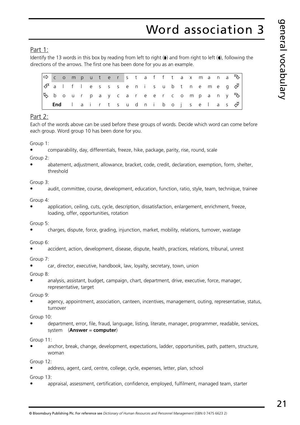### Word association 3

#### <span id="page-25-0"></span>Part 1:

Identify the 13 words in this box by reading from left to right  $(\bullet)$  and from right to left  $(\bullet)$ , following the directions of the arrows. The first one has been done for you as an example.

|  |  |  |  |  |  |  |  |  |  | $ \Rightarrow$ computers taff taxmana $\Im$                                           |
|--|--|--|--|--|--|--|--|--|--|---------------------------------------------------------------------------------------|
|  |  |  |  |  |  |  |  |  |  | $ \mathcal{F}% (A,B) = \mathcal{F}(A,B) $ alfless sen is ubt nemeg $ \mathcal{F}(A) $ |
|  |  |  |  |  |  |  |  |  |  | $ \mathbb{B}\rangle$ bourpay career company $\mathbb{B}\rangle$                       |
|  |  |  |  |  |  |  |  |  |  | $ \quad$ End lairts udniboj selas $\mathcal{\mathcal{\mathcal{P}}} $                  |

#### Part 2:

Each of the words above can be used before these groups of words. Decide which word can come before each group. Word group 10 has been done for you.

Group 1:

comparability, day, differentials, freeze, hike, package, parity, rise, round, scale

Group 2:

 abatement, adjustment, allowance, bracket, code, credit, declaration, exemption, form, shelter, threshold

Group 3:

audit, committee, course, development, education, function, ratio, style, team, technique, trainee

Group 4:

 application, ceiling, cuts, cycle, description, dissatisfaction, enlargement, enrichment, freeze, loading, offer, opportunities, rotation

Group 5:

charges, dispute, force, grading, injunction, market, mobility, relations, turnover, wastage

Group 6:

accident, action, development, disease, dispute, health, practices, relations, tribunal, unrest

Group 7:

car, director, executive, handbook, law, loyalty, secretary, town, union

Group 8:

 analysis, assistant, budget, campaign, chart, department, drive, executive, force, manager, representative, target

Group 9:

 agency, appointment, association, canteen, incentives, management, outing, representative, status, turnover

Group 10:

 department, error, file, fraud, language, listing, literate, manager, programmer, readable, services, system (**Answer** = **computer**)

Group 11:

 anchor, break, change, development, expectations, ladder, opportunities, path, pattern, structure, woman

Group 12:

address, agent, card, centre, college, cycle, expenses, letter, plan, school

Group 13:

appraisal, assessment, certification, confidence, employed, fulfilment, managed team, starter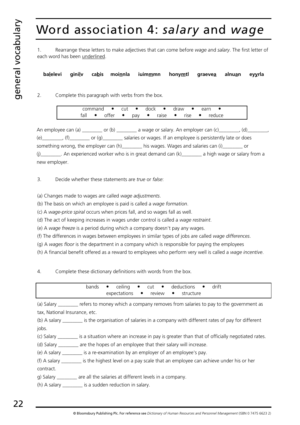### <span id="page-26-0"></span>Word association 4: *salary* and *wage*

1. Rearrange these letters to make adjectives that can come before *wage* and *salary*. The first letter of each word has been underlined.

#### **balelevi ginilv cabis moinnla iuimmmn honymtl graevea alnuan eyyrla**

2. Complete this paragraph with verbs from the box.

|  | command $\bullet$ cut $\bullet$ dock $\bullet$ draw $\bullet$ earn $\bullet$ |  |  |  |  |  |
|--|------------------------------------------------------------------------------|--|--|--|--|--|
|  | fall • offer • pay • raise • rise • reduce                                   |  |  |  |  |  |

An employee can (a) \_\_\_\_\_\_\_\_ or (b) \_\_\_\_\_\_\_\_ a wage or salary. An employer can (c) \_\_\_\_\_\_\_\_, (d) \_\_\_\_\_\_\_\_\_, (e)\_\_\_\_\_\_\_\_, (f)\_\_\_\_\_\_\_\_ or (g)\_\_\_\_\_\_\_\_ salaries or wages. If an employee is persistently late or does something wrong, the employer can (h)\_\_\_\_\_\_\_\_ his wages. Wages and salaries can (i)\_\_\_\_\_\_\_\_ or  $(i)$ \_\_\_\_\_\_\_\_. An experienced worker who is in great demand can  $(k)$ \_\_\_\_\_\_\_ a high wage or salary from a new employer.

3. Decide whether these statements are *true* or *false*:

(a) Changes made to wages are called *wage adjustments*.

(b) The basis on which an employee is paid is called a *wage formation*.

(c) A *wage-price spiral* occurs when prices fall, and so wages fall as well.

(d) The act of keeping increases in wages under control is called a *wage restraint*.

(e) A *wage freeze* is a period during which a company doesn't pay any wages.

(f) The differences in wages between employees in similar types of jobs are called *wage differences*.

(g) A *wages floor* is the department in a company which is responsible for paying the employees

(h) A financial benefit offered as a reward to employees who perform very well is called a *wage incentive*.

4. Complete these dictionary definitions with words from the box.

|                               | • ceiling • cut • deductions •<br>drift<br>bands<br>expectations • review • structure                         |
|-------------------------------|---------------------------------------------------------------------------------------------------------------|
|                               | (a) Salary ________ refers to money which a company removes from salaries to pay to the government as         |
| tax, National Insurance, etc. |                                                                                                               |
|                               | (b) A salary _________ is the organisation of salaries in a company with different rates of pay for different |
| jobs.                         |                                                                                                               |
|                               | is a situation where an increase in pay is greater than that of officially negotiated rates.                  |
| (d) Salary                    | are the hopes of an employee that their salary will increase.                                                 |

(e) A salary \_\_\_\_\_\_\_\_ is a re-examination by an employer of an employee's pay.

(f) A salary \_\_\_\_\_\_\_\_ is the highest level on a pay scale that an employee can achieve under his or her contract.

g) Salary \_\_\_\_\_\_\_\_ are all the salaries at different levels in a company.

(h) A salary \_\_\_\_\_\_\_\_ is a sudden reduction in salary.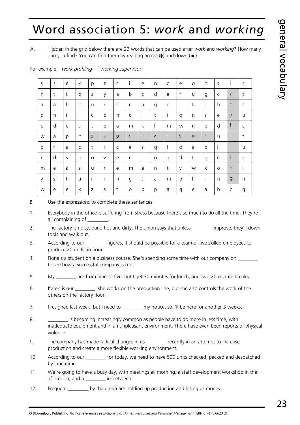### <span id="page-27-0"></span>Word association 5: *work* and *working*

A. Hidden in the grid below there are 23 words that can be used after *work* and *working*? How many can you find? You can find them by reading across  $(\blacklozenge)$  and down  $(\blacklozenge)$ .

| S       | S | e              | X            | p       | e | $\mathsf{r}$ | $\mathbf{I}$ | e              | n       | $\mathsf C$  | e            | $\circ$ | h            | <sub>S</sub> | j.           | S            |
|---------|---|----------------|--------------|---------|---|--------------|--------------|----------------|---------|--------------|--------------|---------|--------------|--------------|--------------|--------------|
| h       | t | t              | d            | a       | y | a            | b            | C              | d       | e            | $\mathsf{f}$ | U       | g            | C            | p            | $\sf t$      |
| a       | a | h              | $\circ$      | U       | r | S            | r            | a              | g       | e            |              | $\sf t$ | j            | h            | r            | $\mathsf{r}$ |
| d       | n | $\overline{1}$ |              | C       | 0 | n            | d            | $\overline{1}$ | t       | İ            | $\circ$      | n       | S            | e            | $\circ$      | U            |
| $\circ$ | d | C              | U            | t       | e | a            | m            | k              |         | m            | W            | n       | O            | d            | $\mathsf{f}$ | $\mathsf{C}$ |
| W       | a | p              | $\mathsf{n}$ | S       | u | p            | e            | $\mathsf{r}$   | $\vee$  | Ť            | S            | $\circ$ | $\mathsf{r}$ | <u>u</u>     | $\mathbf{I}$ | $\sf t$      |
| р       | r | a              | $\mathsf{C}$ | t       |   | $\mathsf{C}$ | e            | S              | q       | $\mathbf{I}$ | $\circ$      | a       | d            |              |              | U            |
| r       | d | S              | h            | $\circ$ | V | e            | r            |                | $\circ$ | a            | d            | t       | U            | e            | Ť            | r            |
| m       | e | a              | S            | U       | r | e            | m            | e              | n       | t            | $\vee$       | W       | X            | $\circ$      | n            | Ť            |
| у       | S | h              | a            | r       |   | n            | g            | S              | a       | m            | p            | Ι.      | Ť            | n            | g            | n            |
| W       | e | e              | $\mathsf k$  | Z       | S | t            | O            | р              | р       | a            | g            | e       | a            | b            | $\mathsf{C}$ | g            |

For example: *work profiling working supervisor*

- B. Use the expressions to complete these sentences.
- 1. Everybody in the office is suffering from stress because there's so much to do all the time. They're all complaining of
- 2. The factory is noisy, dark, hot and dirty. The union says that unless \_\_\_\_\_\_\_\_ improve, they'll down tools and walk out.
- 3. According to our \_\_\_\_\_\_\_\_ figures, it should be possible for a team of five skilled employees to produce 20 units an hour.
- 4. Fiona's a student on a business course. She's spending some time with our company on to see how a successful company is run.
- 5. My are from nine to five, but I get 30 minutes for lunch, and two 20-minute breaks.
- 6. Karen is our \_\_\_\_\_\_\_\_: she works on the production line, but she also controls the work of the others on the factory floor.
- 7. I resigned last week, but I need to here my notice, so I'll be here for another 3 weeks.
- 8. \_\_\_\_\_\_\_\_\_\_\_ is becoming increasingly common as people have to do more in less time, with inadequate equipment and in an unpleasant environment. There have even been reports of physical violence.
- 9. The company has made radical changes in its \_\_\_\_\_\_\_ recently in an attempt to increase production and create a more flexible working environment.
- 10. According to our \_\_\_\_\_\_\_\_ for today, we need to have 500 units checked, packed and despatched by lunchtime.
- 11. We're going to have a busy day, with meetings all morning, a staff development workshop in the afternoon, and a \_\_\_\_\_\_\_\_\_ in-between.
- 12. Frequent \_\_\_\_\_\_\_\_ by the union are holding up production and losing us money.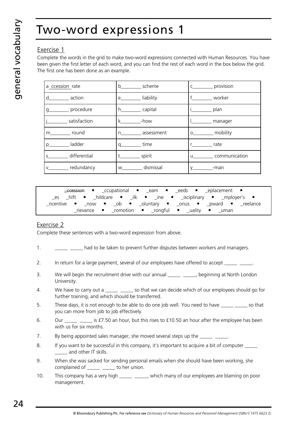### <span id="page-28-0"></span>Two-word expressions 1

#### Exercise 1

Complete the words in the grid to make two-word expressions connected with Human Resources. You have been given the first letter of each word, and you can find the rest of each word in the box below the grid. The first one has been done as an example.

| a ccession rate | scheme<br>b     | provision           |
|-----------------|-----------------|---------------------|
| action<br>d     | liability<br>e  | worker              |
| procedure<br>g  | capital<br>h    | plan                |
| satisfaction    | -how<br>k.      | manager             |
| round<br>m      | assessment<br>n | mobility<br>$\circ$ |
| ladder<br>D     | time<br>n       | rate                |
| differential    | spirit          | communication       |
| redundancy      | dismissal<br>W  | -man                |

|  | es hift • hildcare • ilk • ine • isciplinary • mployer's •             |
|--|------------------------------------------------------------------------|
|  | _ncentive • _now • _ob • _oluntary • _onus • _pward • _reelance        |
|  | $\_$ rievance • $\_$ romotion • $\_$ rongful • $\_$ uality • $\_$ uman |

#### Exercise 2

Complete these sentences with a two-word expression from above.

- 1. \_\_\_\_\_\_ \_\_\_\_\_\_ had to be taken to prevent further disputes between workers and managers.
- 2. In return for a large payment, several of our employees have offered to accept \_\_\_\_\_ \_\_\_\_\_.
- 3. We will begin the recruitment drive with our annual entity beginning at North London University.
- 4. We have to carry out a \_\_\_\_\_ so that we can decide which of our employees should go for further training, and which should be transferred.
- 5. These days, it is not enough to be able to do one job well. You need to have \_\_\_\_\_ \_\_\_\_ so that you can more from job to job effectively.
- 6. Our \_\_\_\_\_ \_\_\_\_\_ is £7.50 an hour, but this rises to £10.50 an hour after the employee has been with us for six months.
- 7. By being appointed sales manager, she moved several steps up the \_\_\_\_\_ \_\_\_\_
- 8. If you want to be successful in this company, it's important to acquire a bit of computer and other IT skills.
- 9. When she was sacked for sending personal emails when she should have been working, she complained of \_\_\_\_\_ \_\_\_\_\_ to her union.
- 10. This company has a very high \_\_\_\_\_ \_\_\_\_\_, which many of our employees are blaming on poor management.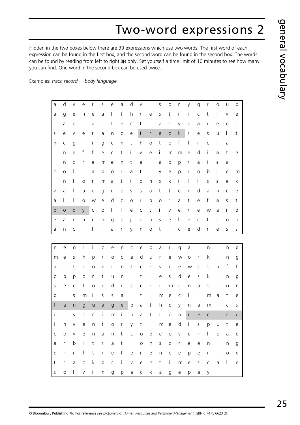### Two-word expressions 2

<span id="page-29-0"></span>Hidden in the two boxes below there are 39 expressions which use two words. The first word of each expression can be found in the first box, and the second word can be found in the second box. The words can be found by reading from left to right () only. Set yourself a time limit of 10 minutes to see how many you can find. One word in the second box can be used twice.

Examples: *track record body language*

| $\mathsf a$      | d            | $\sf V$          | e            | r                         | S                                 | e                                          | a                                 | ${\sf d}$                                  | $\sf V$                                    | Ť                                          | $\sf S$                                    | $\mathsf O$  | $\mathsf{r}$                               | y                                          | g                                          | r                         | $\circ$      | u                                          | p                                          |
|------------------|--------------|------------------|--------------|---------------------------|-----------------------------------|--------------------------------------------|-----------------------------------|--------------------------------------------|--------------------------------------------|--------------------------------------------|--------------------------------------------|--------------|--------------------------------------------|--------------------------------------------|--------------------------------------------|---------------------------|--------------|--------------------------------------------|--------------------------------------------|
| a                | g            | e                | h            | e                         | a                                 | $\vert$                                    | $\sf t$                           | h                                          | $\mathsf r$                                | $\mathsf{e}% _{0}\left( \mathsf{e}\right)$ | $\sf S$                                    | t            | r                                          | j.                                         | $\mathsf C$                                | $\sf t$                   | Ť            | $\vee$                                     | $\mathsf{e}% _{t}\left( t\right)$          |
| r                | a            | C                | j.           | a                         | $\mathbf{I}$                      | t                                          | $\mathsf{e}% _{t}\left( t\right)$ | r                                          | t                                          | i.                                         | a                                          | r            | y                                          | $\mathsf C$                                | a                                          | r                         | e            | e                                          | r                                          |
| $\sf S$          | e            | V                | e            | r                         | a                                 | $\boldsymbol{n}$                           | $\mathsf C$                       | e                                          | $\mathsf t$                                | $\mathsf r$                                | a                                          | $\mathsf C$  | k                                          | r                                          | $\mathsf{e}% _{0}\left( \mathsf{e}\right)$ | $\sf S$                   | $\cup$       | $\mathbf{I}$                               | t                                          |
| n                | е            | g                | $\mathbf{I}$ | j.                        | g                                 | $\mathsf{e}% _{t}\left( t\right)$          | n                                 | t                                          | h                                          | $\circ$                                    | $\sf t$                                    | $\mathsf O$  | $\mathsf f$                                | $\mathsf f$                                | j.                                         | $\mathsf C$               | Ť            | $\mathsf a$                                | $\mathbf{I}$                               |
| İ.               | n            | e                | f            | f                         | $\mathsf{e}$                      | $\mathsf C$                                | $\sf t$                           | Ť                                          | $\sf V$                                    | $\mathsf{e}% _{0}\left( \mathsf{e}\right)$ | j.                                         | m            | m                                          | $\mathsf{e}% _{0}\left( \mathsf{e}\right)$ | d                                          | Ť                         | a            | t                                          | $\mathsf{e}% _{0}\left( \mathsf{e}\right)$ |
| i                | n            | $\mathsf C$      | $\mathsf r$  | e                         | m                                 | e                                          | n                                 | t                                          | $\mathsf a$                                | $\perp$                                    | a                                          | р            | p                                          | r                                          | a                                          | j.                        | $\sf S$      | a                                          | $\mathbf{I}$                               |
| $\mathsf C$      | O            | $\mathbf{I}$     | $\mathbf{I}$ | a                         | b                                 | $\circ$                                    | $\mathsf r$                       | a                                          | $\sf t$                                    | j.                                         | V                                          | e            | p                                          | r                                          | $\circ$                                    | b                         | $\mathbf{I}$ | e                                          | m                                          |
| i.               | n            | f                | $\mathsf O$  | r                         | m                                 | a                                          | t                                 | Ť                                          | $\mathsf O$                                | $\sf n$                                    | $\sf S$                                    | k            | j.                                         | $\overline{\phantom{a}}$                   | $\overline{\phantom{a}}$                   | $\sf S$                   | $\sf S$      | $\mathsf{e}% _{0}\left( \mathsf{e}\right)$ | X                                          |
| $\sf V$          | a            | $\mathsf{I}$     | U            | e                         | g                                 | r                                          | $\mathsf O$                       | $\sf S$                                    | S                                          | a                                          | t                                          | t            | e                                          | n                                          | d                                          | a                         | n            | $\mathsf C$                                | $\mathsf{e}% _{0}\left( \mathsf{e}\right)$ |
| a                | $\mathbf{L}$ | $\mathbf{I}$     | $\mathsf O$  | W                         | $\mathsf{e}% _{t}\left( t\right)$ | d                                          | $\mathsf C$                       | $\mathsf O$                                | $\mathsf r$                                | p                                          | $\mathsf O$                                | r            | a                                          | t                                          | $\mathsf{e}% _{0}\left( \mathsf{e}\right)$ | f                         | a            | $\sf S$                                    | t                                          |
| $\mathsf b$      | $\circ$      | d                | y            | $\mathsf C$               | $\mathsf O$                       | $\overline{\phantom{a}}$                   | $\overline{\phantom{a}}$          | $\mathsf{e}% _{0}\left( \mathsf{e}\right)$ | $\mathsf C$                                | t                                          | j.                                         | $\sf V$      | $\mathsf{e}% _{0}\left( \mathsf{e}\right)$ | r                                          | $\mathsf{e}% _{0}\left( \mathsf{e}\right)$ | W                         | a            | $\mathsf r$                                | d                                          |
| e                | a            | r                | $\mathsf{n}$ | j,                        | n                                 | $\mathsf{g}$                               | $\sf S$                           | j                                          | $\mathsf O$                                | b                                          | S                                          | e            | $\mathbf{I}$                               | $\mathsf e$                                | $\mathsf C$                                | $\mathsf t$               | Ť            | O                                          | n                                          |
| a                | n            | $\mathsf C$      | j.           | $\mathbf{I}$              | $\mathbf{L}$                      | a                                          | $\mathsf r$                       | y                                          | n                                          | $\mathsf O$                                | t                                          | j.           | $\mathsf C$                                | e                                          | d                                          | $\mathsf r$               | e            | S                                          | S                                          |
|                  |              |                  |              |                           |                                   |                                            |                                   |                                            |                                            |                                            |                                            |              |                                            |                                            |                                            |                           |              |                                            |                                            |
| $\boldsymbol{n}$ | e            | g                | $\mathbf{I}$ | i.                        | $\mathsf C$                       | $\mathsf{e}% _{0}\left( \mathsf{e}\right)$ | n                                 | $\mathsf C$                                | $\mathsf{e}% _{0}\left( \mathsf{e}\right)$ | b                                          | $\mathsf a$                                | $\mathsf r$  | $\mathsf{g}$                               | a                                          | $\mathbf i$                                | $\boldsymbol{\mathsf{n}}$ | Ť            | n                                          | g                                          |
| m                | e            | S                | h            | p                         | r                                 | $\mathsf O$                                | $\mathsf C$                       | e                                          | d                                          | $\sf U$                                    | r                                          | e            | W                                          | O                                          | $\mathsf r$                                | k                         | Ť.           | n                                          | g                                          |
| a                | $\mathsf C$  | t                | i.           | O                         | n                                 | i.                                         | $\boldsymbol{n}$                  | $\sf t$                                    | $\mathsf e$                                | $\mathsf{r}$                               | $\sf V$                                    | j.           | e                                          | W                                          | $\sf S$                                    | $\sf t$                   | a            | f                                          | $\mathsf{f}$                               |
| $\mathsf O$      | p            | p                | $\mathsf O$  | r                         | t                                 | U                                          | $\boldsymbol{\mathsf{n}}$         | j.                                         | $\mathsf{t}$                               | $\mathbf{i}$                               | $\mathsf{e}% _{0}\left( \mathsf{e}\right)$ | $\sf S$      | d                                          | е                                          | S                                          | k                         | Ť            | $\boldsymbol{n}$                           | g                                          |
| $\sf S$          | e            | $\mathsf C$      | t            | $\circ$                   | r                                 | d                                          | j.                                | $\sf S$                                    | $\mathsf C$                                | $\mathsf{r}$                               | i.                                         | m            | j.                                         | n                                          | a                                          | $\sf t$                   | Ť            | O                                          | n                                          |
| d                | j.           | S                | m            | j.                        | S                                 | $\sf S$                                    | $\mathsf a$                       | $\mathbf{I}$                               | t                                          | $\mathbf i$                                | m                                          | e            | $\mathsf C$                                | $\mathbf{I}$                               | j.                                         | m                         | a            | t                                          | e                                          |
| $\vert \vert$    | a            | $\boldsymbol{n}$ | $\mathsf g$  | U                         | a                                 | $\mathsf{g}$                               | $\mathsf e$                       | p                                          | a                                          | t                                          | h                                          | d            | y                                          | n                                          | a                                          | m                         | j.           | $\mathsf C$                                | S                                          |
| d                | i.           | $\sf S$          | $\mathsf C$  | r                         | i.                                | m                                          | j.                                | $\mathsf{n}$                               | a                                          | $\sf t$                                    | i,                                         | $\mathsf O$  | n                                          | $\mathsf{r}$                               | $\mathsf{e}$                               | $\mathsf C$               | $\mathsf O$  | $\mathsf r$                                | $\mathsf{d}$                               |
| li.              | n.           | V                |              |                           |                                   |                                            |                                   |                                            |                                            |                                            | entory time                                |              |                                            | d i                                        | S                                          |                           | p u          | t                                          | $\epsilon$                                 |
| $\mathsf C$      | $\mathsf O$  | V                | e            | n a                       |                                   | n                                          |                                   |                                            |                                            |                                            | t code o                                   |              | $\mathsf V$                                | $\mathsf{e}% _{0}\left( \mathsf{e}\right)$ | $\mathsf{r}$                               |                           | $1$ o a      |                                            | d                                          |
| a                | r            | $\mathsf{b}$     | $\mathbf{i}$ | $\mathsf{t}$              | $\mathsf{r}$                      | $\mathsf a$                                | $t$                               | $\overline{1}$ 0                           |                                            | n                                          | S                                          | $\mathsf{C}$ | $\mathsf{r}$                               | $\mathsf{e}% _{0}\left( \mathsf{e}\right)$ | $\mathsf{e}% _{0}\left( \mathsf{e}\right)$ | n                         | $\mathbf{i}$ | n                                          | g                                          |
| d                | r            | $-1$             | $\mathsf{f}$ | $\ensuremath{\mathsf{t}}$ | $\mathsf{r}$                      | $\mathsf{e}% _{0}\left( \mathsf{e}\right)$ | $\mathsf{f}$                      | e r                                        |                                            | e                                          | n                                          | $\mathsf{C}$ | e                                          | p                                          | $\mathsf{e}% _{t}\left( t_{0}\right)$      |                           | $r$ $i$ $o$  |                                            | $\mathsf{d}$                               |
| $\sf t$          | r            | $\overline{a}$   | $\mathsf C$  | $\sf k$                   | $\sf d$                           | r                                          | $\mathbf{i}$                      | V                                          | e                                          | n                                          | t                                          | $\mathbf{i}$ | ${\sf m}$                                  | $\mathsf{e}% _{t}\left( t\right)$          | $\sf S$                                    | $\mathsf C$               | a l          |                                            | e                                          |
| $\sf S$          | $\mathsf O$  | $\sim 1$ .       |              | $v$ i                     | $\sf n$                           | g                                          |                                   | packa                                      |                                            |                                            |                                            | g            | e                                          | p                                          | a                                          | У                         |              |                                            |                                            |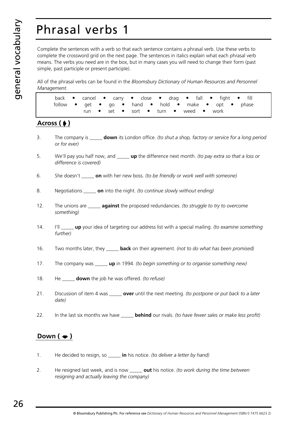<span id="page-30-0"></span>Complete the sentences with a verb so that each sentence contains a phrasal verb. Use these verbs to complete the crossword grid on the next page. The sentences in italics explain what each phrasal verb means. The verbs you need are in the box, but in many cases you will need to change their form (past simple, past participle or present participle).

All of the phrasal verbs can be found in the *Bloomsbury Dictionary of Human Resources and Personnel Management*.



#### **Across ( )**

- 3. The company is \_\_\_\_\_ **down** its London office. *(to shut a shop, factory or service for a long period or for ever)*
- 5. We'll pay you half now, and \_\_\_\_\_ **up** the difference next month. *(to pay extra so that a loss or difference is covered)*
- 6. She doesn't \_\_\_\_\_ **on** with her new boss. *(to be friendly or work well with someone)*
- 8. Negotiations \_\_\_\_\_ **on** into the night. *(to continue slowly without ending)*
- 12. The unions are \_\_\_\_\_ **against** the proposed redundancies. *(to struggle to try to overcome something)*
- 14. I'll \_\_\_\_\_ **up** your idea of targeting our address list with a special mailing. *(to examine something further)*
- 16. Two months later, they \_\_\_\_\_ **back** on their agreement. *(not to do what has been promised)*
- 17. The company was \_\_\_\_\_ **up** in 1994. *(to begin something or to organise something new)*
- 18. He \_\_\_\_\_ **down** the job he was offered. *(to refuse)*
- 21. Discussion of item 4 was \_\_\_\_\_ **over** until the next meeting. *(to postpone or put back to a later date)*
- 22. In the last six months we have \_\_\_\_\_ **behind** our rivals. *(to have fewer sales or make less profit)*

#### **Down (**  $\rightarrow$  **)**

- 1. He decided to resign, so \_\_\_\_\_ **in** his notice. *(to deliver a letter by hand)*
- 2. He resigned last week, and is now \_\_\_\_\_ **out** his notice. *(to work during the time between resigning and actually leaving the company)*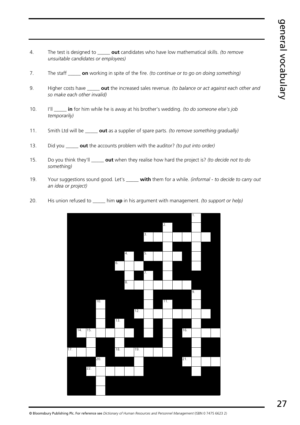- 4. The test is designed to \_\_\_\_\_ **out** candidates who have low mathematical skills. *(to remove unsuitable candidates or employees)*
- 7. The staff \_\_\_\_\_ **on** working in spite of the fire. *(to continue or to go on doing something)*
- 9. Higher costs have \_\_\_\_\_ **out** the increased sales revenue. *(to balance or act against each other and so make each other invalid)*
- 10. I'll \_\_\_\_\_ **in** for him while he is away at his brother's wedding. *(to do someone else's job temporarily)*
- 11. Smith Ltd will be \_\_\_\_\_ **out** as a supplier of spare parts. *(to remove something gradually)*
- 13. Did you \_\_\_\_\_ **out** the accounts problem with the auditor? *(to put into order)*
- 15. Do you think they'll \_\_\_\_\_ **out** when they realise how hard the project is? *(to decide not to do something)*
- 19. Your suggestions sound good. Let's \_\_\_\_\_ **with** them for a while. *(informal to decide to carry out an idea or project)*
- 20. His union refused to \_\_\_\_\_ him **up** in his argument with management. *(to support or help)*

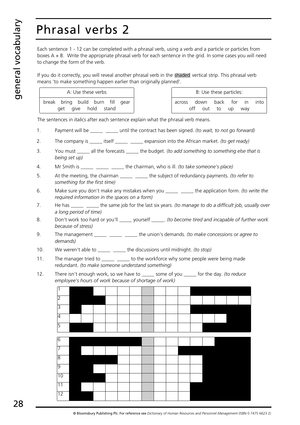<span id="page-32-0"></span>Each sentence 1 - 12 can be completed with a phrasal verb, using a verb and a particle or particles from boxes A + B. Write the appropriate phrasal verb for each sentence in the grid. In some cases you will need to change the form of the verb.

If you do it correctly, you will reveal another phrasal verb in the shaded vertical strip. This phrasal verb means 'to make something happen earlier than originally planned'.

| A: Use these verbs               |
|----------------------------------|
| break bring build burn fill gear |
|                                  |

The sentences in *italics* after each sentence explain what the phrasal verb means.

- 1. Payment will be \_\_\_\_\_ \_\_\_\_\_ until the contract has been signed. *(to wait, to not go forward)*
- 2. The company is itself expansion into the African market. *(to get ready)*
- 3. You must \_\_\_\_\_ all the forecasts \_\_\_\_\_ the budget. *(to add something to something else that is being set up)*
- 4. Mr Smith is \_\_\_\_\_ \_\_\_\_\_ \_\_\_\_\_ the chairman, who is ill. *(to take someone's place)*
- 5. At the meeting, the chairman \_\_\_\_\_ \_\_\_\_\_ the subject of redundancy payments. *(to refer to something for the first time)*
- 6. Make sure you don't make any mistakes when you \_\_\_\_\_ \_\_\_\_\_ the application form. *(to write the required information in the spaces on a form)*
- 7. He has \_\_\_\_\_ \_\_\_\_\_ the same job for the last six years. *(to manage to do a difficult job, usually over a long period of time)*
- 8. Don't work too hard or you'll \_\_\_\_\_ yourself \_\_\_\_\_. *(to become tired and incapable of further work because of stress)*
- 9. The management \_\_\_\_\_ \_\_\_\_\_ \_\_\_\_\_ the union's demands. *(to make concessions or agree to demands)*
- 10. We weren't able to \_\_\_\_\_ \_\_\_\_\_ the discussions until midnight. *(to stop)*
- 11. The manager tried to the workforce why some people were being made redundant. *(to make someone understand something)*
- 12. There isn't enough work, so we have to \_\_\_\_\_ some of you \_\_\_\_\_ for the day. *(to reduce employee's hours of work because of shortage of work)*

| 1<br>п          |  |  |  |  |  |  |  |  |
|-----------------|--|--|--|--|--|--|--|--|
| $\overline{2}$  |  |  |  |  |  |  |  |  |
| 3               |  |  |  |  |  |  |  |  |
| $\overline{4}$  |  |  |  |  |  |  |  |  |
| $\overline{5}$  |  |  |  |  |  |  |  |  |
| $\overline{6}$  |  |  |  |  |  |  |  |  |
|                 |  |  |  |  |  |  |  |  |
| 7               |  |  |  |  |  |  |  |  |
| $\overline{8}$  |  |  |  |  |  |  |  |  |
| $\overline{9}$  |  |  |  |  |  |  |  |  |
| 10              |  |  |  |  |  |  |  |  |
| $\overline{11}$ |  |  |  |  |  |  |  |  |
| $\overline{12}$ |  |  |  |  |  |  |  |  |
|                 |  |  |  |  |  |  |  |  |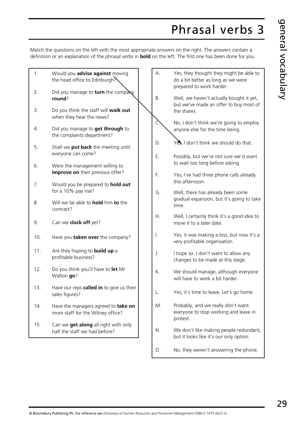<span id="page-33-0"></span>Match the questions on the left with the most appropriate answers on the right. The answers contain a definition or an explanation of the phrasal verbs in **bold** on the left. The first one has been done for you.

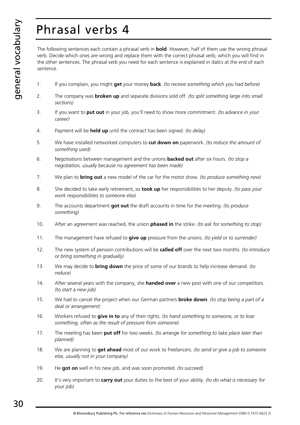<span id="page-34-0"></span>The following sentences each contain a phrasal verb in **bold**. However, half of them use the wrong phrasal verb. Decide which ones are wrong and replace them with the correct phrasal verb, which you will find in the other sentences. The phrasal verb you need for each sentence is explained in *italics* at the end of each sentence.

- 1. If you complain, you might **get** your money **back**. *(to receive something which you had before)*
- 2. The company was **broken up** and separate divisions sold off. *(to split something large into small sections)*
- 3. If you want to **put out** in your job, you'll need to show more commitment. *(to advance in your career)*
- 4. Payment will be **held up** until the contract has been signed. *(to delay)*
- 5. We have installed networked computers to **cut down on** paperwork. *(to reduce the amount of something used)*
- 6. Negotiations between management and the unions **backed out** after six hours. *(to stop a negotiation, usually because no agreement has been made)*
- 7. We plan to **bring out** a new model of the car for the motor show. *(to produce something new)*
- 8. She decided to take early retirement, so **took up** her responsibilities to her deputy. *(to pass your work responsibilities to someone else)*
- 9. The accounts department **got out** the draft accounts in time for the meeting. *(to produce something)*
- 10. After an agreement was reached, the union **phased in** the strike. *(to ask for something to stop)*
- 11. The management have refused to **give up** pressure from the unions. *(to yield or to surrender)*
- 12. The new system of pension contributions will be **called off** over the next two months. *(to introduce or bring something in gradually)*
- 13. We may decide to **bring down** the price of some of our brands to help increase demand. *(to reduce)*
- 14. After several years with the company, she **handed over** a new post with one of our competitors. *(to start a new job)*
- 15. We had to cancel the project when our German partners **broke down**. *(to stop being a part of a deal or arrangement)*
- 16. Workers refused to **give in to** any of their rights. *(to hand something to someone, or to lose something, often as the result of pressure from someone)*
- 17. The meeting has been **put off** for two weeks. *(to arrange for something to take place later than planned)*
- 18. We are planning to **get ahead** most of our work to freelancers. *(to send or give a job to someone else, usually not in your company)*
- 19. He **got on** well in his new job, and was soon promoted. *(to succeed)*
- 20. It's very important to **carry out** your duties to the best of your ability. *(to do what is necessary for your job)*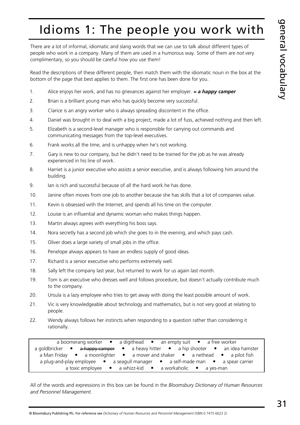### <span id="page-35-0"></span>Idioms 1: The people you work with

There are a lot of informal, idiomatic and slang words that we can use to talk about different types of people who work in a company. Many of them are used in a humorous way. Some of them are *not* very complimentary, so you should be careful how you use them!

Read the descriptions of these different people, then match them with the idiomatic noun in the box at the bottom of the page that best applies to them. The first one has been done for you.

- 1. Alice enjoys her work, and has no grievances against her employer. *= a happy camper*
- 2. Brian is a brilliant young man who has quickly become very successful.
- 3. Clarice is an angry worker who is always spreading discontent in the office.
- 4. Daniel was brought in to deal with a big project, made a lot of fuss, achieved nothing and then left.
- 5. Elizabeth is a second-level manager who is responsible for carrying out commands and communicating messages from the top-level executives.
- 6. Frank works all the time, and is unhappy when he's not working.
- 7. Gary is new to our company, but he didn't need to be trained for the job as he was already experienced in his line of work.
- 8. Harriet is a junior executive who assists a senior executive, and is always following him around the building.
- 9. Ian is rich and successful because of all the hard work he has done.
- 10. Janine often moves from one job to another because she has skills that a lot of companies value.
- 11. Kevin is obsessed with the Internet, and spends all his time on the computer.
- 12. Louise is an influential and dynamic woman who makes things happen.
- 13. Martin always agrees with everything his boss says.
- 14. Nora secretly has a second job which she goes to in the evening, and which pays cash.
- 15. Oliver does a large variety of small jobs in the office.
- 16. Penelope always appears to have an endless supply of good ideas.
- 17. Richard is a senior executive who performs extremely well.
- 18. Sally left the company last year, but returned to work for us again last month.
- 19. Tom is an executive who dresses well and follows procedure, but doesn't actually contribute much to the company.
- 20. Ursula is a lazy employee who tries to get away with doing the least possible amount of work.
- 21. Vic is very knowledgeable about technology and mathematics, but is not very good at relating to people.
- 22. Wendy always follows her instincts when responding to a question rather than considering it rationally.

| a boomerang worker $\bullet$       | a digithead $\bullet$ an empty suit $\bullet$ a free worker                                |
|------------------------------------|--------------------------------------------------------------------------------------------|
|                                    | a goldbricker • $\theta$ a happy camper • a heavy hitter • a hip shooter • an idea hamster |
|                                    | a Man Friday • a moonlighter • a mover and shaker • a nethead • a pilot fish               |
| a plug-and-play employee $\bullet$ | a seagull manager $\bullet$ a self-made man $\bullet$ a spear carrier                      |
|                                    | a toxic employee • a whizz-kid • a workaholic • a yes-man                                  |

All of the words and expressions in this box can be found in the *Bloomsbury Dictionary of Human Resources and Personnel Management.*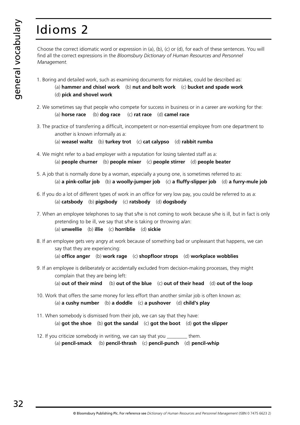# Idioms 2

Choose the correct idiomatic word or expression in (a), (b), (c) or (d), for each of these sentences. You will find all the correct expressions in the *Bloomsbury Dictionary of Human Resources and Personnel Management.*

- 1. Boring and detailed work, such as examining documents for mistakes, could be described as:
	- (a) **hammer and chisel work** (b) **nut and bolt work** (c) **bucket and spade work**

(d) **pick and shovel work**

- 2. We sometimes say that people who compete for success in business or in a career are working for the: (a) **horse race** (b) **dog race** (c) **rat race** (d) **camel race**
- 3. The practice of transferring a difficult, incompetent or non-essential employee from one department to another is known informally as a:

(a) **weasel waltz** (b) **turkey trot** (c) **cat calypso** (d) **rabbit rumba**

- 4. We might refer to a bad employer with a reputation for losing talented staff as a: (a) **people churner** (b) **people mixer** (c) **people stirrer** (d) **people beater**
- 5. A job that is normally done by a woman, especially a young one, is sometimes referred to as: (a) **a pink-collar job** (b) **a woolly-jumper job** (c) **a fluffy-slipper job** (d) **a furry-mule job**
- 6. If you do a lot of different types of work in an office for very low pay, you could be referred to as a: (a) **catsbody** (b) **pigsbody** (c) **ratsbody** (d) **dogsbody**
- 7. When an employee telephones to say that s/he is not coming to work because s/he is ill, but in fact is only pretending to be ill, we say that s/he is taking or throwing a/an: (a) **unwellie** (b) **illie** (c) **horriblie** (d) **sickie**
- 8. If an employee gets very angry at work because of something bad or unpleasant that happens, we can say that they are experiencing: (a) **office anger** (b) **work rage** (c) **shopfloor strops** (d) **workplace wobblies**
- 9. If an employee is deliberately or accidentally excluded from decision-making processes, they might complain that they are being left:

(a) **out of their mind** (b) **out of the blue** (c) **out of their head** (d) **out of the loop**

- 10. Work that offers the same money for less effort than another similar job is often known as: (a) **a cushy number** (b) **a doddle** (c) **a pushover** (d) **child's play**
- 11. When somebody is dismissed from their job, we can say that they have: (a) **got the shoe** (b) **got the sandal** (c) **got the boot** (d) **got the slipper**
- 12. If you criticize somebody in writing, we can say that you \_\_\_\_\_\_\_\_ them. (a) **pencil-smack** (b) **pencil-thrash** (c) **pencil-punch** (d) **pencil-whip**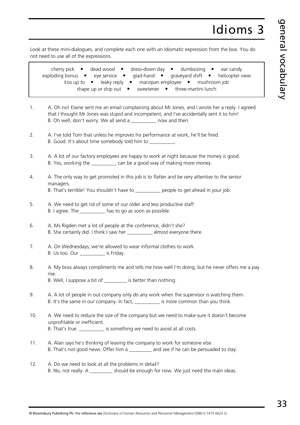Look at these mini-dialogues, and complete each one with an idiomatic expression from the box. You do not need to use all of the expressions.

|  | cherry pick • dead wood • dress-down day • dumbsizing • ear candy<br>exploding bonus • eye service • glad-hand • graveyard shift • helicopter view            |  |
|--|---------------------------------------------------------------------------------------------------------------------------------------------------------------|--|
|  | kiss up to $\bullet$ leaky reply $\bullet$ marzipan employee $\bullet$ mushroom job<br>shape up or ship out $\bullet$ sweetener $\bullet$ three-martini lunch |  |

- 1. A. Oh no! Elaine sent me an email complaining about Mr Jones, and I wrote her a reply. I agreed that I thought Mr Jones was stupid and incompetent, and I've accidentally sent it to him! B. Oh well, don't worry. We all send a \_\_\_\_\_\_\_\_\_\_ now and then.
- 2. A. I've told Tom that unless he improves his performance at work, he'll be fired. B. Good. It's about time somebody told him to
- 3. A. A lot of our factory employees are happy to work at night because the money is good. B. Yes, working the \_\_\_\_\_\_\_\_\_\_ can be a good way of making more money.
- 4. A. The only way to get promoted in this job is to flatter and be very attentive to the senior managers. B. That's terrible! You shouldn't have to \_\_\_\_\_\_\_\_\_\_ people to get ahead in your job.
- 5. A. We need to get rid of some of our older and less productive staff. B. I agree. The \_\_\_\_\_\_\_\_\_\_ has to go as soon as possible.
- 6. A. Ms Rigden met a lot of people at the conference, didn't she? B. She certainly did. I think I saw her \_\_\_\_\_\_\_\_\_\_ almost everyone there.
- 7. A. On Wednesdays, we're allowed to wear informal clothes to work. B. Us too. Our **is Friday.**
- 8. A. My boss always compliments me and tells me how well I'm doing, but he never offers me a pay rise. B. Well, I suppose a bit of The Suppose is better than nothing.
- 9. A. A lot of people in out company only do any work when the supervisor is watching them. B. It's the same in our company. In fact, \_\_\_\_\_\_\_\_\_\_\_ is more common than you think.
- 10. A. We need to reduce the size of the company but we need to make sure it doesn't become unprofitable or inefficient. B. That's true. \_\_\_\_\_\_\_\_\_\_\_\_ is something we need to avoid at all costs.
- 11. A. Alan says he's thinking of leaving the company to work for someone else. B. That's not good news. Offer him a \_\_\_\_\_\_\_\_\_ and see if he can be persuaded to stay.
- 12. A. Do we need to look at all the problems in detail? B. No, not really. A \_\_\_\_\_\_\_\_\_ should be enough for now. We just need the main ideas.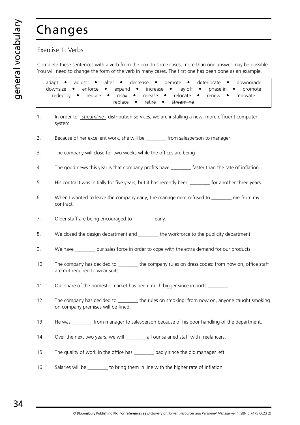### Changes

### Exercise 1: Verbs

Complete these sentences with a verb from the box. In some cases, more than one answer may be possible. You will need to change the form of the verb in many cases. The first one has been done as an example.

| adapt • adjust • alter • decrease • demote • deteriorate • downgrade  |  |
|-----------------------------------------------------------------------|--|
| downsize • enforce • expand • increase • lay off • phase in • promote |  |
| redeploy • reduce • relax • release • relocate • renew • renovate     |  |
| replace • retire • <del>streamline</del>                              |  |

- 1. In order to *streamline* distribution services, we are installing a new, more efficient computer system.
- 2. Because of her excellent work, she will be \_\_\_\_\_\_\_\_ from salesperson to manager.
- 3. The company will close for two weeks while the offices are being
- 4. The good news this year is that company profits have \_\_\_\_\_\_\_\_ faster than the rate of inflation.
- 5. His contract was initially for five years, but it has recently been \_\_\_\_\_\_\_\_ for another three years.
- 6. When I wanted to leave the company early, the management refused to \_\_\_\_\_\_\_\_ me from my contract.
- 7. Older staff are being encouraged to \_\_\_\_\_\_\_\_ early.
- 8. We closed the design department and \_\_\_\_\_\_\_\_ the workforce to the publicity department.
- 9. We have \_\_\_\_\_\_\_\_\_ our sales force in order to cope with the extra demand for our products.
- 10. The company has decided to the company rules on dress codes: from now on, office staff are not required to wear suits.
- 11. Our share of the domestic market has been much bigger since imports \_\_\_\_\_\_\_\_.
- 12. The company has decided to \_\_\_\_\_\_\_\_ the rules on smoking: from now on, anyone caught smoking on company premises will be fined.
- 13. He was \_\_\_\_\_\_\_\_ from manager to salesperson because of his poor handling of the department.
- 14. Over the next two years, we will \_\_\_\_\_\_\_ all our salaried staff with freelancers.
- 15. The quality of work in the office has \_\_\_\_\_\_\_\_ badly since the old manager left.
- 16. Salaries will be \_\_\_\_\_\_\_\_ to bring them in line with the higher rate of inflation.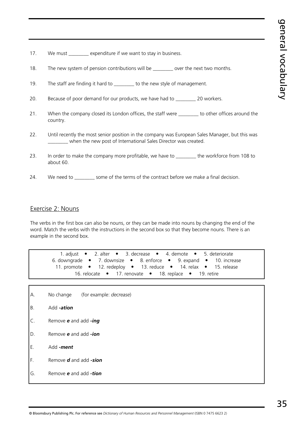- 17. We must expenditure if we want to stay in business.
- 18. The new system of pension contributions will be example over the next two months.
- 19. The staff are finding it hard to the new style of management.
- 20. Because of poor demand for our products, we have had to \_\_\_\_\_\_\_\_\_ 20 workers.
- 21. When the company closed its London offices, the staff were to other offices around the country.
- 22. Until recently the most senior position in the company was European Sales Manager, but this was when the new post of International Sales Director was created.
- 23. In order to make the company more profitable, we have to \_\_\_\_\_\_\_\_ the workforce from 108 to about 60.
- 24. We need to \_\_\_\_\_\_\_\_ some of the terms of the contract before we make a final decision.

#### Exercise 2: Nouns

The verbs in the first box can also be nouns, or they can be made into nouns by changing the end of the word. Match the verbs with the instructions in the second box so that they become nouns. There is an example in the second box.

|                                                                    |  | 1. adjust • 2. alter • 3. decrease • 4. demote • 5. deteriorate |  |
|--------------------------------------------------------------------|--|-----------------------------------------------------------------|--|
| 6. downgrade • 7. downsize • 8. enforce • 9. expand • 10. increase |  |                                                                 |  |
| 11. promote • 12. redeploy • 13. reduce • 14. relax • 15. release  |  |                                                                 |  |
|                                                                    |  | 16. relocate • 17. renovate • 18. replace • 19. retire          |  |

- A. No change (for example: *decrease*)
- B. Add *-ation*
- C. Remove *e* and add *-ing*
- D. Remove *e* and add *-ion*
- E. Add *-ment*
- F. Remove *d* and add *-sion*
- G. Remove *e* and add *-tion*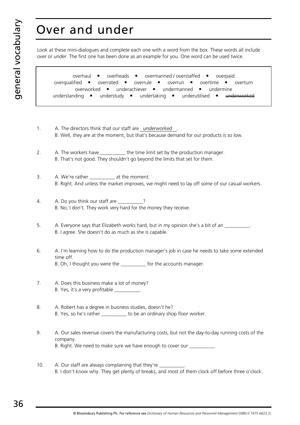### Over and under

Look at these mini-dialogues and complete each one with a word from the box. These words all include *over* or *under*. The first one has been done as an example for you. One word can be used twice.

| overhaul • overheads • overmanned / overstaffed • overpaid |                                                                                   |  |  |  |  |
|------------------------------------------------------------|-----------------------------------------------------------------------------------|--|--|--|--|
|                                                            | overgualified • overrated • overrule • overrun • overtime • overturn              |  |  |  |  |
| overworked • underachiever • undermanned • undermine       |                                                                                   |  |  |  |  |
|                                                            | understanding • understudy • undertaking • underutilised • <del>underworked</del> |  |  |  |  |

- 1. A. The directors think that our staff are *underworked* . B. Well, they are at the moment, but that's because demand for our products is so low.
- 2. A. The workers have the time limit set by the production manager. B. That's not good. They shouldn't go beyond the limits that set for them.
- 3. A. We're rather at the moment. B. Right. And unless the market improves, we might need to lay off some of our casual workers.
- 4. A. Do you think our staff are 2 B. No, I don't. They work very hard for the money they receive.
- 5. A. Everyone says that Elizabeth works hard, but in my opinion she's a bit of an B. I agree. She doesn't do as much as she is capable.
- 6. A. I'm learning how to do the production manager's job in case he needs to take some extended time off. B. Oh, I thought you were the \_\_\_\_\_\_\_\_\_\_ for the accounts manager.
- 7. A. Does this business make a lot of money? B. Yes, it's a very profitable \_\_\_\_\_\_\_\_\_\_.
- 8. A. Robert has a degree in business studies, doesn't he? B. Yes, so he's rather \_\_\_\_\_\_\_\_\_\_ to be an ordinary shop floor worker.
- 9. A. Our sales revenue covers the manufacturing costs, but not the day-to-day running costs of the company. B. Right. We need to make sure we have enough to cover our
- 10. A. Our staff are always complaining that they're B. I don't know why. They get plenty of breaks, and most of them clock off before three o'clock.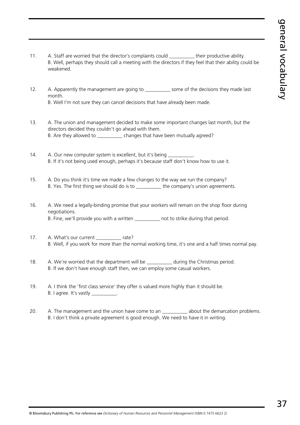- 11. A. Staff are worried that the director's complaints could their productive ability. B. Well, perhaps they should call a meeting with the directors if they feel that their ability could be weakened.
- 12. A. Apparently the management are going to electromagner of the decisions they made last month. B. Well I'm not sure they can cancel decisions that have already been made.
- 13. A. The union and management decided to make some important changes last month, but the directors decided they couldn't go ahead with them. B. Are they allowed to **Example 2** changes that have been mutually agreed?
- 14. A. Our new computer system is excellent, but it's being B. If it's not being used enough, perhaps it's because staff don't know how to use it.
- 15. A. Do you think it's time we made a few changes to the way we run the company? B. Yes. The first thing we should do is to \_\_\_\_\_\_\_\_\_\_ the company's union agreements.
- 16. A. We need a legally-binding promise that your workers will remain on the shop floor during negotiations. B. Fine, we'll provide you with a written **not** to strike during that period.
- 17. A. What's our current example rate? B. Well, if you work for more than the normal working time, it's one and a half times normal pay.
- 18. A. We're worried that the department will be  $\frac{1}{2}$  during the Christmas period. B. If we don't have enough staff then, we can employ some casual workers.
- 19. A. I think the 'first class service' they offer is valued more highly than it should be. B. I agree. It's vastly \_\_\_\_\_\_\_\_\_.
- 20. A. The management and the union have come to an \_\_\_\_\_\_\_\_\_\_ about the demarcation problems. B. I don't think a private agreement is good enough. We need to have it in writing.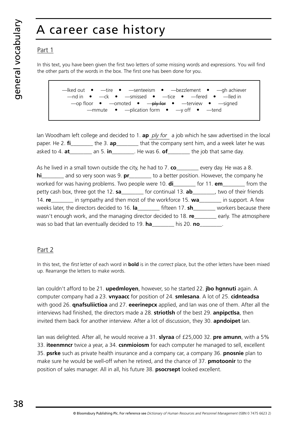### A career case history

### Part 1

In this text, you have been given the first two letters of some missing words and expressions. You will find the other parts of the words in the box. The first one has been done for you.

—lked out  $\bullet$  —tire  $\bullet$  —senteeism  $\bullet$  —bezzlement  $\bullet$  —gh achiever —nd in  $\bullet$  —ck  $\bullet$  —smissed  $\bullet$  —tice  $\bullet$  —fered  $\bullet$  —lled in —op floor  $\bullet$  —omoted  $\bullet$  —<del>ply for</del>  $\bullet$  —terview  $\bullet$  —signed —mmute  $\bullet$  —plication form  $\bullet$  —y off  $\bullet$  —tend

|                 |                 |                  |                                                    | Ian Woodham left college and decided to 1. <b>ap</b> $p/y$ for a job which he saw advertised in the local |
|-----------------|-----------------|------------------|----------------------------------------------------|-----------------------------------------------------------------------------------------------------------|
| paper. He 2. fi | the $3.$ ap     |                  | that the company sent him, and a week later he was |                                                                                                           |
| asked to 4. at  | an 5. <b>in</b> | . He was 6. $of$ | the job that same day.                             |                                                                                                           |

| As he lived in a small town outside the city, he had to 7. $\text{co}_{\text{max}}$ every day. He was a 8.  |  |  |
|-------------------------------------------------------------------------------------------------------------|--|--|
| <b>hi</b> ________ and so very soon was 9. <b>pr</b> ________ to a better position. However, the company he |  |  |
| worked for was having problems. Two people were 10. $di$ ________ for 11. $em$ ________ from the            |  |  |
| petty cash box, three got the 12. sa_________ for continual 13. ab________, two of their friends            |  |  |
| 14. re 15. wa in sympathy and then most of the workforce 15. wa Tammar in support. A few                    |  |  |
| weeks later, the directors decided to 16. la _________ fifteen 17. sh________ workers because there         |  |  |
| wasn't enough work, and the managing director decided to 18. re<br>early. The atmosphere                    |  |  |
| was so bad that lan eventually decided to 19. ha_______ his 20. no_______.                                  |  |  |

### Part 2

In this text, the *first* letter of each word in **bold** is in the *correct* place, but the other letters have been mixed up. Rearrange the letters to make words.

Ian couldn't afford to be 21. **upedmloyen**, however, so he started 22. **jbo hgnnuti** again. A computer company had a 23. **vnyaacc** for position of 24. **smlesana**. A lot of 25. **cidnteadsa** with good 26. **qnafsuliictioa** and 27. **eeerinepcx** applied, and Ian was one of them. After all the interviews had finished, the directors made a 28. **striotlsh** of the best 29. **anpipctlsa**, then invited them back for another interview. After a lot of discussion, they 30. **apndoipet** Ian.

Ian was delighted. After all, he would receive a 31. **slyraa** of £25,000 32. **pre amunn**, with a 5% 33. **iteenmncr** twice a year, a 34. **csnmioiosm** for each computer he managed to sell, excellent 35. **psrke** such as private health insurance and a company car, a company 36. **pnosnie** plan to make sure he would be well-off when he retired, and the chance of 37. **pmotoonir** to the position of sales manager. All in all, his future 38. **psocrsept** looked excellent.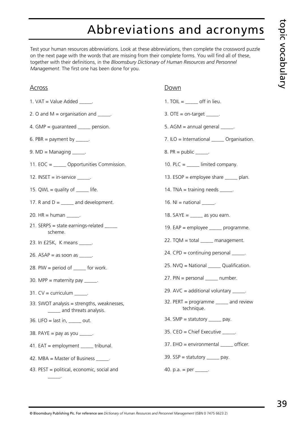### Abbreviations and acronyms

Test your human resources abbreviations. Look at these abbreviations, then complete the crossword puzzle on the next page with the words that are missing from their complete forms. You will find all of these, together with their definitions, in the *Bloomsbury Dictionary of Human Resources and Personnel Management*. The first one has been done for you.

### Across

1. VAT = Value Added  $\_\_\_\_\_\$ . 2. O and  $M =$  organisation and \_\_\_\_\_. 4.  $GMP =$  quaranteed pension. 6. PBR = payment by  $\frac{1}{2}$ .  $9. \text{MD} = \text{Management} \quad \underline{\text{mean}}.$ 11. EOC = \_\_\_\_\_ Opportunities Commission. 12. INSET = in-service  $\_\_\_\_\_\_\$ . 15.  $QWL =$  quality of  $\frac{1}{2}$  life. 17. R and  $D =$  and development. 20. HR =  $human$  \_\_\_\_\_. 21. SERPS = state earnings-related \_\_\_\_\_ scheme. 23. In £25K, K means \_\_\_\_\_. 26. ASAP = as soon as  $\frac{1}{2}$ . 28. PIW = period of  $\_\_\_\$ for work. 30. MPP = maternity pay  $\qquad \qquad$ . 31.  $CV = curriculum$  \_\_\_\_\_. 33. SWOT analysis = strengths, weaknesses, **with the induce** on a large analysis. 36. LIFO = last in, \_\_\_\_\_ out. 38. PAYE = pay as you  $\_\_\_\_\_\_\_\_\$ . 41. EAT = employment \_\_\_\_\_ tribunal. 42. MBA = Master of Business \_\_\_\_\_. 43. PEST = political, economic, social and  $\overline{\phantom{a}}$  .

### Down

- 1. TOIL =  $\rule{1em}{0.15mm}$  off in lieu.
- 3. OTE = on-target  $\_\_\_\_\_\$ .
- 5.  $AGM =$  annual general  $\qquad$ .
- 7. ILO = International \_\_\_\_\_ Organisation.
- 8. PR = public  $\frac{1}{\sqrt{1-\frac{1}{n}}}\$
- 10. PLC  $=$   $\qquad$  limited company.
- 13. ESOP = employee share \_\_\_\_\_ plan.
- 14. TNA = training needs  $\frac{1}{2}$ .
- 16.  $NI =$  national  $\qquad$ .
- 18.  $SAYE =$  as you earn.
- 19. EAP = employee \_\_\_\_\_ programme.
- 22. TQM = total management.
- 24. CPD = continuing personal  $\qquad$ .
- 25. NVQ = National \_\_\_\_\_ Qualification.
- 27. PIN =  $personal$  number.
- 29.  $AVC = additional voluntary$
- 32. PERT =  $programme$  and review technique.
- 34.  $SMP =$  statutory \_\_\_\_\_\_ pay.
- 35. CEO = Chief Executive \_\_\_\_\_.
- 37. EHO = environmental \_\_\_\_\_ officer.
- 39.  $SSP =$  statutory pay.
- 40. p.a.  $=$  per \_\_\_\_\_.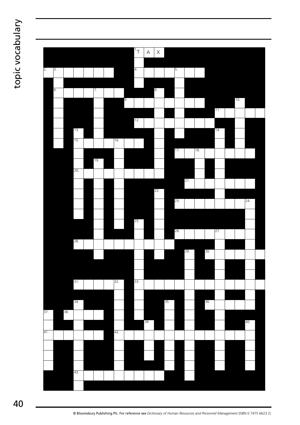topic vocabulary topic vocabulary

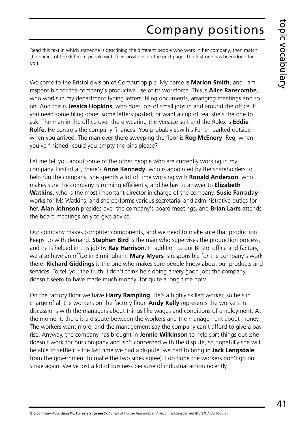# Company positions

Read this text in which someone is describing the different people who work in her company, then match the names of the different people with their positions on the next page. The first one has been done for you.

Welcome to the Bristol division of Compuflop plc. My name is **Marion Smith**, and I am responsible for the company's productive use of its workforce. This is **Alice Ranscombe**, who works in my department typing letters, filing documents, arranging meetings and so on. And this is **Jessica Hopkins**, who does lots of small jobs in and around the office. If you need some filing done, some letters posted, or want a cup of tea, she's the one to ask. The man in the office over there wearing the Versace suit and the Rolex is **Eddie Rolfe**. He controls the company finances. You probably saw his Ferrari parked outside when you arrived. The man over there sweeping the floor is **Reg McEnery**. Reg, when you've finished, could you empty the bins please?

Let me tell you about some of the other people who are currently working in my company. First of all, there's **Anne Kennedy**, who is appointed by the shareholders to help run the company. She spends a lot of time working with **Ronald Anderson**, who makes sure the company is running efficiently, and he has to answer to **Elizabeth Watkins**, who is the most important director in charge of the company. **Susie Farraday** works for Ms Watkins, and she performs various secretarial and administrative duties for her. **Alan Johnson** presides over the company's board meetings, and **Brian Larrs** attends the board meetings only to give advice.

Our company makes computer components, and we need to make sure that production keeps up with demand. **Stephen Bird** is the man who supervises the production process, and he is helped in this job by **Ray Harrison**. In addition to our Bristol office and factory, we also have an office in Birmingham: **Mary Myers** is responsible for the company's work there. **Richard Giddings** is the one who makes sure people know about our products and services. To tell you the truth, I don't think he's doing a very good job; the company doesn't seem to have made much money for quite a long time now.

On the factory floor we have **Harry Rampling**. He's a highly skilled worker, so he's in charge of all the workers on the factory floor. **Andy Kelly** represents the workers in discussions with the managers about things like wages and conditions of employment. At the moment, there is a dispute between the workers and the management about money. The workers want more, and the management say the company can't afford to give a pay rise. Anyway, the company has brought in **Jennie Wilkinson** to help sort things out (she doesn't work for our company and isn't concerned with the dispute, so hopefully she will be able to settle it - the last time we had a dispute, we had to bring in **Jack Langsdale** from the government to make the two sides agree). I do hope the workers don't go on strike again. We've lost a lot of business because of industrial action recently.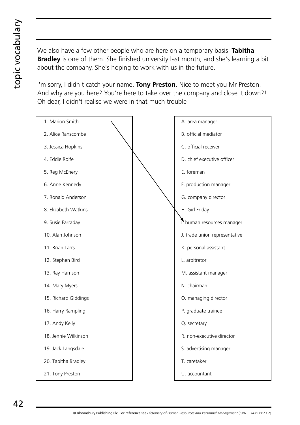We also have a few other people who are here on a temporary basis. **Tabitha Bradley** is one of them. She finished university last month, and she's learning a bit about the company. She's hoping to work with us in the future.

I'm sorry, I didn't catch your name. **Tony Preston**. Nice to meet you Mr Preston. And why are you here? You're here to take over the company and close it down?! Oh dear, I didn't realise we were in that much trouble!

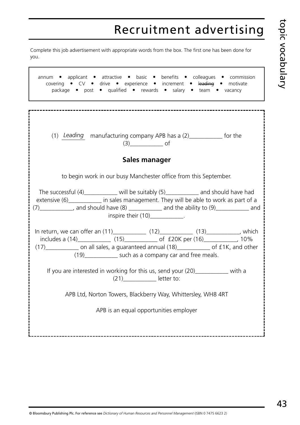# Recruitment advertising

Complete this job advertisement with appropriate words from the box. The first one has been done for you.

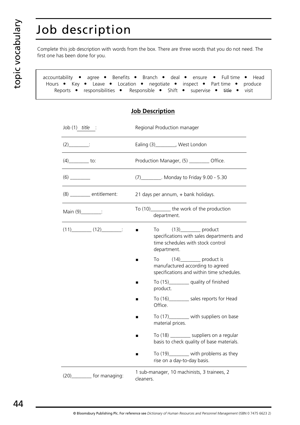# Job description

Complete this job description with words from the box. There are three words that you do not need. The first one has been done for you.

| accountability • agree • Benefits • Branch • deal • ensure • Full time • Head           |  |  |
|-----------------------------------------------------------------------------------------|--|--|
| Hours • Key • Leave • Location • negotiate • inspect • Part-time • produce              |  |  |
| Reports • responsibilities • Responsible • Shift • supervise • <del>title</del> • visit |  |  |

### **Job Description**

| Job (1) title                                                                                                                                                                                                                                                                                                                        | Regional Production manager                                                                                           |  |  |
|--------------------------------------------------------------------------------------------------------------------------------------------------------------------------------------------------------------------------------------------------------------------------------------------------------------------------------------|-----------------------------------------------------------------------------------------------------------------------|--|--|
| $(2)$ :                                                                                                                                                                                                                                                                                                                              | Ealing (3)_________, West London                                                                                      |  |  |
| $(4)$ to:                                                                                                                                                                                                                                                                                                                            | Production Manager, (5) _________ Office.                                                                             |  |  |
|                                                                                                                                                                                                                                                                                                                                      | (7) __________. Monday to Friday 9.00 - 5.30                                                                          |  |  |
| $(8)$ entitlement:                                                                                                                                                                                                                                                                                                                   | 21 days per annum, + bank holidays.                                                                                   |  |  |
| Main (9)__________:                                                                                                                                                                                                                                                                                                                  | To (10) _________ the work of the production<br>department.                                                           |  |  |
| $(11)$ $(12)$ $\qquad$ $\qquad$ $\qquad$ $\qquad$ $\qquad$ $\qquad$ $\qquad$ $\qquad$ $\qquad$ $\qquad$ $\qquad$ $\qquad$ $\qquad$ $\qquad$ $\qquad$ $\qquad$ $\qquad$ $\qquad$ $\qquad$ $\qquad$ $\qquad$ $\qquad$ $\qquad$ $\qquad$ $\qquad$ $\qquad$ $\qquad$ $\qquad$ $\qquad$ $\qquad$ $\qquad$ $\qquad$ $\qquad$ $\qquad$ $\q$ | $(13)$ product<br>To<br>specifications with sales departments and<br>time schedules with stock control<br>department. |  |  |
|                                                                                                                                                                                                                                                                                                                                      | To $(14)$ product is<br>manufactured according to agreed<br>specifications and within time schedules.                 |  |  |
|                                                                                                                                                                                                                                                                                                                                      | To (15)___________ quality of finished<br>product.                                                                    |  |  |
|                                                                                                                                                                                                                                                                                                                                      | To (16) _________ sales reports for Head<br>Office.                                                                   |  |  |
|                                                                                                                                                                                                                                                                                                                                      | To (17) ________ with suppliers on base<br>material prices.                                                           |  |  |
|                                                                                                                                                                                                                                                                                                                                      | To (18) _________ suppliers on a regular<br>basis to check quality of base materials.                                 |  |  |
|                                                                                                                                                                                                                                                                                                                                      | To (19)_________ with problems as they<br>▬<br>rise on a day-to-day basis.                                            |  |  |
| (20)___________ for managing:                                                                                                                                                                                                                                                                                                        | 1 sub-manager, 10 machinists, 3 trainees, 2<br>cleaners.                                                              |  |  |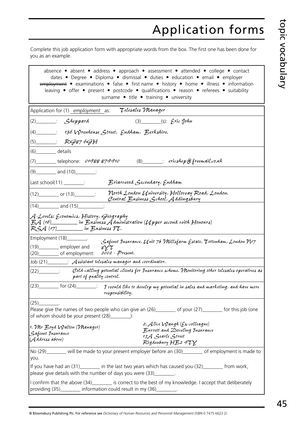# Application forms

Complete this job application form with appropriate words from the box. The first one has been done for you as an example.

| absence • absent • address • approach • assessment • attended • college • contact<br>dates • Degree • Diploma • dismissal • duties • education • email • employer<br>employment • examinations • false • first name • history • home • illness • information<br>leaving • offer • present • postcode • qualifications • reason • referees • suitability<br>surname • title • training • university |
|----------------------------------------------------------------------------------------------------------------------------------------------------------------------------------------------------------------------------------------------------------------------------------------------------------------------------------------------------------------------------------------------------|
| Telesales Manager<br>Application for (1) employment as:                                                                                                                                                                                                                                                                                                                                            |
| $(2)$ : Sheppard<br>$(3)$ (5): $Eric John$                                                                                                                                                                                                                                                                                                                                                         |
| (4) 136 Wrenhouse Street, Endham, Berkshire.                                                                                                                                                                                                                                                                                                                                                       |
| $(5)$ $RGB76GH$                                                                                                                                                                                                                                                                                                                                                                                    |
| $(6)$ details                                                                                                                                                                                                                                                                                                                                                                                      |
|                                                                                                                                                                                                                                                                                                                                                                                                    |
| $(9)$ and $(10)$ :                                                                                                                                                                                                                                                                                                                                                                                 |
| Last school(11) _______: Briarwood Gecondary, Endham                                                                                                                                                                                                                                                                                                                                               |
| North London University, Holloway Road, London.<br>$(12)$ or $(13)$ :<br>Central Business School, Addingsbury                                                                                                                                                                                                                                                                                      |
| $(14)$ and $(15)$ :                                                                                                                                                                                                                                                                                                                                                                                |
| A-Levels: Economics, History, Geography<br>$\mathcal{BA}$ (16)__________ in Business $\mathcal A$ dministration (Upper second with Honours)<br>$RSA$ (17)_________ in Business IT.                                                                                                                                                                                                                 |
| (19) employer and $\mathscr{Y}^{\mathcal{T}}$<br>(20) of employment: 2002 - Present.                                                                                                                                                                                                                                                                                                               |
| Job (21)__________: Assistant telesales manager and coordinator.                                                                                                                                                                                                                                                                                                                                   |
| Cold-calling potential clients for Insurance scheme. Monitoring other telesales operatives as<br>$(22)$ :<br>part of quality control.                                                                                                                                                                                                                                                              |
| $(23)$ for $(24)$ $\qquad \qquad$ :<br>I ivould like to develop my potential in sales and marketing, and have more<br>responsibility.                                                                                                                                                                                                                                                              |
| (25)<br>Please give the names of two people who can give an (26) ________ of your (27) _______ for this job (one<br>of whom should be your present (28) [100]:                                                                                                                                                                                                                                     |
| 2. Alice Wangh (Ex-colleague)<br>1. Mr Boyd Walton (Manager)<br>Burrett and Dowling Insurance<br>Safenet Insurance<br>15A Searle Street<br>(Address above)<br>Rigdenbury HB29TY                                                                                                                                                                                                                    |
| No (29) _______ will be made to your present employer before an (30) ______ of employment is made to<br>you.                                                                                                                                                                                                                                                                                       |
| If you have had an (31)_________ in the last two years which has caused you (32)_________ from work,<br>please give details with the number of days you were (33)_________                                                                                                                                                                                                                         |
| I confirm that the above (34)________ is correct to the best of my knowledge. I accept that deliberately<br>providing (35) _______ information could result in my (36) ________.                                                                                                                                                                                                                   |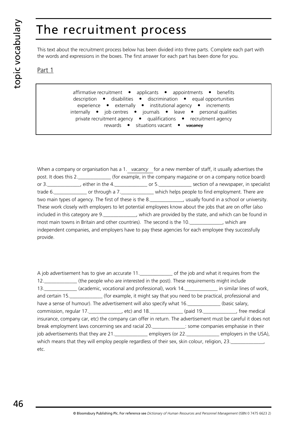### The recruitment process

This text about the recruitment process below has been divided into three parts. Complete each part with the words and expressions in the boxes. The first answer for each part has been done for you.

### Part 1

affirmative recruitment  $\bullet$  applicants  $\bullet$  appointments  $\bullet$  benefits description • disabilities • discrimination • equal opportunities experience • externally • institutional agency • increments internally  $\bullet$  job centres  $\bullet$  journals  $\bullet$  leave  $\bullet$  personal qualities private recruitment agency • qualifications • recruitment agency rewards  $\bullet$  situations vacant  $\bullet$  vacancy

When a company or organisation has a 1. *vacancy* for a new member of staff, it usually advertises the post. It does this 2.\_\_\_\_\_\_\_\_\_\_\_\_\_\_\_ (for example, in the company magazine or on a company notice board) or 3.\_\_\_\_\_\_\_\_\_\_\_\_\_, either in the 4.\_\_\_\_\_\_\_\_\_\_\_\_\_ or 5.\_\_\_\_\_\_\_\_\_\_\_\_\_ section of a newspaper, in specialist trade 6.\_\_\_\_\_\_\_\_\_\_\_\_\_\_\_\_ or through a 7.\_\_\_\_\_\_\_\_\_\_\_\_\_\_\_\_\_\_ which helps people to find employment. There are two main types of agency. The first of these is the 8.\_\_\_\_\_\_\_\_\_\_\_\_\_, usually found in a school or university. These work closely with employers to let potential employees know about the jobs that are on offer (also included in this category are 9.\_\_\_\_\_\_\_\_\_\_\_\_\_, which are provided by the state, and which can be found in most main towns in Britain and other countries). The second is the 10.\_\_\_\_\_\_\_\_\_\_\_\_, which are independent companies, and employers have to pay these agencies for each employee they successfully provide.

A job advertisement has to give an accurate 11.\_\_\_\_\_\_\_\_\_\_\_\_\_ of the job and what it requires from the 12.\_\_\_\_\_\_\_\_\_\_\_\_\_ (the people who are interested in the post). These requirements might include 13.\_\_\_\_\_\_\_\_\_\_\_\_\_\_ (academic, vocational and professional), work 14.\_\_\_\_\_\_\_\_\_\_\_\_\_\_ in similar lines of work, and certain 15. **Example**, it might say that you need to be practical, professional and have a sense of humour). The advertisement will also specify what 16. [Cocall Lucasic salary, commission, regular 17.\_\_\_\_\_\_\_\_\_\_\_\_\_, etc) and 18.\_\_\_\_\_\_\_\_\_\_\_\_\_ (paid 19.\_\_\_\_\_\_\_\_\_\_\_\_\_, free medical insurance, company car, etc) the company can offer in return. The advertisement must be careful it does not break employment laws concerning sex and racial 20.\_\_\_\_\_\_\_\_\_\_\_\_\_: some companies emphasise in their job advertisements that they are 21.\_\_\_\_\_\_\_\_\_\_\_\_\_\_ employers (or 22.\_\_\_\_\_\_\_\_\_\_\_\_ employers in the USA), which means that they will employ people regardless of their sex, skin colour, religion,  $23.$ etc.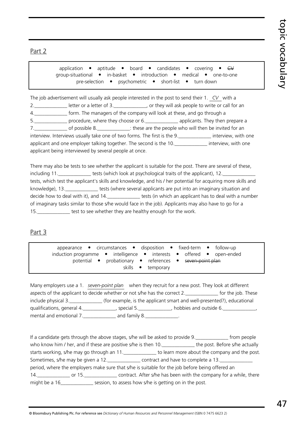### Part 2

| application • aptitude • board • candidates • covering • $\epsilon V$ |  |
|-----------------------------------------------------------------------|--|
| group-situational • in-basket • introduction • medical • one-to-one   |  |
| pre-selection • psychometric • short-list • turn down                 |  |

The job advertisement will usually ask people interested in the post to send their 1. *CV* with a 2. Letter or a letter of 3. Letter of 3. Letter of  $\frac{1}{2}$ , or they will ask people to write or call for an 4.\_\_\_\_\_\_\_\_\_\_\_\_\_ form. The managers of the company will look at these, and go through a 5.\_\_\_\_\_\_\_\_\_\_\_\_\_ procedure, where they choose or 6.\_\_\_\_\_\_\_\_\_\_\_\_\_ applicants. They then prepare a 7.\_\_\_\_\_\_\_\_\_\_\_\_\_\_\_\_\_\_ of possible 8.\_\_\_\_\_\_\_\_\_\_\_\_\_\_\_\_: these are the people who will then be invited for an interview. Interviews usually take one of two forms. The first is the 9. \_\_\_\_\_\_\_\_\_\_\_\_\_\_ interview, with one applicant and one employer talking together. The second is the 10.\_\_\_\_\_\_\_\_\_\_\_\_\_\_ interview, with one applicant being interviewed by several people at once.

There may also be tests to see whether the applicant is suitable for the post. There are several of these, including 11.\_\_\_\_\_\_\_\_\_\_\_\_\_\_\_\_\_ tests (which look at psychological traits of the applicant), 12. tests, which test the applicant's skills and knowledge, and his / her potential for acquiring more skills and knowledge), 13.\_\_\_\_\_\_\_\_\_\_\_\_\_ tests (where several applicants are put into an imaginary situation and decide how to deal with it), and 14. The state of tests (in which an applicant has to deal with a number of imaginary tasks similar to those s/he would face in the job). Applicants may also have to go for a 15. The test to see whether they are healthy enough for the work.

### Part 3

| appearance • circumstances • disposition • fixed-term • follow-up               |  |
|---------------------------------------------------------------------------------|--|
| induction programme • intelligence • interests • offered • open-ended           |  |
| potential • probationary • references • seven-point-plan-<br>skills • temporary |  |

Many employers use a 1. *seven-point plan* when they recruit for a new post. They look at different aspects of the applicant to decide whether or not s/he has the correct 2.\_\_\_\_\_\_\_\_\_\_\_\_\_\_ for the job. These include physical 3.\_\_\_\_\_\_\_\_\_\_\_\_\_ (for example, is the applicant smart and well-presented?), educational qualifications, general 4.\_\_\_\_\_\_\_\_\_\_\_\_\_\_\_, special 5.\_\_\_\_\_\_\_\_\_\_\_\_\_\_\_, hobbies and outside 6.\_\_\_\_\_\_\_\_\_\_\_\_\_\_\_, mental and emotional 7. \_\_\_\_\_\_\_\_\_\_\_\_\_\_\_ and family 8. \_\_\_\_\_\_\_\_\_\_\_\_\_

|          | If a candidate gets through the above stages, s/he will be asked to provide 9.                                |                                                                   | from people |
|----------|---------------------------------------------------------------------------------------------------------------|-------------------------------------------------------------------|-------------|
|          | who know him / her, and if these are positive s/he is then 10. _______________ the post. Before s/he actually |                                                                   |             |
|          | starts working, s/he may go through an 11. to learn more about the company and the post.                      |                                                                   |             |
|          | Sometimes, s/he may be given a 12. ____________________ contract and have to complete a 13. _________________ |                                                                   |             |
|          | period, where the employers make sure that s/he is suitable for the job before being offered an               |                                                                   |             |
| or $15.$ |                                                                                                               | contract. After s/he has been with the company for a while, there |             |
|          | session, to assess how s/he is getting on in the post.                                                        |                                                                   |             |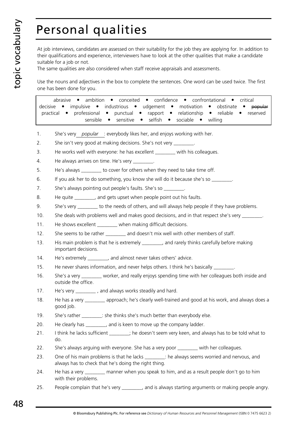# Personal qualities

At job interviews, candidates are assessed on their suitability for the job they are applying for. In addition to their qualifications and experience, interviewers have to look at the other qualities that make a candidate suitable for a job or not.

The same qualities are also considered when staff receive appraisals and assessments.

Use the nouns and adjectives in the box to complete the sentences. One word can be used twice. The first one has been done for you.

| abrasive • ambition • conceited • confidence • confrontational • critical                   |                                                     |  |  |  |  |
|---------------------------------------------------------------------------------------------|-----------------------------------------------------|--|--|--|--|
| decisive • impulsive • industrious • udgement • motivation • obstinate • <del>popular</del> |                                                     |  |  |  |  |
| practical • professional • punctual • rapport • relationship • reliable • reserved          |                                                     |  |  |  |  |
|                                                                                             | sensible • sensitive • selfish • sociable • willing |  |  |  |  |

- 1. She's very *popular* : everybody likes her, and enjoys working with her.
- 2. She isn't very good at making decisions. She's not very
- 3. He works well with everyone: he has excellent \_\_\_\_\_\_\_\_ with his colleagues.
- 4. He always arrives on time. He's very \_\_\_\_\_\_\_.
- 5. He's always \_\_\_\_\_\_\_\_ to cover for others when they need to take time off.
- 6. If you ask her to do something, you know she will do it because she's so \_\_\_\_\_\_\_.
- 7. She's always pointing out people's faults. She's so
- 8. He quite \_\_\_\_\_\_, and gets upset when people point out his faults.
- 9. She's very \_\_\_\_\_\_\_\_ to the needs of others, and will always help people if they have problems.
- 10. She deals with problems well and makes good decisions, and in that respect she's very \_\_\_\_\_\_\_\_.
- 11. He shows excellent \_\_\_\_\_\_\_\_ when making difficult decisions.
- 12. She seems to be rather \_\_\_\_\_\_\_\_ and doesn't mix well with other members of staff.
- 13. His main problem is that he is extremely \_\_\_\_\_\_\_, and rarely thinks carefully before making important decisions.
- 14. He's extremely \_\_\_\_\_\_\_\_, and almost never takes others' advice.
- 15. He never shares information, and never helps others. I think he's basically \_\_
- 16. She's a very \_\_\_\_\_\_\_\_ worker, and really enjoys spending time with her colleagues both inside and outside the office.
- 17. He's very \_\_\_\_\_\_\_\_\_, and always works steadily and hard.
- 18. He has a very \_\_\_\_\_\_\_\_ approach; he's clearly well-trained and good at his work, and always does a good job.
- 19. She's rather \_\_\_\_\_\_\_\_: she thinks she's much better than everybody else.
- 20. He clearly has \_\_\_\_\_\_\_\_, and is keen to move up the company ladder.
- 21. I think he lacks sufficient \_\_\_\_\_\_\_; he doesn't seem very keen, and always has to be told what to do.
- 22. She's always arguing with everyone. She has a very poor \_\_\_\_\_\_\_ with her colleagues.
- 23. One of his main problems is that he lacks  $\cdot$  : he always seems worried and nervous, and always has to check that he's doing the right thing.
- 24. He has a very manner when you speak to him, and as a result people don't go to him with their problems.
- 25. People complain that he's very \_\_\_\_\_\_\_, and is always starting arguments or making people angry.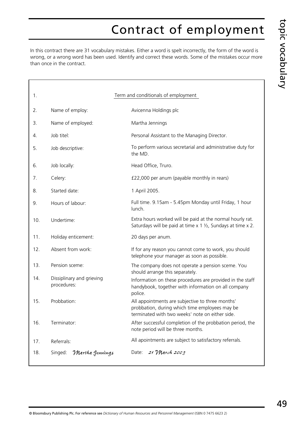# Contract of employment

In this contract there are 31 vocabulary mistakes. Either a word is spelt incorrectly, the form of the word is wrong, or a wrong word has been used. Identify and correct these words. Some of the mistakes occur more than once in the contract.

| 1.  |                                          | Term and conditionals of employment                                                                                                                   |
|-----|------------------------------------------|-------------------------------------------------------------------------------------------------------------------------------------------------------|
| 2.  | Name of employ:                          | Avicenna Holdings plc                                                                                                                                 |
| 3.  | Name of employed:                        | Martha Jennings                                                                                                                                       |
| 4.  | Job titel:                               | Personal Assistant to the Managing Director.                                                                                                          |
| 5.  | Job descriptive:                         | To perform various secretarial and administrative duty for<br>the MD.                                                                                 |
| 6.  | Job locally:                             | Head Office, Truro.                                                                                                                                   |
| 7.  | Celery:                                  | £22,000 per anum (payable monthly in rears)                                                                                                           |
| 8.  | Started date:                            | 1 April 2005.                                                                                                                                         |
| 9.  | Hours of labour:                         | Full time. 9.15am - 5.45pm Monday until Friday, 1 hour<br>lunch.                                                                                      |
| 10. | Undertime:                               | Extra hours worked will be paid at the normal hourly rat.<br>Saturdays will be paid at time $x$ 1 $\frac{1}{2}$ , Sundays at time x 2.                |
| 11. | Holiday enticement:                      | 20 days per anum.                                                                                                                                     |
| 12. | Absent from work:                        | If for any reason you cannot come to work, you should<br>telephone your manager as soon as possible.                                                  |
| 13. | Pension sceme:                           | The company does not operate a pension sceme. You<br>should arrange this separately.                                                                  |
| 14. | Dissiplinary and grieving<br>procedures: | Information on these procedures are provided in the staff<br>handybook, together with information on all company<br>police.                           |
| 15. | Probbation:                              | All appointments are subjective to three months'<br>probbation, during which time employees may be<br>terminated with two weeks' note on either side. |
| 16. | Terminator:                              | After successful completion of the probbation period, the<br>note period will be three months.                                                        |
| 17. | Referrals:                               | All apointments are subject to satisfactory referrals.                                                                                                |
| 18. | Singed:<br>Martha Jennings               | 21 March 2005<br>Date:                                                                                                                                |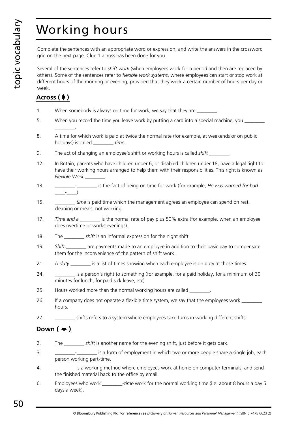# topic vocabulary topic vocabulary

# Working hours

Complete the sentences with an appropriate word or expression, and write the answers in the crossword grid on the next page. Clue 1 across has been done for you.

Several of the sentences refer to *shift work* (when employees work for a period and then are replaced by others). Some of the sentences refer to *flexible work systems*, where employees can start or stop work at different hours of the morning or evening, provided that they work a certain number of hours per day or week.

### **Across ( )**

- 1. When somebody is always on time for work, we say that they are \_\_\_\_\_\_\_
- 5. When you record the time you leave work by putting a card into a special machine, you \_\_\_\_\_\_\_\_\_ \_\_\_\_\_\_\_\_.
- 8. A time for which work is paid at twice the normal rate (for example, at weekends or on public holidays) is called \_\_\_\_\_\_\_\_ *time*.
- 9. The act of changing an employee's shift or working hours is called *shift* \_\_\_\_\_\_\_\_.
- 12. In Britain, parents who have children under 6, or disabled children under 18, have a legal right to have their working hours arranged to help them with their responsibilities. This right is known as *Flexible Work* \_\_\_\_\_\_\_\_.
- 13. \_\_\_\_\_\_\_\_-\_\_\_\_\_\_\_\_ is the fact of being on time for work (for example, *He was warned for bad*  $-$  )
- 15. \_\_\_\_\_\_\_\_ *time* is paid time which the management agrees an employee can spend on rest, cleaning or meals, not working.
- 17. *Time and a* **is the normal rate of pay plus 50% extra (for example, when an employee** does overtime or works evenings).
- 18. The \_\_\_\_\_\_\_\_ *shift* is an informal expression for the night shift.
- 19. *Shift* \_\_\_\_\_\_\_\_ are payments made to an employee in addition to their basic pay to compensate them for the inconvenience of the pattern of shift work.
- 21. A *duty* \_\_\_\_\_\_\_\_ is a list of times showing when each employee is on duty at those times.
- 24. \_\_\_\_\_\_\_\_\_\_ is a person's right to something (for example, for a paid holiday, for a minimum of 30 minutes for lunch, for paid sick leave, etc)
- 25. Hours worked more than the normal working hours are called
- 26. If a company does not operate a flexible time system, we say that the employees work \_\_\_\_\_ hours.
- 27. **Example 27** shifts refers to a system where employees take turns in working different shifts.

### **Down (**  $\rightarrow$  **)**

- 2. The *\_\_\_\_\_\_\_\_\_ shift* is another name for the evening shift, just before it gets dark.
- 3. \_\_\_\_\_\_\_\_-\_\_\_\_\_\_\_\_ is a form of employment in which two or more people share a single job, each person working part-time.
- 4. \_\_\_\_\_\_\_\_ is a working method where employees work at home on computer terminals, and send the finished material back to the office by email.
- 6. Employees who work \_\_\_\_\_\_\_\_-*time* work for the normal working time (i.e. about 8 hours a day 5 days a week).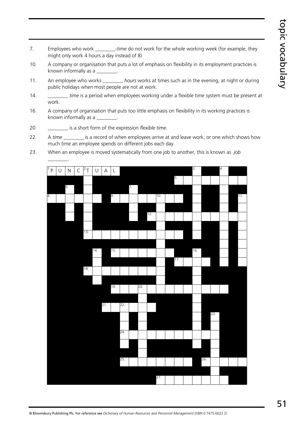- 7. Employees who work \_\_\_\_\_\_\_\_-*time* do not work for the whole working week (for example, they might only work 4 hours a day instead of 8)
- 10. A company or organisation that puts a lot of emphasis on flexibility in its employment practices is known informally as a \_\_\_\_\_\_\_\_.
- 11. An employee who works \_\_\_\_\_\_\_\_ *hours* works at times such as in the evening, at night or during public holidays when most people are not at work.
- 14. \_\_\_\_\_\_\_\_ *time* is a period when employees working under a flexible time system must be present at work.
- 16. A company of organisation that puts too little emphasis on flexibility in its working practices is known informally as a \_\_\_\_\_\_\_\_.
- 20. \_\_\_\_\_\_\_\_ is a short form of the expression *flexible time*.
- 22. A *time* \_\_\_\_\_\_\_\_ is a record of when employees arrive at and leave work, or one which shows how much time an employee spends on different jobs each day.



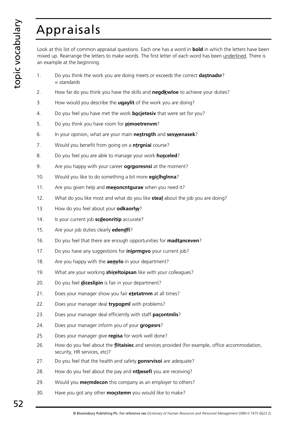Look at this list of common appraisal questions. Each one has a word in **bold** in which the letters have been mixed up. Rearrange the letters to make words. The first letter of each word has been underlined. There is an example at the beginning.

- 1. Do you think the work you are doing meets or exceeds the correct **dastnadsr**? = *standards*
- 2. How far do you think you have the skills and **negdkwloe** to achieve your duties?
- 3. How would you describe the **uqaylit** of the work you are doing?
- 4. Do you feel you have met the work **bocjetesiv** that were set for you?
- 5. Do you think you have room for **pimoetrenvm**?
- 6. In your opinion, what are your main **nestrsgth** and **seswenasek**?
- 7. Would you benefit from going on a **ntrgniai** course?
- 8. Do you feel you are able to manage your work **husceled**?
- 9. Are you happy with your career **ogrporesnsi** at the moment?
- 10. Would you like to do something a bit more **egiclhglnna**?
- 11. Are you given help and **meeoncntgurae** when you need it?
- 12. What do you like most and what do you like **steal** about the job you are doing?
- 13. How do you feel about your **odkaorlw**?
- 14. Is your current job **scdeonritip** accurate?
- 15. Are your job duties clearly **edendfi**?
- 16. Do you feel that there are enough opportunities for **madtanceven**?
- 17. Do you have any suggestions for **iniprmgvo** your current job?
- 18. Are you happy with the **aemrlo** in your department?
- 19. What are your working **shireltoipsan** like with your colleagues?
- 20. Do you feel **diceslipin** is fair in your department?
- 21. Does your manager show you fair **etetatrnm** at all times?
- 22. Does your manager deal **trypopml** with problems?
- 23. Does your manager deal efficiently with staff **pacontmlis**?
- 24. Does your manager inform you of your **gropesrs**?
- 25. Does your manager give **repisa** for work well done?
- 26. How do you feel about the **flitaisiec** and services provided (for example, office accommodation, security, HR services, etc)?
- 27. Do you feel that the health and safety **ponsrvisoi** are adequate?
- 28. How do you feel about the pay and **nthesefi** you are receiving?
- 29. Would you **merndecon** this company as an employer to others?
- 30. Have you got any other **mocstemn** you would like to make?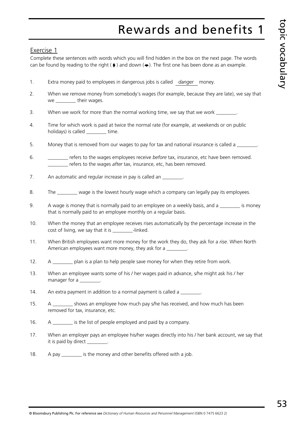### Rewards and benefits 1

### Exercise 1

Complete these sentences with words which you will find hidden in the box on the next page. The words can be found by reading to the right ( $\blacklozenge$ ) and down ( $\blacklozenge$ ). The first one has been done as an example.

- 1. Extra money paid to employees in dangerous jobs is called *danger* money.
- 2. When we remove money from somebody's wages (for example, because they are late), we say that we their wages.
- 3. When we work for more than the normal working time, we say that we work \_\_\_\_\_\_\_.
- 4. Time for which work is paid at twice the normal rate (for example, at weekends or on public holidays) is called time.
- 5. Money that is removed from our wages to pay for tax and national insurance is called a \_\_\_\_\_\_\_.
- 6. \_\_\_\_\_\_\_\_ refers to the wages employees receive *before* tax, insurance, etc have been removed. \_\_\_\_\_\_\_\_ refers to the wages *after* tax, insurance, etc, has been removed.
- 7. An automatic and regular increase in pay is called an
- 8. The wage is the lowest hourly wage which a company can legally pay its employees.
- 9. A wage is money that is normally paid to an employee on a weekly basis, and a <u>second</u> is money that is normally paid to an employee monthly on a regular basis.
- 10. When the money that an employee receives rises automatically by the percentage increase in the cost of living, we say that it is \_\_\_\_\_\_\_\_-linked.
- 11. When British employees want more money for the work they do, they ask for a *rise*. When North American employees want more money, they ask for a
- 12. A same plan is a plan to help people save money for when they retire from work.
- 13. When an employee wants some of his / her wages paid in advance, s/he might ask his / her manager for a  $\qquad \qquad$ .
- 14. An extra payment in addition to a normal payment is called a
- 15. A \_\_\_\_\_\_\_\_ shows an employee how much pay s/he has received, and how much has been removed for tax, insurance, etc.
- 16. A \_\_\_\_\_\_\_\_\_ is the list of people employed and paid by a company.
- 17. When an employer pays an employee his/her wages directly into his / her bank account, we say that it is paid by direct and the set of the set of the set of the set of the set of the set of the set of the set o
- 18. A pay \_\_\_\_\_\_\_\_ is the money and other benefits offered with a job.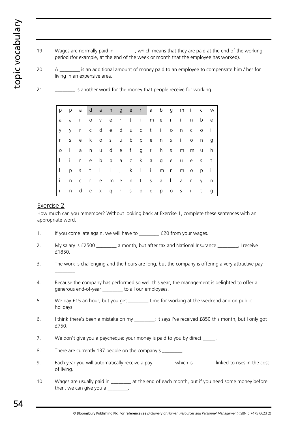- 19. Wages are normally paid in \_\_\_\_\_\_\_\_, which means that they are paid at the end of the working period (for example, at the end of the week or month that the employee has worked).
- 20. A can additional amount of money paid to an employee to compensate him / her for living in an expensive area.

| is another word for the money that people receive for working.<br>21. |  |
|-----------------------------------------------------------------------|--|
|-----------------------------------------------------------------------|--|

|              | ppadangerabgmic w  |  |                   |  |  |  |  |   |     |   |
|--------------|--------------------|--|-------------------|--|--|--|--|---|-----|---|
|              | a a rovertimeri    |  |                   |  |  |  |  | n | b e |   |
| <b>y</b>     | y                  |  | rc de duction coi |  |  |  |  |   |     |   |
|              | rsekosubpensiong   |  |                   |  |  |  |  |   |     |   |
|              | olanu defgrhsmmu h |  |                   |  |  |  |  |   |     |   |
| $1 - i$      |                    |  | rebpackageuest    |  |  |  |  |   |     |   |
|              | I pstlijklimnmopi  |  |                   |  |  |  |  |   |     |   |
|              | increments alary   |  |                   |  |  |  |  |   |     | n |
| $\mathbf{I}$ | ndex qrsdeposit    |  |                   |  |  |  |  |   |     | q |

#### Exercise 2

How much can you remember? Without looking back at Exercise 1, complete these sentences with an appropriate word.

- 1. If you come late again, we will have to \_\_\_\_\_\_\_\_\_\_ £20 from your wages.
- 2. My salary is £2500 \_\_\_\_\_\_\_\_ a month, but after tax and National Insurance \_\_\_\_\_\_\_\_, I receive £1850.
- 3. The work is challenging and the hours are long, but the company is offering a very attractive pay \_\_\_\_\_\_\_\_.
- 4. Because the company has performed so well this year, the management is delighted to offer a generous end-of-year \_\_\_\_\_\_\_\_ to all our employees.
- 5. We pay £15 an hour, but you get \_\_\_\_\_\_\_\_ time for working at the weekend and on public holidays.
- 6. I think there's been a mistake on my \_\_\_\_\_\_\_\_: it says I've received £850 this month, but I only got £750.
- 7. We don't give you a paycheque: your money is paid to you by direct \_\_\_\_\_.
- 8. There are currently 137 people on the company's \_\_\_\_\_\_\_.
- 9. Each year you will automatically receive a pay \_\_\_\_\_\_\_\_ which is clinked to rises in the cost of living.
- 10. Wages are usually paid in \_\_\_\_\_\_\_\_ at the end of each month, but if you need some money before then, we can give you a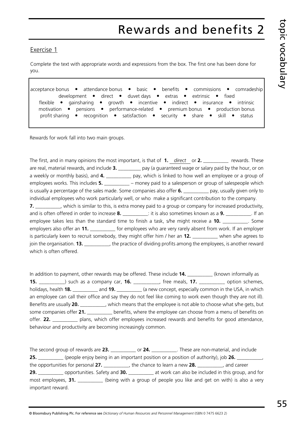### Rewards and benefits 2

### Exercise 1

Complete the text with appropriate words and expressions from the box. The first one has been done for you.

acceptance bonus • attendance bonus • basic • benefits • commissions • comradeship development • direct • duvet days • extras • extrinsic • fixed flexible • gainsharing • growth • incentive • indirect • insurance • intrinsic motivation • pensions • performance-related • premium bonus • production bonus profit sharing  $\bullet$  recognition  $\bullet$  satisfaction  $\bullet$  security  $\bullet$  share  $\bullet$  skill  $\bullet$  status

Rewards for work fall into two main groups.

The first, and in many opinions the most important, is that of **1.** *direct* or **2.** \_\_\_\_\_\_\_\_\_\_ rewards. These are real, material rewards, and include **3.** \_\_\_\_\_\_\_\_\_ pay (a guaranteed wage or salary paid by the hour, or on a weekly or monthly basis), and **4.** \_\_\_\_\_\_\_\_\_\_ pay, which is linked to how well an employee or a group of employees works. This includes **5.** \_\_\_\_\_\_\_\_\_\_ – money paid to a salesperson or group of salespeople which is usually a percentage of the sales made. Some companies also offer **6.** The pay, usually given only to individual employees who work particularly well, or who make a significant contribution to the company. **7.** \_\_\_\_\_\_\_\_\_\_, which is similar to this, is extra money paid to a group or company for increased productivity, and is often offered in order to increase **8.**  $\cdot$   $\cdot$  it is also sometimes known as a **9.**  $\cdot$  If an employee takes less than the standard time to finish a task, s/he might receive a **10.** \_\_\_\_\_\_\_\_\_\_. Some employers also offer an **11.** \_\_\_\_\_\_\_\_\_\_\_ for employees who are very rarely absent from work. If an employer is particularly keen to recruit somebody, they might offer him / her an **12.** When s/he agrees to join the organisation. **13.** \_\_\_\_\_\_\_\_\_\_, the practice of dividing profits among the employees, is another reward which is often offered.

In addition to payment, other rewards may be offered. These include **14.** \_\_\_\_\_\_\_\_\_\_ (known informally as **15.** \_\_\_\_\_\_\_\_\_\_) such as a company car, **16.** \_\_\_\_\_\_\_\_\_\_, free meals, **17.** \_\_\_\_\_\_\_\_\_\_ option schemes, holidays, health **18.** \_\_\_\_\_\_\_\_\_\_ and **19.** \_\_\_\_\_\_\_\_\_\_ (a new concept, especially common in the USA, in which an employee can call their office and say they do not feel like coming to work even though they are not ill). Benefits are usually **20.** \_\_\_\_\_\_\_\_\_\_, which means that the employee is not able to choose what s/he gets, but some companies offer **21.** \_\_\_\_\_\_\_\_\_\_ benefits, where the employee can choose from a menu of benefits on offer. **22.** \_\_\_\_\_\_\_\_\_\_ plans, which offer employees increased rewards and benefits for good attendance, behaviour and productivity are becoming increasingly common.

The second group of rewards are **23.** \_\_\_\_\_\_\_\_\_\_ or **24.** \_\_\_\_\_\_\_\_\_\_. These are non-material, and include **25.** \_\_\_\_\_\_\_\_\_\_\_ (people enjoy being in an important position or a position of authority), job **26.** \_\_ the opportunities for personal **27.** \_\_\_\_\_\_\_\_\_\_, the chance to learn a new **28.** \_\_\_\_\_\_\_\_\_\_, and career **29.** \_\_\_\_\_\_\_\_\_\_ opportunities. Safety and **30.** \_\_\_\_\_\_\_\_\_\_ at work can also be included in this group, and for most employees, **31.** \_\_\_\_\_\_\_\_\_\_ (being with a group of people you like and get on with) is also a very important reward.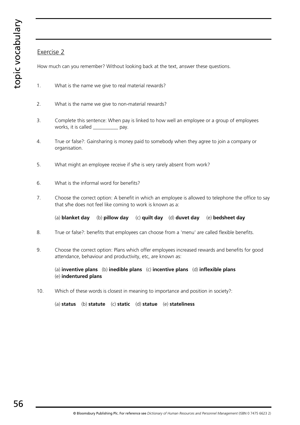### Exercise 2

How much can you remember? Without looking back at the text, answer these questions.

- 1. What is the name we give to real material rewards?
- 2. What is the name we give to non-material rewards?
- 3. Complete this sentence: When pay is linked to how well an employee or a group of employees works, it is called \_\_\_\_\_\_\_\_\_ pay.
- 4. True or false?: Gainsharing is money paid to somebody when they agree to join a company or organisation.
- 5. What might an employee receive if s/he is very rarely absent from work?
- 6. What is the informal word for benefits?
- 7. Choose the correct option: A benefit in which an employee is allowed to telephone the office to say that s/he does not feel like coming to work is known as a:

(a) **blanket day** (b) **pillow day** (c) **quilt day** (d) **duvet day** (e) **bedsheet day**

- 8. True or false?: benefits that employees can choose from a 'menu' are called flexible benefits.
- 9. Choose the correct option: Plans which offer employees increased rewards and benefits for good attendance, behaviour and productivity, etc, are known as:

(a) **inventive plans** (b) **inedible plans** (c) **incentive plans** (d) **inflexible plans** (e) **indentured plans**

10. Which of these words is closest in meaning to importance and position in society?:

(a) **status** (b) **statute** (c) **static** (d) **statue** (e) **stateliness**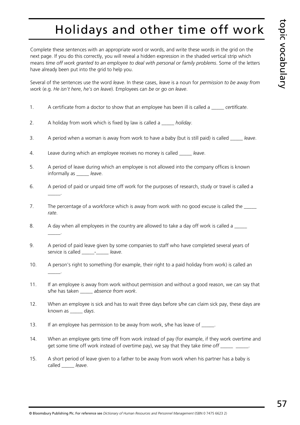# Holidays and other time off work

Complete these sentences with an appropriate word or words, and write these words in the grid on the next page. If you do this correctly, you will reveal a hidden expression in the shaded vertical strip which means *time off work granted to an employee to deal with personal or family problems*. Some of the letters have already been put into the grid to help you.

Several of the sentences use the word *leave*. In these cases, *leave* is a noun for *permission to be away from work* (e.g. *He isn't here*, *he's on leave*). Employees can *be* or *go on leave*.

- 1. A certificate from a doctor to show that an employee has been ill is called a \_\_\_\_\_ *certificate*.
- 2. A holiday from work which is fixed by law is called a \_\_\_\_\_ *holiday*.
- 3. A period when a woman is away from work to have a baby (but is still paid) is called \_\_\_\_\_ *leave*.
- 4. Leave during which an employee receives no money is called \_\_\_\_\_ *leave*.
- 5. A period of leave during which an employee is not allowed into the company offices is known informally as \_\_\_\_\_ *leave*.
- 6. A period of paid or unpaid time off work for the purposes of research, study or travel is called a \_\_\_\_\_.
- 7. The percentage of a workforce which is away from work with no good excuse is called the \_\_\_\_\_\_ *rate*.
- 8. A day when all employees in the country are allowed to take a day off work is called a  $\frac{1}{2}$ \_\_\_\_\_.
- 9. A period of paid leave given by some companies to staff who have completed several years of service is called **-** *leave*.
- 10. A person's right to something (for example, their right to a paid holiday from work) is called an  $\overline{\phantom{a}}$  .
- 11. If an employee is away from work without permission and without a good reason, we can say that s/he has taken \_\_\_\_\_ *absence from work*.
- 12. When an employee is sick and has to wait three days before s/he can claim sick pay, these days are known as \_\_\_\_\_ *days*.
- 13. If an employee has permission to be away from work, s/he has leave of \_\_\_\_\_.
- 14. When an employee gets time off from work instead of pay (for example, if they work overtime and get some time off work instead of overtime pay), we say that they take *time off*
- 15. A short period of leave given to a father to be away from work when his partner has a baby is called \_\_\_\_\_ *leave*.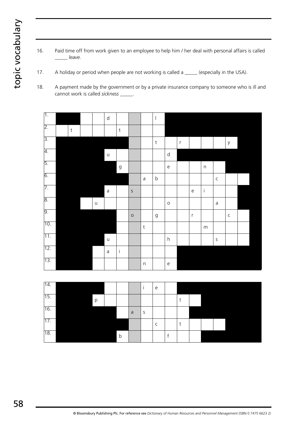- 16. Paid time off from work given to an employee to help him / her deal with personal affairs is called \_\_\_\_\_ *leave*.
- 17. A holiday or period when people are not working is called a \_\_\_\_\_ (especially in the USA).
- 18. A payment made by the government or by a private insurance company to someone who is ill and cannot work is called *sickness* \_\_\_\_\_.

| $\sqrt{1}$ .      |                           |        | $\mathsf{d}$ |                           |         |                           | $\overline{\phantom{a}}$  |                                            |             |             |                           |             |              |  |
|-------------------|---------------------------|--------|--------------|---------------------------|---------|---------------------------|---------------------------|--------------------------------------------|-------------|-------------|---------------------------|-------------|--------------|--|
| $\overline{2}$ .  | $\ensuremath{\mathbf{t}}$ |        |              | $\ensuremath{\mathbf{t}}$ |         |                           |                           |                                            |             |             |                           |             |              |  |
| $\overline{3}$ .  |                           |        |              |                           |         |                           | $\ensuremath{\mathsf{t}}$ |                                            | $\mathsf r$ |             |                           |             | $\mathsf{y}$ |  |
| $\overline{4}$ .  |                           |        | $\cup$       |                           |         |                           |                           | $\mathsf{d}$                               |             |             |                           |             |              |  |
| $\overline{5}$ .  |                           |        |              | $\mathsf g$               |         |                           |                           | $\mathsf{e}% _{0}\left( \mathsf{e}\right)$ |             |             | $\boldsymbol{\mathsf{n}}$ |             |              |  |
| $\overline{6}$ .  |                           |        |              |                           |         | $\mathsf a$               | $\sf b$                   |                                            |             |             |                           | $\mathsf C$ |              |  |
| $\overline{7}$ .  |                           |        | $\mathsf a$  |                           | $\sf S$ |                           |                           |                                            |             | $\mathsf e$ | $\mathbf i$               |             |              |  |
| $\overline{8}$ .  |                           | $\cup$ |              |                           |         |                           |                           | $\circ$                                    |             |             |                           | a           |              |  |
| $\overline{9}$ .  |                           |        |              |                           | $\circ$ |                           | $\mathsf g$               |                                            |             | $\mathsf r$ |                           |             | $\mathsf C$  |  |
| $\overline{10}$ . |                           |        |              |                           |         | $\ensuremath{\mathbf{t}}$ |                           |                                            |             |             | ${\sf m}$                 |             |              |  |
| $\overline{11}$ . |                           |        | $\sf U$      |                           |         |                           |                           | $\boldsymbol{\mathsf{h}}$                  |             |             |                           | $\sf S$     |              |  |
| $\overline{12}$ . |                           |        | $\mathsf a$  | $\mathbf i$               |         |                           |                           |                                            |             |             |                           |             |              |  |
| $\overline{13.}$  |                           |        |              |                           |         | $\boldsymbol{n}$          |                           | $\mathsf{e}% _{0}\left( \mathsf{e}\right)$ |             |             |                           |             |              |  |

| $\sqrt{14}$ .     |   |   |   |              | e |           |  |  |  |
|-------------------|---|---|---|--------------|---|-----------|--|--|--|
| $\overline{15}$ . | p |   |   |              |   | t         |  |  |  |
| $\overline{16}$ . |   |   | a | <sub>S</sub> |   |           |  |  |  |
| $\overline{17}$ . |   |   |   |              | C | $\ddot{}$ |  |  |  |
| $\overline{18}$ . |   | b |   |              |   |           |  |  |  |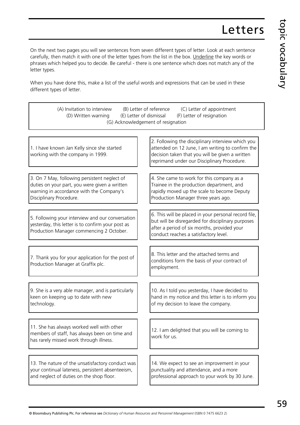topic vocabulary

topic vocabulary

On the next two pages you will see sentences from seven different types of letter. Look at each sentence carefully, then match it with one of the letter types from the list in the box. Underline the key words or phrases which helped you to decide. Be careful - there is one sentence which does not match any of the letter types.

When you have done this, make a list of the useful words and expressions that can be used in these different types of letter.

| (A) Invitation to interview<br>(D) Written warning                                                                                                                   | (B) Letter of reference<br>(C) Letter of appointment<br>(E) Letter of dismissal<br>(F) Letter of resignation<br>(G) Acknowledgement of resignation                                                      |
|----------------------------------------------------------------------------------------------------------------------------------------------------------------------|---------------------------------------------------------------------------------------------------------------------------------------------------------------------------------------------------------|
| 1. I have known Jan Kelly since she started<br>working with the company in 1999.                                                                                     | 2. Following the disciplinary interview which you<br>attended on 12 June, I am writing to confirm the<br>decision taken that you will be given a written<br>reprimand under our Disciplinary Procedure. |
| 3. On 7 May, following persistent neglect of<br>duties on your part, you were given a written<br>warning in accordance with the Company's<br>Disciplinary Procedure. | 4. She came to work for this company as a<br>Trainee in the production department, and<br>rapidly moved up the scale to become Deputy<br>Production Manager three years ago.                            |
| 5. Following your interview and our conversation<br>yesterday, this letter is to confirm your post as<br>Production Manager commencing 2 October.                    | 6. This will be placed in your personal record file,<br>but will be disregarded for disciplinary purposes<br>after a period of six months, provided your<br>conduct reaches a satisfactory level.       |
| 7. Thank you for your application for the post of<br>Production Manager at Graffix plc.                                                                              | 8. This letter and the attached terms and<br>conditions form the basis of your contract of<br>employment.                                                                                               |
| 9. She is a very able manager, and is particularly<br>keen on keeping up to date with new<br>technology.                                                             | 10. As I told you yesterday, I have decided to<br>hand in my notice and this letter is to inform you<br>of my decision to leave the company.                                                            |
| TT. She has always worked well with other<br>members of staff, has always been on time and<br>has rarely missed work through illness.                                | 12. I am delighted that you will be coming to<br>work for us.                                                                                                                                           |
| 13. The nature of the unsatisfactory conduct was<br>your continual lateness, persistent absenteeism,<br>and neglect of duties on the shop floor.                     | 14. We expect to see an improvement in your<br>punctuality and attendance, and a more<br>professional approach to your work by 30 June.                                                                 |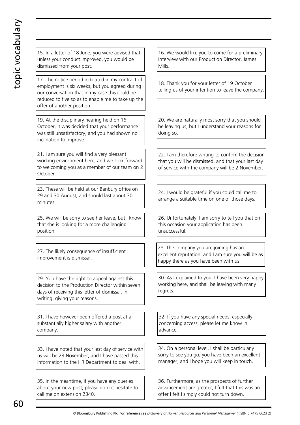15. In a letter of 18 June, you were advised that unless your conduct improved, you would be dismissed from your post.

17. The notice period indicated in my contract of employment is six weeks, but you agreed during our conversation that in my case this could be reduced to five so as to enable me to take up the offer of another position.

19. At the disciplinary hearing held on 16 October, it was decided that your performance was still unsatisfactory, and you had shown no inclination to improve.

21. I am sure you will find a very pleasant working environment here, and we look forward to welcoming you as a member of our team on 2 October.

23. These will be held at our Banbury office on 29 and 30 August, and should last about 30 minutes.

25. We will be sorry to see her leave, but I know that she is looking for a more challenging position.

27. The likely consequence of insufficient improvement is dismissal.

29. You have the right to appeal against this decision to the Production Director within seven days of receiving this letter of dismissal, in writing, giving your reasons.

31. I have however been offered a post at a substantially higher salary with another company.

33. I have noted that your last day of service with us will be 23 November, and I have passed this information to the HR Department to deal with.

35. In the meantime, if you have any queries about your new post, please do not hesitate to call me on extension 2340.

16. We would like you to come for a preliminary interview with our Production Director, James Mills.

18. Thank you for your letter of 19 October telling us of your intention to leave the company.

20. We are naturally most sorry that you should be leaving us, but I understand your reasons for doing so.

22. I am therefore writing to confirm the decision that you will be dismissed, and that your last day of service with the company will be 2 November.

24. I would be grateful if you could call me to arrange a suitable time on one of those days.

26. Unfortunately, I am sorry to tell you that on this occasion your application has been unsuccessful.

28. The company you are joining has an excellent reputation, and I am sure you will be as happy there as you have been with us.

30. As I explained to you, I have been very happy working here, and shall be leaving with many regrets.

32. If you have any special needs, especially concerning access, please let me know in advance.

34. On a personal level, I shall be particularly sorry to see you go; you have been an excellent manager, and I hope you will keep in touch.

36. Furthermore, as the prospects of further advancement are greater, I felt that this was an offer I felt I simply could not turn down.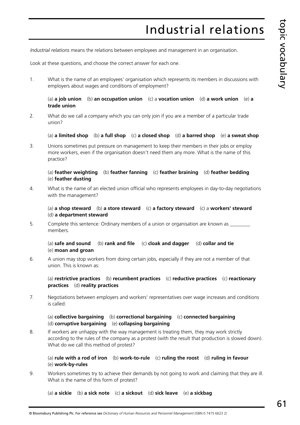# Industrial relations

*Industrial relations* means the relations between employees and management in an organisation.

Look at these questions, and choose the correct answer for each one.

1. What is the name of an employees' organisation which represents its members in discussions with employers about wages and conditions of employment?

(a) **a job union** (b) **an occupation union** (c) a **vocation union** (d) **a work union** (e) **a trade union**

2. What do we call a company which you can only join if you are a member of a particular trade union?

(a) **a limited shop** (b) **a full shop** (c) **a closed shop** (d) **a barred shop** (e) **a sweat shop**

3. Unions sometimes put pressure on management to keep their members in their jobs or employ more workers, even if the organisation doesn't need them any more. What is the name of this practice?

(a) **feather weighting** (b) **feather fanning** (c) **feather braining** (d) **feather bedding** (e) **feather dusting**

4. What is the name of an elected union official who represents employees in day-to-day negotiations with the management?

(a) **a shop steward** (b) **a store steward** (c) **a factory steward** (c) a **workers' steward** (d) **a department steward**

5. Complete this sentence: Ordinary members of a union or organisation are known as members.

(a) **safe and sound** (b) **rank and file** (c) **cloak and dagger** (d) **collar and tie** (e) **moan and groan**

6. A union may stop workers from doing certain jobs, especially if they are not a member of that union. This is known as:

(a) **restrictive practices** (b) **recumbent practices** (c) **reductive practices** (c) **reactionary practices** (d) **reality practices**

7. Negotiations between employers and workers' representatives over wage increases and conditions is called:

#### (a) **collective bargaining** (b) **correctional bargaining** (c) **connected bargaining** (d) **corruptive bargaining** (e) **collapsing bargaining**

8. If workers are unhappy with the way management is treating them, they may work strictly according to the rules of the company as a protest (with the result that production is slowed down). What do we call this method of protest?

(a) **rule with a rod of iron** (b) **work-to-rule** (c) **ruling the roost** (d) **ruling in favour** (e) **work-by-rules**

9. Workers sometimes try to achieve their demands by not going to work and claiming that they are ill. What is the name of this form of protest?

(a) **a sickie** (b) **a sick note** (c) **a sickout** (d) **sick leave** (e) **a sickbag**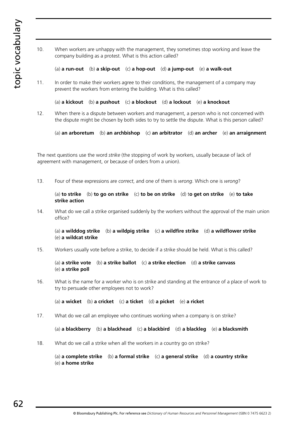10. When workers are unhappy with the management, they sometimes stop working and leave the company building as a protest. What is this action called?

(a) **a run-out** (b) **a skip-out** (c) **a hop-out** (d) **a jump-out** (e) **a walk-out**

11. In order to make their workers agree to their conditions, the management of a company may prevent the workers from entering the building. What is this called?

(a) **a kickout** (b) **a pushout** (c) **a blockout** (d) **a lockout** (e) **a knockout**

12. When there is a dispute between workers and management, a person who is not concerned with the dispute might be chosen by both sides to try to settle the dispute. What is this person called?

(a) **an arboretum** (b) **an archbishop** (c) **an arbitrator** (d) **an archer** (e) **an arraignment**

The next questions use the word *strike* (the stopping of work by workers, usually because of lack of agreement with management, or because of orders from a union).

13. Four of these expressions are *correct*, and one of them is *wrong*. Which one is *wrong*?

(a) **to strike** (b) **to go on strike** (c) **to be on strike** (d) t**o get on strike** (e) **to take strike action**

14. What do we call a strike organised suddenly by the workers without the approval of the main union office?

(a) **a wilddog strike** (b) **a wildpig strike** (c) **a wildfire strike** (d) **a wildflower strike** (e) **a wildcat strike**

15. Workers usually vote before a strike, to decide if a strike should be held. What is this called?

(a) **a strike vote** (b) **a strike ballot** (c) **a strike election** (d) **a strike canvass** (e) **a strike poll**

16. What is the name for a worker who is on strike and standing at the entrance of a place of work to try to persuade other employees not to work?

(a) **a wicket** (b) **a cricket** (c) **a ticket** (d) **a picket** (e) **a ricket**

17. What do we call an employee who continues working when a company is on strike?

(a) **a blackberry** (b) **a blackhead** (c) **a blackbird** (d) **a blackleg** (e) **a blacksmith**

18. What do we call a strike when all the workers in a country go on strike?

(a) **a complete strike** (b) **a formal strike** (c) **a general strike** (d) **a country strike** (e) **a home strike**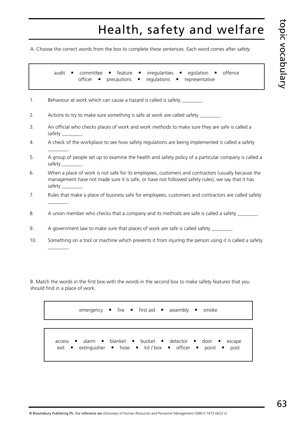# Health, safety and welfare

A. Choose the correct words from the box to complete these sentences. Each word comes after *safety*.

audit • committee • feature • irregularities • egislation • offence officer • precautions • regulations • representative

1. Behaviour at work which can cause a hazard is called is safety

- 2. Actions to try to make sure something is safe at work are called safety \_\_\_\_\_\_\_.
- 3. An official who checks places of work and work methods to make sure they are safe is called a safety \_\_\_\_\_\_\_\_.
- 4. A check of the workplace to see how safety regulations are being implemented is called a safety \_\_\_\_\_\_\_\_.
- 5. A group of people set up to examine the health and safety policy of a particular company is called a safety \_\_\_\_\_\_\_\_.
- 6. When a place of work is not safe for its employees, customers and contractors (usually because the management have not made sure it is safe, or have not followed safety rules), we say that it has safety\_
- 7. Rules that make a place of business safe for employees, customers and contractors are called safety \_\_\_\_\_\_\_\_.
- 8. A union member who checks that a company and its methods are safe is called a safety \_\_\_\_\_\_\_.
- 9. A government law to make sure that places of work are safe is called safety  $\blacksquare$ .
- 10. Something on a tool or machine which prevents it from injuring the person using it is called a safety \_\_\_\_\_\_\_\_.

B. Match the words in the first box with the words in the second box to make safety features that you should find in a place of work.

|  | emergency • fire • first aid • assembly • smoke                                                                               |  |
|--|-------------------------------------------------------------------------------------------------------------------------------|--|
|  | access • alarm • blanket • bucket • detector • door • escape<br>exit • extinguisher • hose • kit/box • officer • point • post |  |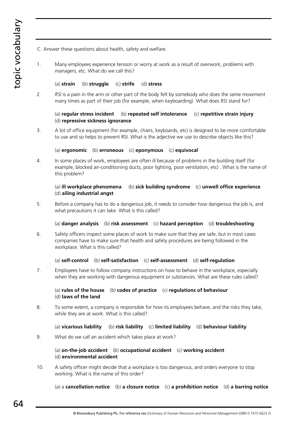- C. Answer these questions about health, safety and welfare.
- 1. Many employees experience tension or worry at work as a result of overwork, problems with managers, etc. What do we call this?

#### (a) **strain** (b) **struggle** (c) **strife** (d) **stress**

2. *RSI* is a pain in the arm or other part of the body felt by somebody who does the same movement many times as part of their job (for example, when keyboarding). What does RSI stand for?

#### (a) **regular stress incident** (b) **repeated self intolerance** (c) **repetitive strain injury** (d) **repressive sickness ignorance**

3. A lot of office equipment (for example, chairs, keyboards, etc) is designed to be more comfortable to use and so helps to prevent RSI. What is the adjective we use to describe objects like this?

(a) **ergonomic** (b) **erroneous** (c) **eponymous** (c) **equivocal**

4. In some places of work, employees are often ill because of problems in the building itself (for example, blocked air-conditioning ducts, poor lighting, poor ventilation, etc) . What is the name of this problem?

#### (a) **ill workplace phenomena** (b) **sick building syndrome** (c) **unwell office experience** (d) **ailing industrial angst**

5. Before a company has to do a dangerous job, it needs to consider how dangerous the job is, and what precautions it can take. What is this called?

#### (a) **danger analysis** (b) **risk assessment** (c) **hazard perception** (d) **troubleshooting**

6. Safety officers inspect some places of work to make sure that they are safe, but in most cases companies have to make sure that health and safety procedures are being followed in the workplace. What is this called?

#### (a) **self-control** (b) **self-satisfaction** (c) **self-assessment** (d) **self-regulation**

7. Employees have to follow company instructions on how to behave in the workplace, especially when they are working with dangerous equipment or substances. What are these rules called?

(a) **rules of the house** (b) **codes of practice** (c) **regulations of behaviour** (d) **laws of the land**

8. To some extent, a company is responsible for how its employees behave, and the risks they take, while they are at work. What is this called?

(a) **vicarious liability** (b) **risk liability** (c) **limited liability** (d) **behaviour liability**

9. What do we call an accident which takes place at work?

(a) **on-the-job accident** (b) **occupational accident** (c) **working accident** (d) **environmental accident**

10. A safety officer might decide that a workplace is too dangerous, and orders everyone to stop working. What is the name of this order?

(a) a **cancellation notice** (b) **a closure notice** (c) **a prohibition notice** (d) **a barring notice**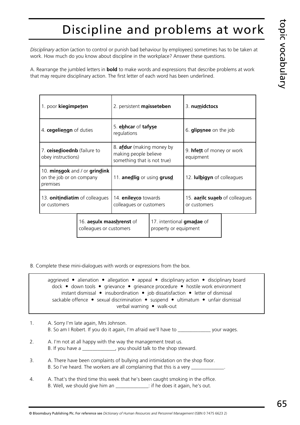# Discipline and problems at work

*Disciplinary action* (action to control or punish bad behaviour by employees) sometimes has to be taken at work. How much do you know about discipline in the workplace? Answer these questions.

A. Rearrange the jumbled letters in **bold** to make words and expressions that describe problems at work that may require disciplinary action. The first letter of each word has been underlined.

| 1. poor kiegimpeten                                                   |                                                     | 2. persistent <b>maisseteben</b>                                                         |                                                           | 3. numidctocs                                         |  |  |  |
|-----------------------------------------------------------------------|-----------------------------------------------------|------------------------------------------------------------------------------------------|-----------------------------------------------------------|-------------------------------------------------------|--|--|--|
| 4. cegeliengn of duties                                               |                                                     | 5. ebhcar of tafyse<br>regulations                                                       |                                                           | 6. glipsnee on the job                                |  |  |  |
| 7. ceisedioednb (failure to<br>obey instructions)                     |                                                     | 8. <b>afdur</b> (making money by<br>making people believe<br>something that is not true) |                                                           | 9. <b>hfett</b> of money or work<br>equipment         |  |  |  |
| 10. minsgok and / or grindink<br>on the job or on company<br>premises |                                                     | 11. <b>anedlig</b> or using <b>grusd</b>                                                 |                                                           | 12. <b>Iulbigyn</b> of colleagues                     |  |  |  |
| 13. <b>onitindiatim</b> of colleagues<br>or customers                 |                                                     | 14. enilevco towards<br>colleagues or customers                                          |                                                           | 15. <b>aarilc suaeb</b> of colleagues<br>or customers |  |  |  |
|                                                                       | 16. aesulx maashrenst of<br>colleagues or customers |                                                                                          | 17. intentional <b>gmadae</b> of<br>property or equipment |                                                       |  |  |  |

B. Complete these mini-dialogues with words or expressions from the box.

aggrieved  $\bullet$  alienation  $\bullet$  allegation  $\bullet$  appeal  $\bullet$  disciplinary action  $\bullet$  disciplinary board dock • down tools • grievance • grievance procedure • hostile work environment instant dismissal  $\bullet$  insubordination  $\bullet$  job dissatisfaction  $\bullet$  letter of dismissal sackable offence  $\bullet$  sexual discrimination  $\bullet$  suspend  $\bullet$  ultimatum  $\bullet$  unfair dismissal verbal warning • walk-out

- 1. A. Sorry I'm late again, Mrs Johnson. B. So am I Robert. If you do it again, I'm afraid we'll have to \_\_\_\_\_\_\_\_\_\_\_\_\_ your wages.
- 2. A. I'm not at all happy with the way the management treat us. B. If you have a \_\_\_\_\_\_\_\_\_\_\_\_\_, you should talk to the shop steward.
- 3. A. There have been complaints of bullying and intimidation on the shop floor. B. So I've heard. The workers are all complaining that this is a very
- 4. A. That's the third time this week that he's been caught smoking in the office. B. Well, we should give him an \_\_\_\_\_\_\_\_\_\_\_\_\_: if he does it again, he's out.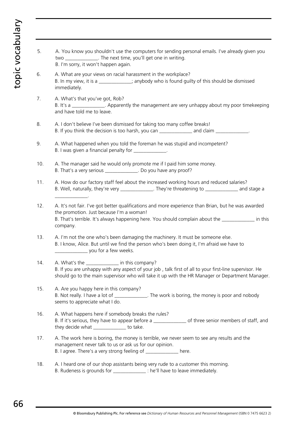| 5.  | A. You know you shouldn't use the computers for sending personal emails. I've already given you<br>two ________________. The next time, you'll get one in writing.<br>B. I'm sorry, it won't happen again.                                                           |
|-----|----------------------------------------------------------------------------------------------------------------------------------------------------------------------------------------------------------------------------------------------------------------------|
| 6.  | A. What are your views on racial harassment in the workplace?<br>B. In my view, it is a ___________; anybody who is found guilty of this should be dismissed<br>immediately.                                                                                         |
| 7.  | A. What's that you've got, Rob?<br>B. It's a _______________. Apparently the management are very unhappy about my poor timekeeping<br>and have told me to leave.                                                                                                     |
| 8.  | A. I don't believe I've been dismissed for taking too many coffee breaks!<br>B. If you think the decision is too harsh, you can ____________________ and claim ______________.                                                                                       |
| 9.  | A. What happened when you told the foreman he was stupid and incompetent?<br>B. I was given a financial penalty for ______________.                                                                                                                                  |
| 10. | A. The manager said he would only promote me if I paid him some money.<br>B. That's a very serious ______________. Do you have any proof?                                                                                                                            |
| 11. | A. How do our factory staff feel about the increased working hours and reduced salaries?<br>B. Well, naturally, they're very ______________. They're threatening to ______________ and stage a                                                                       |
| 12. | A. It's not fair. I've got better qualifications and more experience than Brian, but he was awarded<br>the promotion. Just because I'm a woman!<br>B. That's terrible. It's always happening here. You should complain about the _______________ in this<br>company. |
| 13. | A. I'm not the one who's been damaging the machinery. It must be someone else.<br>B. I know, Alice. But until we find the person who's been doing it, I'm afraid we have to<br>you for a few weeks.                                                                  |
| 14. | A. What's the ____________ in this company?<br>B. If you are unhappy with any aspect of your job, talk first of all to your first-line supervisor. He<br>should go to the main supervisor who will take it up with the HR Manager or Department Manager.             |
| 15. | A. Are you happy here in this company?<br>B. Not really. I have a lot of ______________. The work is boring, the money is poor and nobody<br>seems to appreciate what I do.                                                                                          |
| 16. | A. What happens here if somebody breaks the rules?<br>B. If it's serious, they have to appear before a ________________ of three senior members of staff, and<br>they decide what ______________ to take.                                                            |
| 17. | A. The work here is boring, the money is terrible, we never seem to see any results and the<br>management never talk to us or ask us for our opinion.<br>B. I agree. There's a very strong feeling of _____________ here.                                            |
| 18. | A. I heard one of our shop assistants being very rude to a customer this morning.<br>B. Rudeness is grounds for _______________: he'll have to leave immediately.                                                                                                    |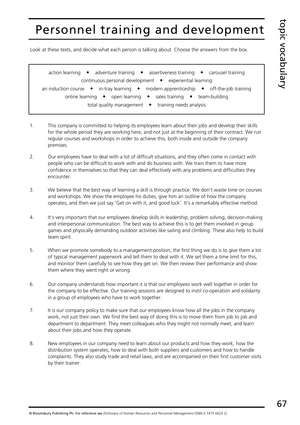### Personnel training and development

Look at these texts, and decide what each person is talking about. Choose the answers from the box.

| action learning • adventure training • assertiveness training • carousel training                             |
|---------------------------------------------------------------------------------------------------------------|
| continuous personal development • experiential learning                                                       |
| an induction course $\bullet$ in-tray learning $\bullet$ modern apprenticeship $\bullet$ off-the-job training |
| online learning • open learning • sales training • team-building                                              |
| total quality management • training needs analysis                                                            |

- 1. This company is committed to helping its employees learn about their jobs and develop their skills for the whole period they are working here, and not just at the beginning of their contract. We run regular courses and workshops in order to achieve this, both inside and outside the company premises.
- 2. Our employees have to deal with a lot of difficult situations, and they often come in contact with people who can be difficult to work with and do business with. We train them to have more confidence in themselves so that they can deal effectively with any problems and difficulties they encounter.
- 3. We believe that the best way of learning a skill is through practice. We don't waste time on courses and workshops. We show the employee his duties, give him an outline of how the company operates, and then we just say 'Get on with it, and good luck'. It's a remarkably effective method.
- 4. It's very important that our employees develop skills in leadership, problem solving, decision-making and interpersonal communication. The best way to achieve this is to get them involved in group games and physically demanding outdoor activities like sailing and climbing. These also help to build team spirit.
- 5. When we promote somebody to a management position, the first thing we do is to give them a lot of typical management paperwork and tell them to deal with it. We set them a time limit for this, and monitor them carefully to see how they get on. We then review their performance and show them where they went right or wrong.
- 6. Our company understands how important it is that our employees work well together in order for the company to be effective. Our training sessions are designed to instil co-operation and solidarity in a group of employees who have to work together.
- 7. It is our company policy to make sure that our employees know how all the jobs in the company work, not just their own. We find the best way of doing this is to move them from job to job and department to department. They meet colleagues who they might not normally meet, and learn about their jobs and how they operate.
- 8. New employees in our company need to learn about our products and how they work, how the distribution system operates, how to deal with both suppliers and customers and how to handle complaints. They also study trade and retail laws, and are accompanied on their first customer visits by their trainer.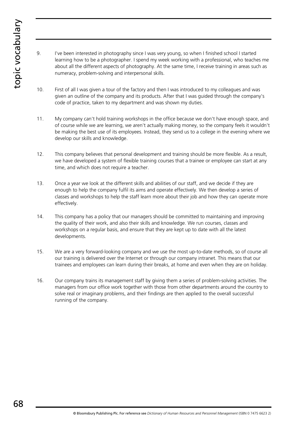- 9. I've been interested in photography since I was very young, so when I finished school I started learning how to be a photographer. I spend my week working with a professional, who teaches me about all the different aspects of photography. At the same time, I receive training in areas such as numeracy, problem-solving and interpersonal skills.
- 10. First of all I was given a tour of the factory and then I was introduced to my colleagues and was given an outline of the company and its products. After that I was guided through the company's code of practice, taken to my department and was shown my duties.
- 11. My company can't hold training workshops in the office because we don't have enough space, and of course while we are learning, we aren't actually making money, so the company feels it wouldn't be making the best use of its employees. Instead, they send us to a college in the evening where we develop our skills and knowledge.
- 12. This company believes that personal development and training should be more flexible. As a result, we have developed a system of flexible training courses that a trainee or employee can start at any time, and which does not require a teacher.
- 13. Once a year we look at the different skills and abilities of our staff, and we decide if they are enough to help the company fulfil its aims and operate effectively. We then develop a series of classes and workshops to help the staff learn more about their job and how they can operate more effectively.
- 14. This company has a policy that our managers should be committed to maintaining and improving the quality of their work, and also their skills and knowledge. We run courses, classes and workshops on a regular basis, and ensure that they are kept up to date with all the latest developments.
- 15. We are a very forward-looking company and we use the most up-to-date methods, so of course all our training is delivered over the Internet or through our company intranet. This means that our trainees and employees can learn during their breaks, at home and even when they are on holiday.
- 16. Our company trains its management staff by giving them a series of problem-solving activities. The managers from our office work together with those from other departments around the country to solve real or imaginary problems, and their findings are then applied to the overall successful running of the company.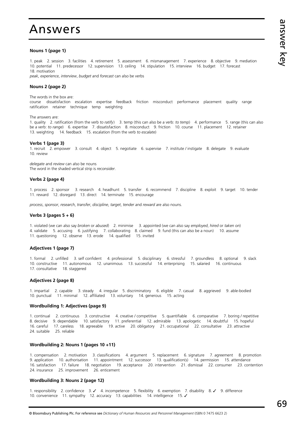# Answers

# **Nouns 1 (page 1)**

1. peak 2. session 3. facilities 4. retirement 5. assessment 6. mismanagement 7. experience 8. objective 9. mediation 10. potential 11. predecessor 12. supervision 13. ceiling 14. stipulation 15. interview 16. budget 17. forecast 18. motivation

*peak*, *experience*, *interview*, *budget* and *forecast* can also be verbs

## **Nouns 2 (page 2)**

The words in the box are:

course dissatisfaction escalation expertise feedback friction misconduct performance placement quality range ratification retainer technique temp weighting

#### The answers are:

1. quality 2. ratification (from the verb *to ratify*) 3. temp (this can also be a verb: *to temp*) 4. performance 5. range (this can also be a verb: *to range*) 6. expertise 7. dissatisfaction 8. misconduct 9. friction 10. course 11. placement 12. retainer 13. weighting 14. feedback 15. escalation (from the verb *to escalate*)

### **Verbs 1 (page 3)**

1. recruit 2. empower 3. consult 4. object 5. negotiate 6. supervise 7. institute / instigate 8. delegate 9. evaluate 10. review

*delegate* and *review* can also be nouns The word in the shaded vertical strip is *reconsider*.

## **Verbs 2 (page 4)**

1. process 2. sponsor 3. research 4. headhunt 5. transfer 6. recommend 7. discipline 8. exploit 9. target 10. tender 11. reward 12. disregard 13. direct 14. terminate 15. encourage

*process*, *sponsor*, *research*, *transfer*, *discipline*, *target*, *tender* and *reward* are also nouns.

## **Verbs 3 (pages 5 + 6)**

1. violated (we can also say *broken* or *abused*) 2. minimise 3. appointed (we can also say *employed*, *hired* or *taken on*) 4. validate 5. accusing 6. justifying 7. collaborating 8. claimed 9. fund (this can also be a noun) 10. assume 11. questioning 12. observe 13. erode 14. qualified 15. invited

## **Adjectives 1 (page 7)**

1. formal 2. unfilled 3. self confident 4. professional 5. disciplinary 6. stressful 7. groundless 8. optional 9. slack 10. constructive 11. autonomous 12. unanimous 13. successful 14. enterprising 15. salaried 16. continuous 17. consultative 18. staggered

# **Adjectives 2 (page 8)**

1. impartial 2. capable 3. steady 4. irregular 5. discriminatory 6. eligible 7. casual 8. aggrieved 9. able-bodied 10. punctual 11. minimal 12. affiliated 13. voluntary 14. generous 15. acting

## **Wordbuilding 1: Adjectives (page 9)**

1. continual 2. continuous 3. constructive 4. creative / competitive 5. quantifiable 6. comparative 7. boring / repetitive 8. decisive 9. dependable 10. satisfactory 11. preferential 12. admirable 13. apologetic 14. doubtful 15. hopeful 16. careful 17. careless 18. agreeable 19. active 20. obligatory 21. occupational 22. consultative 23. attractive 24. suitable 25. reliable

# **Wordbuilding 2: Nouns 1 (pages 10 +11)**

1. compensation 2. motivation 3. classifications 4. argument 5. replacement 6. signature 7. agreement 8. promotion 9. application 10. authorisation 11. appointment 12. successor 13. qualification(s) 14. permission 15. attendance 16. satisfaction 17. failure 18. negotiation 19. acceptance 20. intervention 21. dismissal 22. consumer 23. contention 24. insurance 25. improvement 26. enticement

## **Wordbuilding 3: Nouns 2 (page 12)**

1. responsibility 2. confidence 3. ✓ 4. incompetence 5. flexibility 6. exemption 7. disability 8. ✓ 9. difference 10. convenience 11. sympathy 12. accuracy 13. capabilities 14. intelligence 15. ✓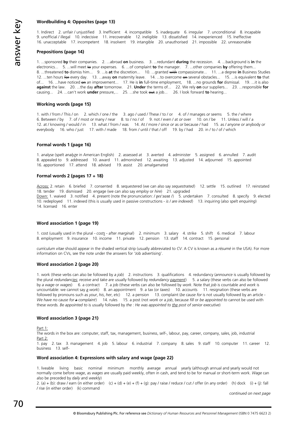## **Wordbuilding 4: Opposites (page 13)**

1. Indirect 2. unfair / unjustified 3. Inefficient 4. incompatible 5. inadequate 6. irregular 7. unconditional 8. incapable 9. unofficial / illegal 10. indecisive 11. irrecoverable 12. ineligible 13. dissatisfied 14. inexperienced 15. Ineffective 16. unacceptable 17. incompetent 18. insolvent 19. intangible 20. unauthorised 21. impossible 22. unreasonable

# **Prepositions (page 14)**

1. ...sponsored **by** their companies. 2. ...abroad **on** business. 3. ...redundant **during** the recession. 4. ...background is **in** the electronics... 5. ...will meet to your expenses. 6. ...of complaint **to** the manager. 7. ...other companies **by** offering them... 8. ...threatened **to** dismiss him... 9. ...is **at** the discretion... 10. ...granted with compassionate... 11. ...a degree **in** Business Studies 12. ...ten hours for every day. 13. ...away **on** maternity leave. 14. ...to overcome on several obstacles... 15. ...is equivalent **to** that of... 16. ...have noticed on an improvement... 17. He is **in** full-time employment, 18. ...no grounds **for** dismissal. 19. ...it is also **against** the law. 20. ...the day **after** tomorrow. 21. **Under** the terms of... 22. We rely **on** our suppliers... 23. ...responsible **for** causing... 24. ...can't work **under** pressure,... 25. ...she took out a job... 26. I look forward **to** hearing...

# **Working words (page 15)**

1. with / from / This / on 2. which / one / the 3. ago / used / These / to / or 4. of / manages *or* seems 5. the / where 6. Between / by 7. of / most *or* many / near 8. to / no / of 9. not / even / at *or* over 10. on / be 11. Unless / will / a 12. at / knowing / would / in 13. what / from / was 14. At / more / since *or* as *or* because / had 15. as / anyone *or* anybody *or* everybody 16. who / just 17. with / made 18. from / until / that / off 19. by / had 20. in / to / of / which

## **Formal words 1 (page 16)**

1. analyse (spelt *analyze* in American English) 2. assessed at 3. averted 4. administer 5. assigned 6. annulled 7. audit 8. appealed to 9. addressed 10. award 11. admonished 12. awaiting 13. adjusted 14. adjourned 15. appointed 16. apportioned 17. attend 18. advised 19. assist 20. amalgamated

## **Formal words 2 (pages 17 + 18)**

Across: 2. retain 6. briefed 7. consented 8. sequestered (we can also say *sequestrated*) 12. settle 15. outlined 17. reinstated 18. tender 19. dismissed 20. engage (we can also say *employ* or *hire*) 21. upgraded Down: 1. waived 3. notified 4. present (note the pronunciation: / prɪ'zent /) 5. undertaken 7. consulted 8. specify 9. elected 10. redeployed 11. indexed (this is usually used in passive constructions - *is / are indexed*) 13. inquiring (also spelt *enquiring*) 14. licensed 16. enter

## **Word association 1 (page 19)**

1. cost (usually used in the plural - *costs* - after *marginal*) 2. minimum 3. salary 4. strike 5. shift 6. medical 7. labour 8. employment 9. insurance 10. income 11. private 12. pension 13. staff 14. contract 15. personal

*curriculum vitae* should appear in the shaded vertical strip (usually abbreviated to *CV*. A CV is known as a *résumé* in the USA). For more information on CVs, see the note under the answers for 'Job advertising'.

## **Word association 2 (page 20)**

1. work (these verbs can also be followed by *a job*) 2. instructions 3. qualifications 4. redundancy (*announce* is usually followed by the plural *redundancies*; *receive* and *take* are usually followed by *redundancy payment*) 5. a salary (these verbs can also be followed by *a wage* or *wages*) 6. a contract 7. a job (these verbs can also be followed by *work*. Note that *job* is countable and *work* is uncountable: we cannot say *a work*) 8. an appointment 9. a tax (or *taxes*) 10. accounts 11. resignation (these verbs are followed by pronouns such as *your*, *his*, *her*, etc) 12. a pension 13. complaint (*be cause for* is not usually followed by an article - *We have no cause for a complaint*) 14. rules 15. a post (not *work* or a *job*, because *fill* or *be appointed to* cannot be used with these words. *Be appointed to* is usually followed by *the* : *He was appointed to the post of senior executive*)

# **Word association 3 (page 21)**

Part 1:

The words in the box are: computer, staff, tax, management, business, self-, labour, pay, career, company, sales, job, industrial Part 2:

1. pay 2. tax 3. management 4. job 5. labour 6. industrial 7. company 8. sales 9. staff 10. computer 11. career 12. business 13. self-

## **Word association 4: Expressions with salary and wage (page 22)**

1. liveable living basic nominal minimum monthly average annual yearly (although annual and yearly would not normally come before *wage*, as *wages* are usually paid weekly, often in cash, and tend to be for manual or short-term work. *Wage* can also be preceded by *daily* and *weekly*)

2. (a) + (b): draw / earn (in either order) (c) + (d) + (e) + (f) + (g): pay / raise / reduce / cut / offer (in any order) (h) dock (i) + (j): fall / rise (in either order) (k) command

*continued on next page*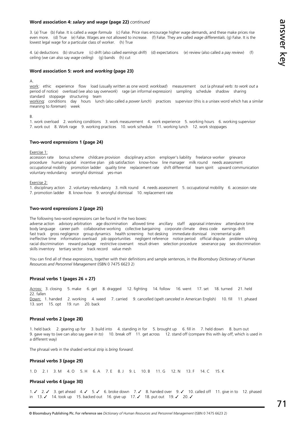## **Word association 4:** *salary* **and** *wage* **(page 22)** *continued*

3. (a) True (b) False. It is called a *wage formula* (c) False. Price rises encourage higher wage demands, and these make prices rise even more. (d) True (e) False. Wages are not allowed to increase. (f) False. They are called *wage differentials.* (g) False. It is the lowest legal wage for a particular class of worker. (h) True

4. (a) deductions (b) structure (c) drift (also called *earnings drift*) (d) expectations (e) review (also called a *pay review*) (f) ceiling (we can also say *wage ceiling*) (g) bands (h) cut

#### **Word association 5:** *work* **and** *working* **(page 23)**

 $\Delta$ 

work: ethic experience flow load (usually written as one word: *workload*) measurement out (a phrasal verb: *to work out* a period of notice) overload (we also say *overwork*) rage (an informal expression) sampling schedule shadow sharing standard stoppage structuring team

working: conditions day hours lunch (also called a *power lunch*) practices supervisor (this is a unisex word which has a similar meaning to *foreman*) week

B.

1. work overload 2. working conditions 3. work measurement 4. work experience 5. working hours 6. working supervisor 7. work out 8. Work rage 9. working practices 10. work schedule 11. working lunch 12. work stoppages

#### **Two-word expressions 1 (page 24)**

## Exercise 1:

accession rate bonus scheme childcare provision disciplinary action employer's liability freelance worker grievance procedure human capital incentive plan job satisfaction know-how line manager milk round needs assessment occupational mobility promotion ladder quality time replacement rate shift differential team spirit upward communication voluntary redundancy wrongful dismissal yes-man

#### Exercise 2:

1. disciplinary action 2. voluntary redundancy 3. milk round 4. needs assessment 5. occupational mobility 6. accession rate 7. promotion ladder 8. know-how 9. wrongful dismissal 10. replacement rate

### **Two-word expressions 2 (page 25)**

The following two-word expressions can be found in the two boxes:

adverse action advisory arbitration age discrimination allowed time ancillary staff appraisal interview attendance time body language career path collaborative working collective bargaining corporate climate dress code earnings drift fast track gross negligence group dynamics health screening hot desking immediate dismissal incremental scale ineffective time information overload job opportunities negligent reference notice period official dispute problem solving racial discrimination reward package restrictive covenant result driven selection procedure severance pay sex discrimination skills inventory tertiary sector track record value mesh

You can find all of these expressions, together with their definitions and sample sentences, in the *Bloomsbury Dictionary of Human Resources and Personnel Management* (ISBN 0 7475 6623 2)

#### **Phrasal verbs 1 (pages 26 + 27)**

Across: 3. closing 5. make 6. get 8. dragged 12. fighting 14. follow 16. went 17. set 18. turned 21. held 22. fallen Down: 1. handed 2. working 4. weed 7. carried 9. cancelled (spelt *canceled* in American English) 10. fill 11. phased 13. sort 15. opt 19. run 20. back

#### **Phrasal verbs 2 (page 28)**

1. held back 2. gearing up for 3. build into 4. standing in for 5. brought up 6. fill in 7. held down 8. burn out 9. gave way to (we can also say *gave in to*) 10. break off 11. get across 12. stand off (compare this with *lay off*, which is used in a different way)

The phrasal verb in the shaded vertical strip is *bring forward*.

#### **Phrasal verbs 3 (page 29)**

1. D 2. I 3. M 4. O 5. H 6. A 7. E 8. J 9. L 10. B 11. G 12. N 13. F 14. C 15. K

## **Phrasal verbs 4 (page 30)**

1. ✓ 2. ✓ 3. get ahead 4. ✓ 5. ✓ 6. broke down 7. ✓ 8. handed over 9. ✓ 10. called off 11. give in to 12. phased in  $13.\checkmark$  14. took up 15. backed out 16. give up 17.  $\checkmark$  18. put out 19.  $\checkmark$  20.  $\checkmark$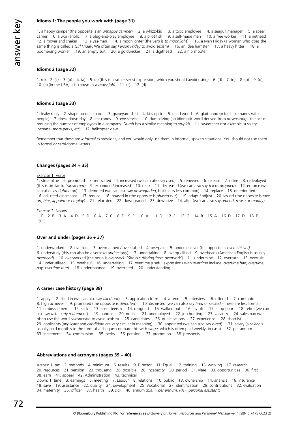#### **Idioms 1: The people you work with (page 31)**

1. a happy camper (the opposite is an *unhappy camper*) 2. a whizz-kid 3. a toxic employee 4. a seagull manager 5. a spear carrier 6. a workaholic 7. a plug-and-play employee 8. a pilot fish 9. a self-made man 10. a free worker 11. a nethead 12. a mover and shaker 13. a yes-man 14. a moonlighter (the verb is *to moonlight*) 15. a Man Friday (a woman who does the same thing is called a *Girl Friday*. We often say *Person Friday* to avoid sexism) 16. an idea hamster 17. a heavy hitter 18. a boomerang worker 19. an empty suit 20. a goldbricker 21. a digithead 22. a hip shooter

## **Idioms 2 (page 32)**

1. (d) 2. (c) 3. (b) 4. (a) 5. (a) (this is a rather sexist expression, which you should avoid using) 6. (d) 7. (d) 8. (b) 9. (d) 10. (a) (in the USA, it is known as a *gravy job)* 11. (c) 12. (d)

## **Idioms 3 (page 33)**

1. leaky reply 2. shape up or ship out 3. graveyard shift 4. kiss up to 5. dead wood 6. glad-hand (= to shake hands with people) 7. dress-down day 8. ear candy 9. eye service 10. dumbsizing (an idiomatic word derived from *downsizing* - the act of reducing the number of employees in a company. *Dumb* has a similar meaning to *stupid*) 11. sweetener (for example, a salary increase, more perks, etc) 12. helicopter view

Remember that these are *informal* expressions, and you would only use them in informal, spoken situations. You should not use them in formal or semi-formal letters.

### **Changes (pages 34 + 35)**

#### Exercise 1: Verbs

1. streamline 2. promoted 3. renovated 4. increased (we can also say *risen*) 5. renewed 6. release 7. retire 8. redeployed (this is similar to *transferred*) 9. expanded / increased 10. relax 11. decreased (we can also say *fell* or *dropped*) 12. enforce (we can also say *tighten up*) 13. demoted (we can also say *downgraded*, but this is less common) 14. replace 15. deteriorated 16. adjusted / increased 17. reduce 18. phased in (the opposite is *phased out*) 19. adapt / adjust 20. lay off (the opposite is *take on*, *hire*, *appoint* or *employ*) 21. relocated 22. downgraded 23. downsize 24. alter (we can also say *amend*, *revise* or *modify*)

#### Exercise 2: Nouns

1. E 2. B 3. A 4. D 5. D 6. A 7. C 8. E 9. F 10. A 11. D 12. E 13. G 14. B 15. A 16. D 17. D 18. E 19. E

#### **Over and under (pages 36 + 37)**

1. underworked 2. overrun 3. overmanned / overstaffed 4. overpaid 5. underachiever (the opposite is *overachiever)* 6. understudy (this can also be a verb: *to understudy*) 7. undertaking 8. overqualified 9. overheads (American English is usually *overhead*) 10. overworked (the noun is *overwork*: '*She is suffering from overwork*') 11. undermine 12. overturn 13. overrule 14. underutilised 15. overhaul 16. undertaking 17. overtime (useful expressions with *overtime* include: *overtime ban*; *overtime pay*; *overtime rate*) 18. undermanned 19. overrated 20. understanding

#### **A career case history (page 38)**

1. apply 2. filled in (we can also say *filled out*) 3. application form 4. attend 5. interview 6. offered 7. commute 8. high achiever 9. promoted (the opposite is *demoted*) 10. dismissed (we can also say *fired* or *sacked* - these are less formal) 11. embezzlement 12. sack 13. absenteeism 14. resigned 15. walked out 16. lay off 17. shop floor 18. retire (we can also say *take early retirement*) 19. hand in 20. notice 21. unemployed 22. job hunting 23. vacancy 24. salesman (we often use the word *salesperson* to avoid sexism) 25. candidates 26. qualifications 27. experience 28. shortlist 29. applicants (*applicant* and *candidate* are very similar in meaning) 30. appointed (we can also say *hired*) 31. salary (a *salary* is usually paid monthly in the form of a cheque: compare this with *wage*, which is often paid weekly, in cash) 32. per annum 33. increment 34. commission 35. perks 36. pension 37. promotion 38. prospects

#### **Abbreviations and acronyms (pages 39 + 40)**

Across: 1. tax 2. methods 4. minimum 6. results 9. Director 11. Equal 12. training 15. working 17. research 20. resources 21. pension 23. thousand 26. possible 28. incapacity 30. period 31. vitae 33. opportunities 36. first 38. earn 41. appeal 42. Administration 43. technical

Down: 1. time 3. earnings 5. meeting 7. Labour 8. relations 10. public 13. ownership 14. analysis 16. insurance 18. save 19. assistance 22. quality 24. development 25. Vocational 27. identification 29. contributions 32. evaluation 34. maternity 35. officer 37. health 39. sick 40. annum (*p.a. = per annum. PA = personal assistant*)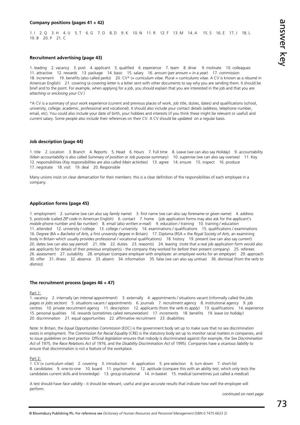# **Company positions (pages 41 + 42)**

1. I 2. Q 3. H 4. U 5. T 6. G 7. O 8. D 9. K 10. N 11. R 12. F 13. M 14. A 15. S 16. E 17. J 18. L 19. B 20. P 21. C

# **Recruitment advertising (page 43)**

1. leading 2. vacancy 3. post 4. applicant 5. qualified 6. experience 7. team 8. drive 9. motivate 10. colleagues 11. attractive 12. rewards 13. package 14. basic 15. salary 16. annum (*per annum = in a year*) 17. commission 18. increment 19. benefits (also called *perks*) 20. CV\* (= *curriculum vitae*. Plural = *curriculums vitae*. A CV is known as a *résumé* in American English) 21. covering (a *covering letter* is a letter sent with other documents to say why you are sending them. It should be brief and to the point. For example, when applying for a job, you should explain that you are interested in the job and that you are *attaching* or *enclosing your CV.*)

\*A CV is a summary of your work experience (current and previous places of work, job title, duties, dates) and qualifications (school, university, college; academic, professional and vocational). It should also include your contact details (address, telephone number, email, etc). You could also include your date of birth, your hobbies and interests (if you think these might be relevant or useful) and current salary. Some people also include their references on their CV. A CV should be *updated* on a regular basis.

# **Job description (page 44)**

1. title 2. Location 3. Branch 4. Reports 5. Head 6. Hours 7. Full time 8. Leave (we can also say *Holiday*) 9. accountability (*Main accountability* is also called *Summary of position* or *Job purpose summary*) 10. supervise (we can also say *oversee)* 11. Key 12. responsibilities (*Key responsibilities* are also called *Main activities*) 13. agree 14. ensure 15. inspect 16. produce 17. negotiate 18. visit 19. deal 20. Responsible

Many unions insist on clear *demarcation* for their members: this is a clear definition of the responsibilities of each employee in a company.

# **Application forms (page 45)**

1. employment 2. surname (we can also say *family name*) 3. first name (we can also say *forename* or *given name*) 4. address 5. postcode (called *ZIP code* in American English) 6. contact 7. home (job application forms may also ask for the applicant's *mobile* phone number and *fax* number) 8. email (also written *e-mail*) 9. education / training 10. training / education 11. attended 12. university / college 13. college / university 14. examinations / qualifications 15. qualifications / examinations 16. Degree (BA = *Bachelor of Arts*, a first university degree in Britain) 17. Diploma (RSA = the *Royal Society of Arts*, an examining body in Britain which usually provides professional / vocational qualifications) 18. history 19. present (we can also say *current*) 20. dates (we can also say *period*) 21. title 22. duties 23. reason(s) 24. leaving (note that a real job application form would also ask applicants for details of their *previous* employer(s) - the company they worked for *before* their present company) 25. referees 26. assessment 27. suitability 28. employer (compare *employer* with *employee*: an *employee* works for an *employer*) 29. approach 30. offer 31. illness 32. absence 33. absent 34. information 35. false (we can also say *untrue*) 36. dismissal (from the verb *to dismiss*)

# **The recruitment process (pages 46 + 47)**

Part 1:

1. vacancy 2. internally (an *internal appointment*) 3. externally 4. appointments / situations vacant (informally called the *jobs pages* or *jobs section*) 5. situations vacant / appointments 6. journals 7. recruitment agency 8. institutional agency 9. job centres 10. private recruitment agency 11. description 12. applicants (from the verb *to apply*) 13. qualifications 14. experience 15. personal qualities 16. rewards (sometimes called *remuneration*) 17. increments 18. benefits 19. leave (or *holiday*) 20. discrimination 21. equal opportunities 22. affirmative recruitment 23. disabilities

Note: In Britain, the *Equal Opportunities Commission* (EOC) is the government body set up to make sure that no sex discrimination exists in employment. The *Commission for Racial Equality* (CRE) is the statutory body set up to *monitor* racial matters in companies, and to issue *guidelines* on *best practice*. Official *legislation* ensures that nobody is discriminated against (for example, the *Sex Discrimination Act* of 1975, the *Race Relations Act* of 1976, and the *Disability Discrimination Act* of 1995). Companies have a *vicarious liability* to ensure that discrimination is not a feature of the workplace.

## Part 2:

1. CV (= *curriculum vitae*) 2. covering 3. introduction 4. application 5. pre-selection 6. turn down 7. short-list 8. candidates 9. one-to-one 10. board 11. psychometric 12. aptitude (compare this with an *ability test*, which only tests the candidates current skills and knowledge) 13. group-situational 14. in-basket 15. medical (sometimes just called a *medical*)

A test should have *face validity* - it should be relevant, useful and give accurate results that indicate how well the employee will perform.

*continued on next page*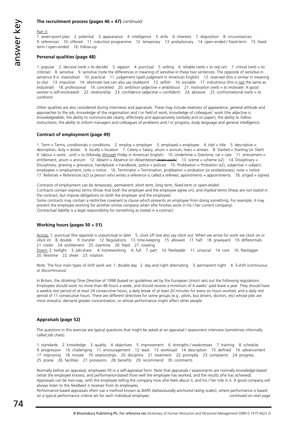# **The recruitment process (pages 46 + 47)** *continued*

#### Part 3:

1. seven-point plan 2. potential 3. appearance 4. intelligence 5. skills 6. interests 7. disposition 8. circumstances 9. references 10. offered 11. induction programme 12. temporary 13. probationary 14. open-ended / fixed-term 15. fixedterm / open-ended 16. follow-up

# **Personal qualities (page 48)**

1. popular 2. decisive (verb = *to decide*) 3. rapport 4. punctual 5. willing 6. reliable (verb = *to rely on*) 7. critical (verb = *to criticise*) 8. sensitive 9. sensitive (note the differences in meaning of *sensitive* in these two sentences. The opposite of *sensitive* in sentence 9 is *insensitive*) 10. practical 11. judgement (spelt *judgment* in American English) 12. reserved (this is similar in meaning to shy) 13. impulsive 14. obstinate (we can also say *stubborn*) 15. selfish 16. sociable 17. industrious (this is not the same as *industrial*) 18. professional 19. conceited 20. ambition (adjective = *ambitious*) 21. motivation (verb = *to motivate*. A good worker is *self-motivated*) 22. relationship 23. confidence (adjective = *confident*) 24. abrasive 25. confrontational (verb = *to confront*)

Other qualities are also considered during interviews and appraisals. These may include *neatness of appearance*, *general attitude* and *approaches* to the job, *knowledge* of the organisation and / or field of work, knowledge of colleagues' work (the adjective is *knowledgeable*), the ability to communicate clearly, effectively and appropriately (verbally and on paper), the ability to *follow instructions*, the *ability to inform* managers and colleagues of problems and / or progress, *body language* and general *intelligence*.

## **Contract of employment (page 49)**

1. Term = Terms, conditionals = conditions 2. employ = employer 3. employed = employee 4. titel = title 5. descriptive = description, duty = duties 6. locally = location 7. Celery = Salary, anum = annum, rears = arrears 8. Started = Starting (or *Start*) 9. labour = work, until = to (*Monday through Friday* in American English) 10. Undertime = Overtime, rat = rate 11. enticement = entitlement, anum = annum 12. Absent = Absence (or *Absenteeism* from work) 13. sceme = scheme (x2) 14. Dissiplinary = Disciplinary, grieving = grievance, handybook = handbook, police = policies 15. Probbation = Probation (x2), subjective = subject, employees = employment, note = notice 16. Terminator = Termination, probbation = probation (or *probationary*), note = notice 17. Referrals = References (x2) (a person who writes a reference is called a *referee*), apointments = appointments 18. singed = signed

Contracts of employment can be *temporary*, *permanent*, *short term*, *long term*, *fixed-term* or *open-ended*. Contracts contain *express* terms (those that both the employer and the employee agree on), and *implied terms* (these are *not* stated in the contract, but impose obligations on both the employer and the employee). Some contracts may contain a *restrictive covenant* (a clause which prevents an employee from doing something. For example, it may prevent the employee working for another similar company when s/he finishes work in his / her current company). *Contractual liability* is a legal responsibility for something as stated in a contract.

# **Working hours (pages 50 + 51)**

Across: 1. punctual (the opposite is *unpunctual* or *late*) 5. clock off (we also say *clock out*. When we arrive for work we *clock on* or *clock in*) 8. double 9. transfer 12. Regulations 13. time-keeping 15. allowed 17. half 18. graveyard 19. differentials 21. roster 24. entitlement 25. overtime 26. fixed 27. rotating Down: 2. twilight 3. job-share 4. homeworking 6. full 7. part 10. flexileader 11. unsocial 14. core 16. flexilagger 20. flexitime 22. sheet 23. rotation

Note: The four main types of shift work are: 1. double day 2. day and night alternating 3. permanent night 4. 3-shift (continuous or discontinuous)

In Britain, the *Working Time Directive* of 1998 (based on guidelines set by the European Union) sets out the following regulations: Employees should work no more than 48 hours a week, and should receive a minimum of 4 weeks' paid leave a year. They should have a weekly rest period of at least 24 consecutive hours, a daily break of at least 20 minutes for every six hours worked, and a daily rest period of 11 consecutive hours. There are different directives for some groups (e.g., pilots, bus drivers, doctors, etc) whose jobs are more stressful, demand greater concentration, or whose performance might affect other people.

# **Appraisals (page 52)**

The questions in this exercise are typical questions that might be asked at an appraisal / assessment interview (sometimes informally called *job chats*).

1. standards 2. knowledge 3. quality 4. objectives 5. improvement 6. strengths / weaknesses 7. training 8. schedule 9. progression 10. challenging 11. encouragement 12. least 13. workload 14. description 15. defined 16. advancement 17. improving 18. morale 19. relationships 20. discipline 21. treatment 22. promptly 23. complaints 24. progress 25. praise 26. facilities 27. provisions 28. benefits 29. recommend 30. comments

Normally before an appraisal, employees fill in a *self-appraisal* form. Note that appraisals / assessments are normally *knowledge-based* (what the employee knows), and *performance-based* (how well the employee has worked, and the results s/he has achieved). Appraisals can be *two-way*, with the employee telling the company how s/he feels about it, and his / her role in it. A good company will always listen to the *feedback* it receives from its employees.

Performance-based appraisals often use a method known as *BARS* (*behaviourally-anchored rating scales*), where performance is based on a typical performance criteria set for each individual employee. *continued on next page*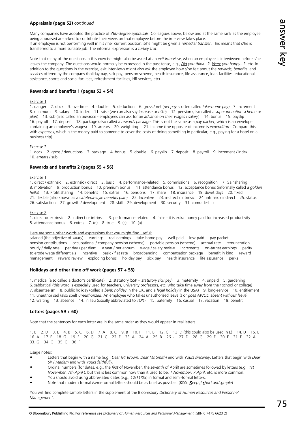# **Appraisals (page 52)** *continued*

Many companies have adopted the practice of *360-degree appraisals*. Colleagues above, below and at the same rank as the employee being appraised are asked to contribute their views on that employee before the interview takes place. If an employee is not performing well in his / her current position, s/he might be given a *remedial transfer*. This means that s/he is transferred to a more suitable job. The informal expression is a *turkey trot*.

Note that many of the questions in this exercise might also be asked at an *exit interview*, when an employee is interviewed before s/he leaves the company. The questions would normally be expressed in the past tense, e.g., *Did you think...?*, *Were you happy...?*, etc. In addition to the questions in the exercise, exit interviews might also ask the employee how s/he felt about the *rewards*, *benefits* and *services* offered by the company (holiday pay, sick pay, pension scheme, health insurance, life assurance, loan facilities, educational assistance, sports and social facilities, refreshment facilities, HR services, etc).

# **Rewards and benefits 1 (pages 53 + 54)**

#### Exercise 1

1. danger 2. dock 3. overtime 4. double 5. deduction 6. gross / net (*net pay* is often called *take-home pay*) 7. increment 8. minimum 9. salary 10. index 11. raise (we can also say *increase* or *hike*) 12. pension (also called a *superannuation scheme* or *plan*) 13. sub (also called an *advance* - employees can ask for an *advance on their wages / salary*) 14. bonus 15. payslip 16. payroll 17. deposit 18. package (also called a *rewards package*. This is not the same as a *pay packet*, which is an envelope containing an employee's wages) 19. arrears 20. weighting 21. income (the opposite of income is *expenditure*. Compare this with *expenses*, which is the money paid to someone to cover the costs of doing something in particular, e.g., paying for a hotel on a business trip).

#### Exercise 2

1. dock 2. gross / deductions 3. package 4. bonus 5. double 6. payslip 7. deposit 8. payroll 9. increment / index 10. arrears / sub

## **Rewards and benefits 2 (pages 55 + 56)**

#### Exercise 1

1. direct / extrinsic 2. extrinsic / direct 3. basic 4. performance-related 5. commissions 6. recognition 7. Gainsharing 8. motivation 9. production bonus 10. premium bonus 11. attendance bonus 12. acceptance bonus (informally called a *golden hello*) 13. Profit sharing 14. benefits 15. extras 16. pensions 17. share 18. insurance 19. duvet days 20. fixed 21. flexible (also known as a *cafeteria-style benefits plan*) 22. Incentive 23. indirect / intrinsic 24. intrinsic / indirect 25. status 26. satisfaction 27. growth / development 28. skill 29. development 30. security 31. comradeship

#### Exercise 2

1. direct or extrinsic 2. indirect or intrinsic 3. performance-related 4. false - it is extra money paid for increased productivity 5. attendance bonus 6. extras 7. (d) 8. true 9. (c) 10. (a)

#### Here are some other words and expressions that you might find useful:

salaried (the adjective of *salary*) earnings real earnings take-home pay well-paid low-paid pay packet pension contributions occupational / company pension (scheme) portable pension (scheme) accrual rate remuneration hourly / daily rate per day / per diem a year / per annum wage / salary review increments on-target earnings parity to erode wage differentials incentive basic / flat rate broadbanding compensation package benefit in kind reward management reward review exploding bonus holiday pay sick pay health insurance life assurance perks

#### **Holidays and other time off work (pages 57 + 58)**

1. medical (also called a doctor's certificate) 2. statutory (SSP = *statutory sick pay*) 3. maternity 4. unpaid 5. gardening 6. sabbatical (this word is especially used for teachers, university professors, etc, who take time away from their school or college) 7. absenteeism 8. public holiday (called a *bank holiday* in the UK, and a *legal holiday* in the USA) 9. long-service 10. entitlement 11. unauthorised (also spelt *unauthorized*. An employee who takes unauthorised leave *is* or *goes AWOL*: *absent without leave*) 12. waiting 13. absence 14. in lieu (usually abbreviated to *TOIL*) 15. paternity 16. casual 17. vacation 18. benefit

## **Letters (pages 59 + 60)**

Note that the sentences for each letter are in the same order as they would appear in real letters.

1. B 2. D 3. E 4. B 5. C 6. D 7. A 8. C 9. B 10. F 11. B 12. C 13. D (this could also be used in E) 14. D 15. E 16. A 17. F 18. G 19. E 20. G 21. C 22. E 23. A 24. A 25. B 26. - 27. D 28. G 29. E 30. F 31. F 32. A 33. G 34. G 35. C 36. F

#### Usage notes:

- Letters that begin with a name (e.g., *Dear Mr Brown*, *Dear Ms Smith*) end with *Yours sincerely*. Letters that begin with *Dear Sir / Madam* end with *Yours faithfully*.
- Ordinal numbers (for dates, e.g., the *first* of November, the *seventh* of April) are sometimes followed by letters (e.g., *1st November*, *7th April* ), but this is less common now than it used to be. *1 November*, *7 April*, etc, is more common.
- You should avoid using abbreviated dates (e.g., *12/11/05*) in formal and semi-formal letters.
- Note that modern formal /semi-formal letters should be as brief as possible. (KISS: *Keep it short and simple*)

You will find complete sample letters in the supplement of the Bloomsbury *Dictionary of Human Resources and Personnel Management*.